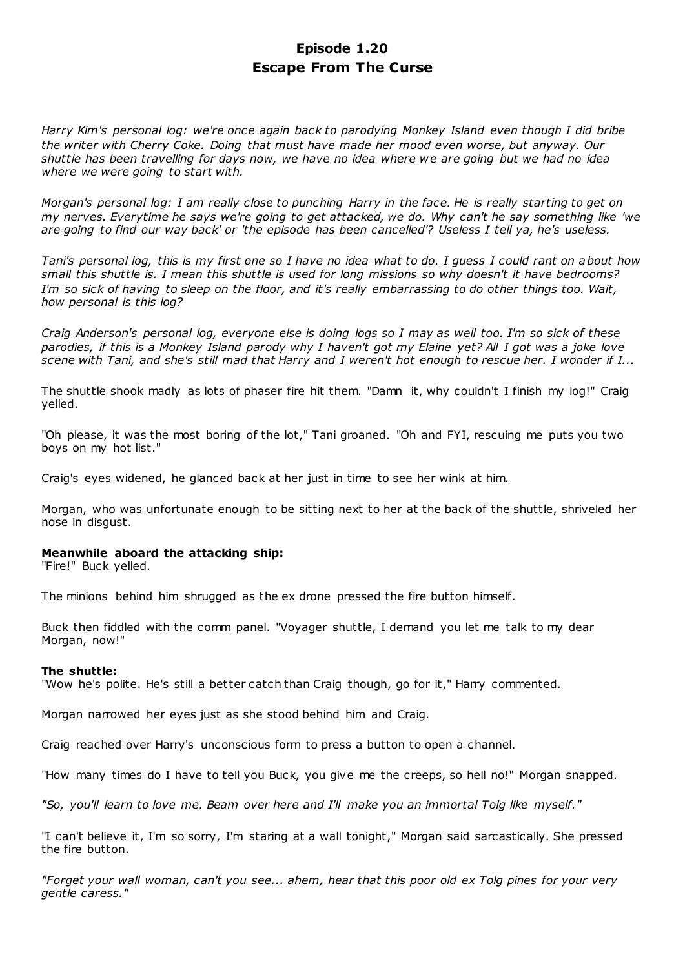# **Episode 1.20 Escape From The Curse**

*Harry Kim's personal log: we're once again back to parodying Monkey Island even though I did bribe the writer with Cherry Coke. Doing that must have made her mood even worse, but anyway. Our shuttle has been travelling for days now, we have no idea where we are going but we had no idea where we were going to start with.*

*Morgan's personal log: I am really close to punching Harry in the face. He is really starting to get on my nerves. Everytime he says we're going to get attacked, we do. Why can't he say something like 'we are going to find our way back' or 'the episode has been cancelled'? Useless I tell ya, he's useless.*

*Tani's personal log, this is my first one so I have no idea what to do. I guess I could rant on about how small this shuttle is. I mean this shuttle is used for long missions so why doesn't it have bedrooms? I'm so sick of having to sleep on the floor, and it's really embarrassing to do other things too. Wait, how personal is this log?*

*Craig Anderson's personal log, everyone else is doing logs so I may as well too. I'm so sick of these parodies, if this is a Monkey Island parody why I haven't got my Elaine yet? All I got was a joke love scene with Tani, and she's still mad that Harry and I weren't hot enough to rescue her. I wonder if I...*

The shuttle shook madly as lots of phaser fire hit them. "Damn it, why couldn't I finish my log!" Craig yelled.

"Oh please, it was the most boring of the lot," Tani groaned. "Oh and FYI, rescuing me puts you two boys on my hot list."

Craig's eyes widened, he glanced back at her just in time to see her wink at him.

Morgan, who was unfortunate enough to be sitting next to her at the back of the shuttle, shriveled her nose in disgust.

### **Meanwhile aboard the attacking ship:**

"Fire!" Buck yelled.

The minions behind him shrugged as the ex drone pressed the fire button himself.

Buck then fiddled with the comm panel. "Voyager shuttle, I demand you let me talk to my dear Morgan, now!"

#### **The shuttle:**

"Wow he's polite. He's still a better catch than Craig though, go for it," Harry commented.

Morgan narrowed her eyes just as she stood behind him and Craig.

Craig reached over Harry's unconscious form to press a button to open a channel.

"How many times do I have to tell you Buck, you give me the creeps, so hell no!" Morgan snapped.

*"So, you'll learn to love me. Beam over here and I'll make you an immortal Tolg like myself."*

"I can't believe it, I'm so sorry, I'm staring at a wall tonight," Morgan said sarcastically. She pressed the fire button.

*"Forget your wall woman, can't you see... ahem, hear that this poor old ex Tolg pines for your very gentle caress."*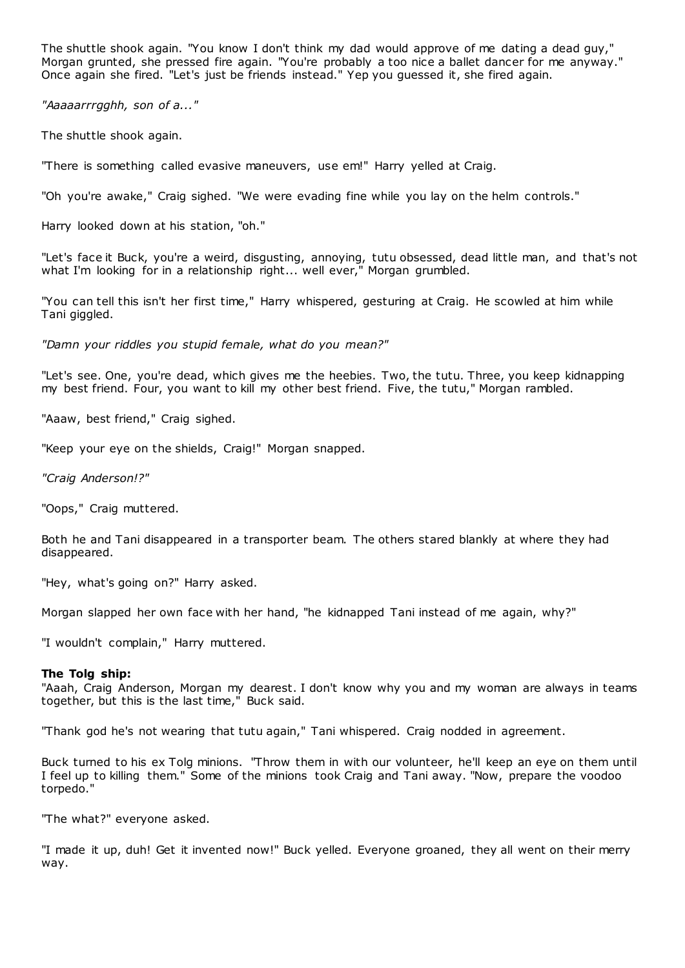The shuttle shook again. "You know I don't think my dad would approve of me dating a dead guy," Morgan grunted, she pressed fire again. "You're probably a too nice a ballet dancer for me anyway." Once again she fired. "Let's just be friends instead." Yep you guessed it, she fired again.

*"Aaaaarrrgghh, son of a..."*

The shuttle shook again.

"There is something called evasive maneuvers, use em!" Harry yelled at Craig.

"Oh you're awake," Craig sighed. "We were evading fine while you lay on the helm controls."

Harry looked down at his station, "oh."

"Let's face it Buck, you're a weird, disgusting, annoying, tutu obsessed, dead little man, and that's not what I'm looking for in a relationship right... well ever," Morgan grumbled.

"You can tell this isn't her first time," Harry whispered, gesturing at Craig. He scowled at him while Tani giggled.

*"Damn your riddles you stupid female, what do you mean?"*

"Let's see. One, you're dead, which gives me the heebies. Two, the tutu. Three, you keep kidnapping my best friend. Four, you want to kill my other best friend. Five, the tutu," Morgan rambled.

"Aaaw, best friend," Craig sighed.

"Keep your eye on the shields, Craig!" Morgan snapped.

*"Craig Anderson!?"*

"Oops," Craig muttered.

Both he and Tani disappeared in a transporter beam. The others stared blankly at where they had disappeared.

"Hey, what's going on?" Harry asked.

Morgan slapped her own face with her hand, "he kidnapped Tani instead of me again, why?"

"I wouldn't complain," Harry muttered.

### **The Tolg ship:**

"Aaah, Craig Anderson, Morgan my dearest. I don't know why you and my woman are always in teams together, but this is the last time," Buck said.

"Thank god he's not wearing that tutu again," Tani whispered. Craig nodded in agreement.

Buck turned to his ex Tolg minions. "Throw them in with our volunteer, he'll keep an eye on them until I feel up to killing them." Some of the minions took Craig and Tani away. "Now, prepare the voodoo torpedo."

"The what?" everyone asked.

"I made it up, duh! Get it invented now!" Buck yelled. Everyone groaned, they all went on their merry way.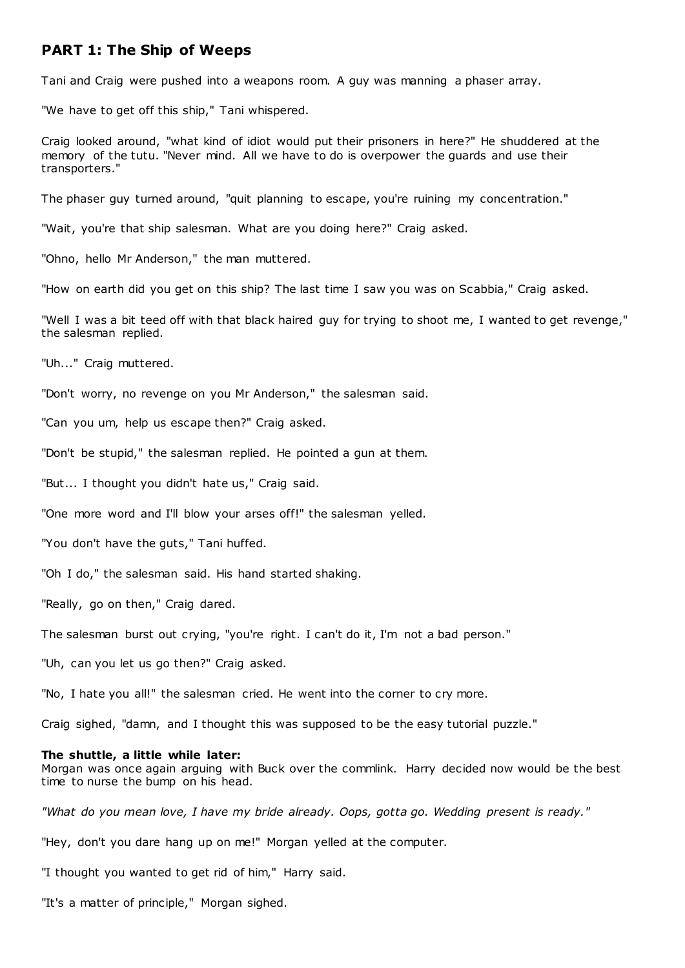# **PART 1: The Ship of Weeps**

Tani and Craig were pushed into a weapons room. A guy was manning a phaser array.

"We have to get off this ship," Tani whispered.

Craig looked around, "what kind of idiot would put their prisoners in here?" He shuddered at the memory of the tutu. "Never mind. All we have to do is overpower the guards and use their transporters."

The phaser guy turned around, "quit planning to escape, you're ruining my concentration."

"Wait, you're that ship salesman. What are you doing here?" Craig asked.

"Ohno, hello Mr Anderson," the man muttered.

"How on earth did you get on this ship? The last time I saw you was on Scabbia," Craig asked.

"Well I was a bit teed off with that black haired guy for trying to shoot me, I wanted to get revenge," the salesman replied.

"Uh..." Craig muttered.

"Don't worry, no revenge on you Mr Anderson," the salesman said.

"Can you um, help us escape then?" Craig asked.

"Don't be stupid," the salesman replied. He pointed a gun at them.

"But... I thought you didn't hate us," Craig said.

"One more word and I'll blow your arses off!" the salesman yelled.

"You don't have the guts," Tani huffed.

"Oh I do," the salesman said. His hand started shaking.

"Really, go on then," Craig dared.

The salesman burst out crying, "you're right. I can't do it, I'm not a bad person."

"Uh, can you let us go then?" Craig asked.

"No, I hate you all!" the salesman cried. He went into the corner to cry more.

Craig sighed, "damn, and I thought this was supposed to be the easy tutorial puzzle."

#### **The shuttle, a little while later:**

Morgan was once again arguing with Buck over the commlink. Harry decided now would be the best time to nurse the bump on his head.

*"What do you mean love, I have my bride already. Oops, gotta go. Wedding present is ready."*

"Hey, don't you dare hang up on me!" Morgan yelled at the computer.

"I thought you wanted to get rid of him," Harry said.

"It's a matter of principle," Morgan sighed.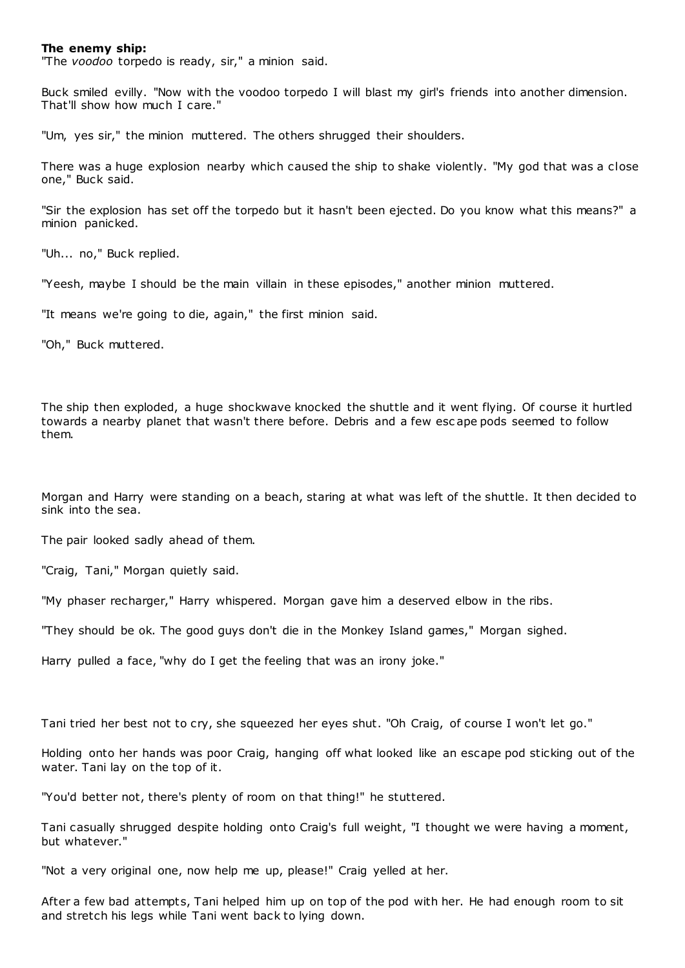#### **The enemy ship:**

"The *voodoo* torpedo is ready, sir," a minion said.

Buck smiled evilly. "Now with the voodoo torpedo I will blast my girl's friends into another dimension. That'll show how much I care."

"Um, yes sir," the minion muttered. The others shrugged their shoulders.

There was a huge explosion nearby which caused the ship to shake violently. "My god that was a close one," Buck said.

"Sir the explosion has set off the torpedo but it hasn't been ejected. Do you know what this means?" a minion panicked.

"Uh... no," Buck replied.

"Yeesh, maybe I should be the main villain in these episodes," another minion muttered.

"It means we're going to die, again," the first minion said.

"Oh," Buck muttered.

The ship then exploded, a huge shockwave knocked the shuttle and it went flying. Of course it hurtled towards a nearby planet that wasn't there before. Debris and a few esc ape pods seemed to follow them.

Morgan and Harry were standing on a beach, staring at what was left of the shuttle. It then decided to sink into the sea.

The pair looked sadly ahead of them.

"Craig, Tani," Morgan quietly said.

"My phaser recharger," Harry whispered. Morgan gave him a deserved elbow in the ribs.

"They should be ok. The good guys don't die in the Monkey Island games," Morgan sighed.

Harry pulled a face, "why do I get the feeling that was an irony joke."

Tani tried her best not to cry, she squeezed her eyes shut. "Oh Craig, of course I won't let go."

Holding onto her hands was poor Craig, hanging off what looked like an escape pod sticking out of the water. Tani lay on the top of it.

"You'd better not, there's plenty of room on that thing!" he stuttered.

Tani casually shrugged despite holding onto Craig's full weight, "I thought we were having a moment, but whatever."

"Not a very original one, now help me up, please!" Craig yelled at her.

After a few bad attempts, Tani helped him up on top of the pod with her. He had enough room to sit and stretch his legs while Tani went back to lying down.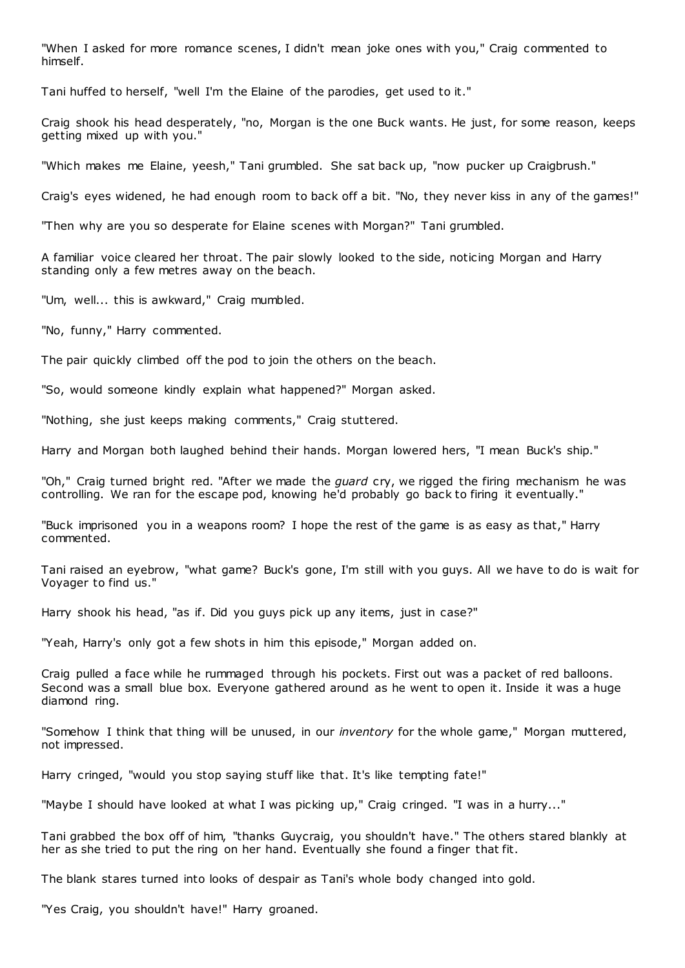"When I asked for more romance scenes, I didn't mean joke ones with you," Craig commented to himself.

Tani huffed to herself, "well I'm the Elaine of the parodies, get used to it."

Craig shook his head desperately, "no, Morgan is the one Buck wants. He just, for some reason, keeps getting mixed up with you."

"Which makes me Elaine, yeesh," Tani grumbled. She sat back up, "now pucker up Craigbrush."

Craig's eyes widened, he had enough room to back off a bit. "No, they never kiss in any of the games!"

"Then why are you so desperate for Elaine scenes with Morgan?" Tani grumbled.

A familiar voice cleared her throat. The pair slowly looked to the side, noticing Morgan and Harry standing only a few metres away on the beach.

"Um, well... this is awkward," Craig mumbled.

"No, funny," Harry commented.

The pair quickly climbed off the pod to join the others on the beach.

"So, would someone kindly explain what happened?" Morgan asked.

"Nothing, she just keeps making comments," Craig stuttered.

Harry and Morgan both laughed behind their hands. Morgan lowered hers, "I mean Buck's ship."

"Oh," Craig turned bright red. "After we made the *guard* cry, we rigged the firing mechanism he was controlling. We ran for the escape pod, knowing he'd probably go back to firing it eventually."

"Buck imprisoned you in a weapons room? I hope the rest of the game is as easy as that," Harry commented.

Tani raised an eyebrow, "what game? Buck's gone, I'm still with you guys. All we have to do is wait for Voyager to find us."

Harry shook his head, "as if. Did you guys pick up any items, just in case?"

"Yeah, Harry's only got a few shots in him this episode," Morgan added on.

Craig pulled a face while he rummaged through his pockets. First out was a packet of red balloons. Second was a small blue box. Everyone gathered around as he went to open it. Inside it was a huge diamond ring.

"Somehow I think that thing will be unused, in our *inventory* for the whole game," Morgan muttered, not impressed.

Harry cringed, "would you stop saying stuff like that. It's like tempting fate!"

"Maybe I should have looked at what I was picking up," Craig cringed. "I was in a hurry..."

Tani grabbed the box off of him, "thanks Guycraig, you shouldn't have." The others stared blankly at her as she tried to put the ring on her hand. Eventually she found a finger that fit.

The blank stares turned into looks of despair as Tani's whole body changed into gold.

"Yes Craig, you shouldn't have!" Harry groaned.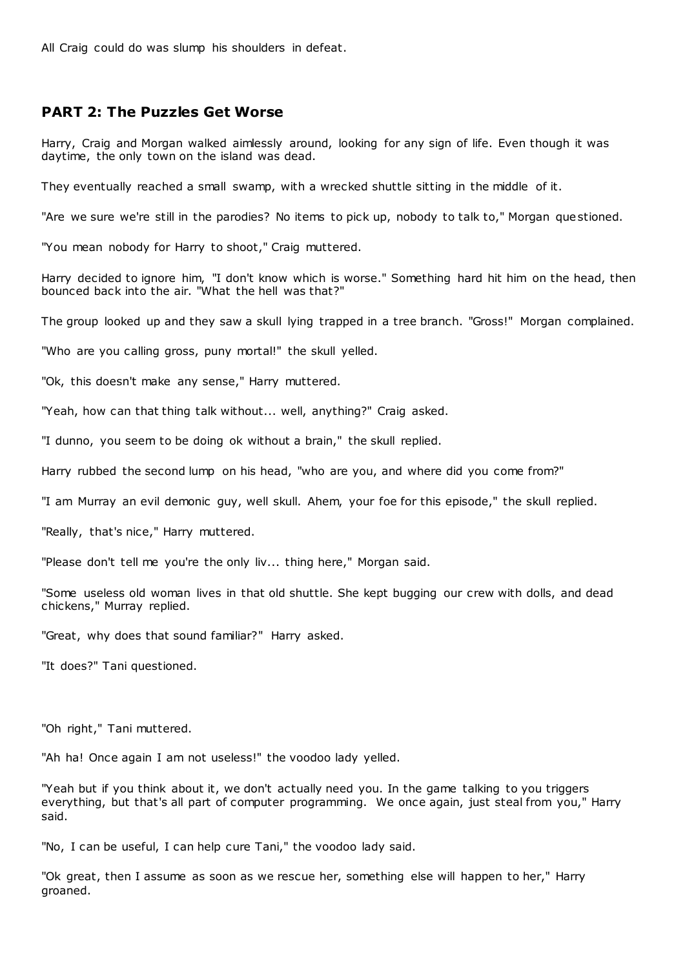All Craig could do was slump his shoulders in defeat.

## **PART 2: The Puzzles Get Worse**

Harry, Craig and Morgan walked aimlessly around, looking for any sign of life. Even though it was daytime, the only town on the island was dead.

They eventually reached a small swamp, with a wrecked shuttle sitting in the middle of it.

"Are we sure we're still in the parodies? No items to pick up, nobody to talk to," Morgan questioned.

"You mean nobody for Harry to shoot," Craig muttered.

Harry decided to ignore him, "I don't know which is worse." Something hard hit him on the head, then bounced back into the air. "What the hell was that?"

The group looked up and they saw a skull lying trapped in a tree branch. "Gross!" Morgan complained.

"Who are you calling gross, puny mortal!" the skull yelled.

"Ok, this doesn't make any sense," Harry muttered.

"Yeah, how can that thing talk without... well, anything?" Craig asked.

"I dunno, you seem to be doing ok without a brain," the skull replied.

Harry rubbed the second lump on his head, "who are you, and where did you come from?"

"I am Murray an evil demonic guy, well skull. Ahem, your foe for this episode," the skull replied.

"Really, that's nice," Harry muttered.

"Please don't tell me you're the only liv... thing here," Morgan said.

"Some useless old woman lives in that old shuttle. She kept bugging our crew with dolls, and dead chickens," Murray replied.

"Great, why does that sound familiar?" Harry asked.

"It does?" Tani questioned.

"Oh right," Tani muttered.

"Ah ha! Once again I am not useless!" the voodoo lady yelled.

"Yeah but if you think about it, we don't actually need you. In the game talking to you triggers everything, but that's all part of computer programming. We once again, just steal from you," Harry said.

"No, I can be useful, I can help cure Tani," the voodoo lady said.

"Ok great, then I assume as soon as we rescue her, something else will happen to her," Harry groaned.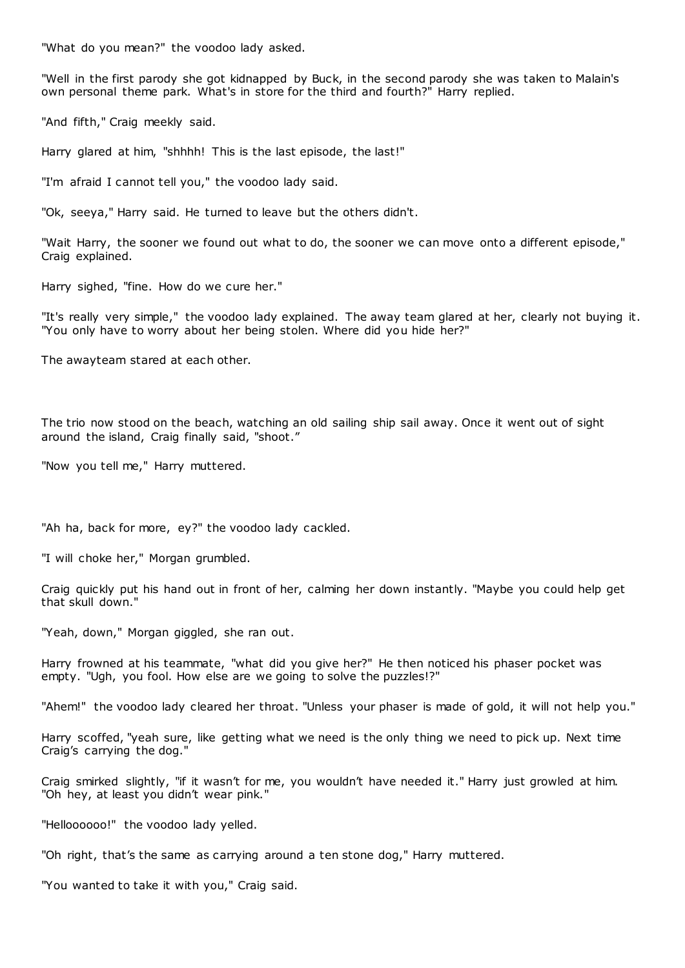"What do you mean?" the voodoo lady asked.

"Well in the first parody she got kidnapped by Buck, in the second parody she was taken to Malain's own personal theme park. What's in store for the third and fourth?" Harry replied.

"And fifth," Craig meekly said.

Harry glared at him, "shhhh! This is the last episode, the last!"

"I'm afraid I cannot tell you," the voodoo lady said.

"Ok, seeya," Harry said. He turned to leave but the others didn't.

"Wait Harry, the sooner we found out what to do, the sooner we can move onto a different episode," Craig explained.

Harry sighed, "fine. How do we cure her."

"It's really very simple," the voodoo lady explained. The away team glared at her, clearly not buying it. "You only have to worry about her being stolen. Where did you hide her?"

The awayteam stared at each other.

The trio now stood on the beach, watching an old sailing ship sail away. Once it went out of sight around the island, Craig finally said, "shoot."

"Now you tell me," Harry muttered.

"Ah ha, back for more, ey?" the voodoo lady cackled.

"I will choke her," Morgan grumbled.

Craig quickly put his hand out in front of her, calming her down instantly. "Maybe you could help get that skull down."

"Yeah, down," Morgan giggled, she ran out.

Harry frowned at his teammate, "what did you give her?" He then noticed his phaser pocket was empty. "Ugh, you fool. How else are we going to solve the puzzles!?"

"Ahem!" the voodoo lady cleared her throat. "Unless your phaser is made of gold, it will not help you."

Harry scoffed, "yeah sure, like getting what we need is the only thing we need to pick up. Next time Craig's carrying the dog."

Craig smirked slightly, "if it wasn't for me, you wouldn't have needed it." Harry just growled at him. "Oh hey, at least you didn't wear pink."

"Helloooooo!" the voodoo lady yelled.

"Oh right, that's the same as carrying around a ten stone dog," Harry muttered.

"You wanted to take it with you," Craig said.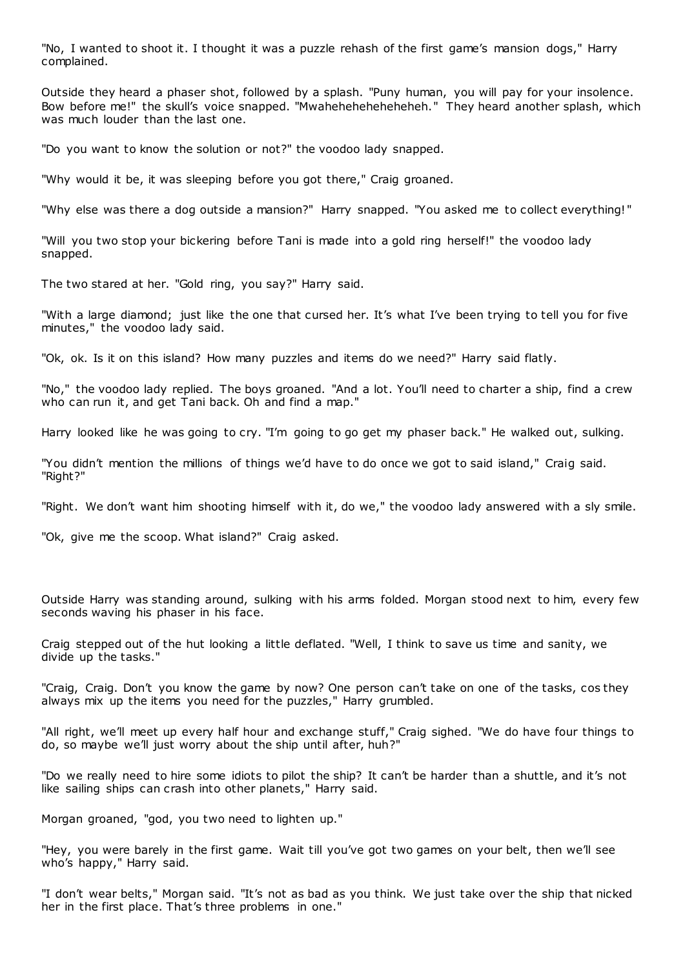"No, I wanted to shoot it. I thought it was a puzzle rehash of the first game's mansion dogs," Harry complained.

Outside they heard a phaser shot, followed by a splash. "Puny human, you will pay for your insolence. Bow before me!" the skull's voice snapped. "Mwaheheheheheheheh." They heard another splash, which was much louder than the last one.

"Do you want to know the solution or not?" the voodoo lady snapped.

"Why would it be, it was sleeping before you got there," Craig groaned.

"Why else was there a dog outside a mansion?" Harry snapped. "You asked me to collect everything! "

"Will you two stop your bickering before Tani is made into a gold ring herself!" the voodoo lady snapped.

The two stared at her. "Gold ring, you say?" Harry said.

"With a large diamond; just like the one that cursed her. It's what I've been trying to tell you for five minutes," the voodoo lady said.

"Ok, ok. Is it on this island? How many puzzles and items do we need?" Harry said flatly.

"No," the voodoo lady replied. The boys groaned. "And a lot. You'll need to charter a ship, find a crew who can run it, and get Tani back. Oh and find a map."

Harry looked like he was going to cry. "I'm going to go get my phaser back." He walked out, sulking.

"You didn't mention the millions of things we'd have to do once we got to said island," Craig said. "Right?"

"Right. We don't want him shooting himself with it, do we," the voodoo lady answered with a sly smile.

"Ok, give me the scoop. What island?" Craig asked.

Outside Harry was standing around, sulking with his arms folded. Morgan stood next to him, every few seconds waving his phaser in his face.

Craig stepped out of the hut looking a little deflated. "Well, I think to save us time and sanity, we divide up the tasks."

"Craig, Craig. Don't you know the game by now? One person can't take on one of the tasks, cos they always mix up the items you need for the puzzles," Harry grumbled.

"All right, we'll meet up every half hour and exchange stuff," Craig sighed. "We do have four things to do, so maybe we'll just worry about the ship until after, huh?"

"Do we really need to hire some idiots to pilot the ship? It can't be harder than a shuttle, and it's not like sailing ships can crash into other planets," Harry said.

Morgan groaned, "god, you two need to lighten up."

"Hey, you were barely in the first game. Wait till you've got two games on your belt, then we'll see who's happy," Harry said.

"I don't wear belts," Morgan said. "It's not as bad as you think. We just take over the ship that nicked her in the first place. That's three problems in one."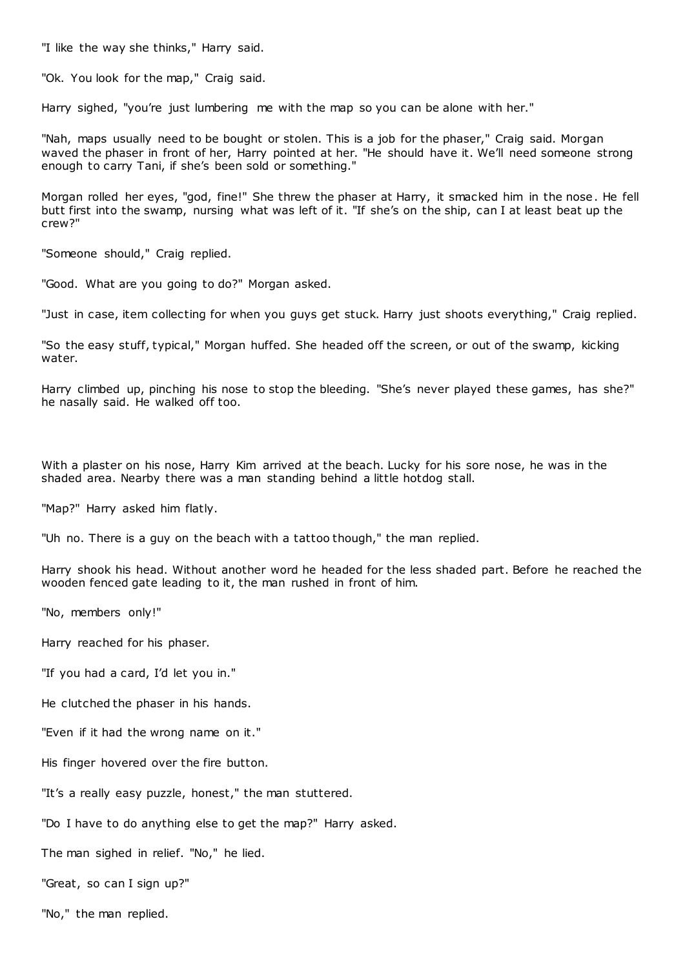"I like the way she thinks," Harry said.

"Ok. You look for the map," Craig said.

Harry sighed, "you're just lumbering me with the map so you can be alone with her."

"Nah, maps usually need to be bought or stolen. This is a job for the phaser," Craig said. Morgan waved the phaser in front of her, Harry pointed at her. "He should have it. We'll need someone strong enough to carry Tani, if she's been sold or something."

Morgan rolled her eyes, "god, fine!" She threw the phaser at Harry, it smacked him in the nose. He fell butt first into the swamp, nursing what was left of it. "If she's on the ship, can I at least beat up the crew?"

"Someone should," Craig replied.

"Good. What are you going to do?" Morgan asked.

"Just in case, item collecting for when you guys get stuck. Harry just shoots everything," Craig replied.

"So the easy stuff, typical," Morgan huffed. She headed off the screen, or out of the swamp, kicking water.

Harry climbed up, pinching his nose to stop the bleeding. "She's never played these games, has she?" he nasally said. He walked off too.

With a plaster on his nose, Harry Kim arrived at the beach. Lucky for his sore nose, he was in the shaded area. Nearby there was a man standing behind a little hotdog stall.

"Map?" Harry asked him flatly.

"Uh no. There is a guy on the beach with a tattoo though," the man replied.

Harry shook his head. Without another word he headed for the less shaded part. Before he reached the wooden fenced gate leading to it, the man rushed in front of him.

"No, members only!"

Harry reached for his phaser.

"If you had a card, I'd let you in."

He clutched the phaser in his hands.

"Even if it had the wrong name on it."

His finger hovered over the fire button.

"It's a really easy puzzle, honest," the man stuttered.

"Do I have to do anything else to get the map?" Harry asked.

The man sighed in relief. "No," he lied.

"Great, so can I sign up?"

"No," the man replied.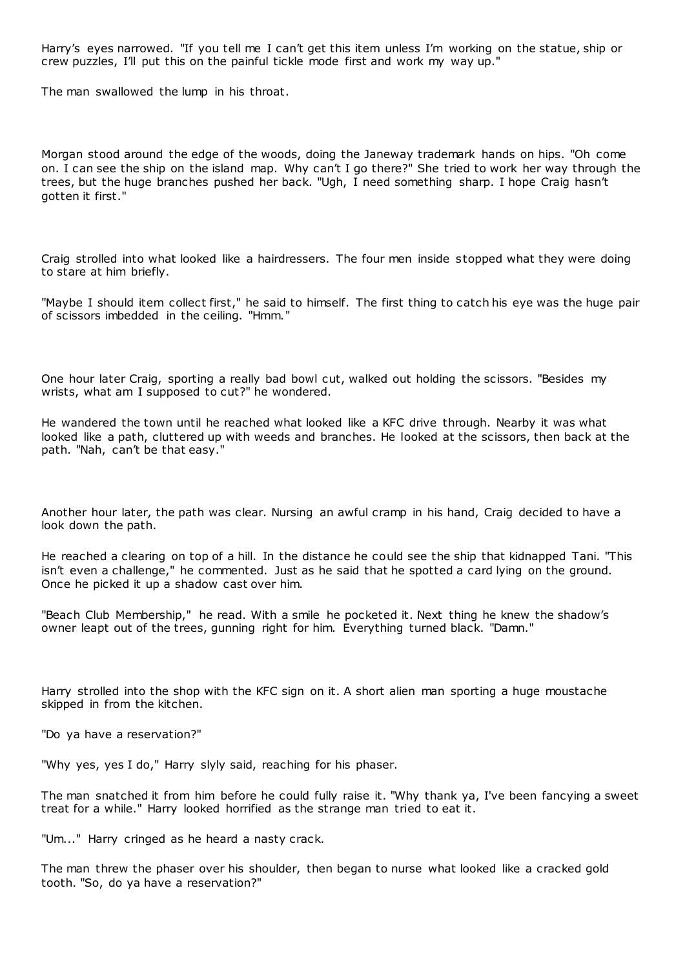Harry's eyes narrowed. "If you tell me I can't get this item unless I'm working on the statue, ship or crew puzzles, I'll put this on the painful tickle mode first and work my way up."

The man swallowed the lump in his throat.

Morgan stood around the edge of the woods, doing the Janeway trademark hands on hips. "Oh come on. I can see the ship on the island map. Why can't I go there?" She tried to work her way through the trees, but the huge branches pushed her back. "Ugh, I need something sharp. I hope Craig hasn't gotten it first."

Craig strolled into what looked like a hairdressers. The four men inside stopped what they were doing to stare at him briefly.

"Maybe I should item collect first," he said to himself. The first thing to catch his eye was the huge pair of scissors imbedded in the ceiling. "Hmm."

One hour later Craig, sporting a really bad bowl cut, walked out holding the scissors. "Besides my wrists, what am I supposed to cut?" he wondered.

He wandered the town until he reached what looked like a KFC drive through. Nearby it was what looked like a path, cluttered up with weeds and branches. He looked at the scissors, then back at the path. "Nah, can't be that easy."

Another hour later, the path was clear. Nursing an awful cramp in his hand, Craig decided to have a look down the path.

He reached a clearing on top of a hill. In the distance he could see the ship that kidnapped Tani. "This isn't even a challenge," he commented. Just as he said that he spotted a card lying on the ground. Once he picked it up a shadow cast over him.

"Beach Club Membership," he read. With a smile he pocketed it. Next thing he knew the shadow's owner leapt out of the trees, gunning right for him. Everything turned black. "Damn."

Harry strolled into the shop with the KFC sign on it. A short alien man sporting a huge moustache skipped in from the kitchen.

"Do ya have a reservation?"

"Why yes, yes I do," Harry slyly said, reaching for his phaser.

The man snatched it from him before he could fully raise it. "Why thank ya, I've been fancying a sweet treat for a while." Harry looked horrified as the strange man tried to eat it.

"Um..." Harry cringed as he heard a nasty crack.

The man threw the phaser over his shoulder, then began to nurse what looked like a cracked gold tooth. "So, do ya have a reservation?"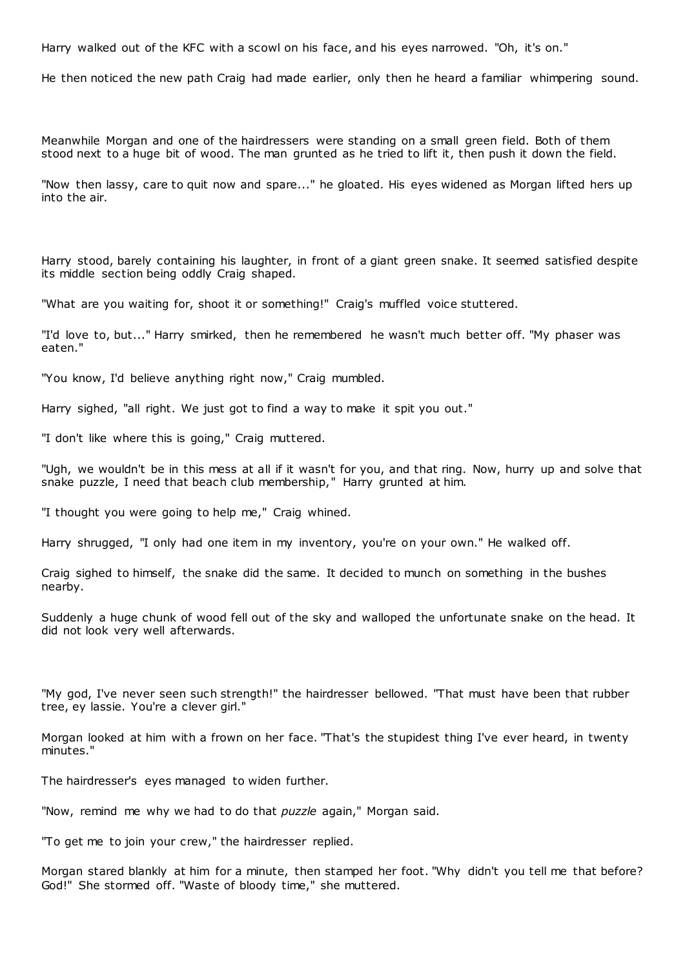Harry walked out of the KFC with a scowl on his face, and his eyes narrowed. "Oh, it's on."

He then noticed the new path Craig had made earlier, only then he heard a familiar whimpering sound.

Meanwhile Morgan and one of the hairdressers were standing on a small green field. Both of them stood next to a huge bit of wood. The man grunted as he tried to lift it, then push it down the field.

"Now then lassy, care to quit now and spare..." he gloated. His eyes widened as Morgan lifted hers up into the air.

Harry stood, barely containing his laughter, in front of a giant green snake. It seemed satisfied despite its middle section being oddly Craig shaped.

"What are you waiting for, shoot it or something!" Craig's muffled voice stuttered.

"I'd love to, but..." Harry smirked, then he remembered he wasn't much better off. "My phaser was eaten."

"You know, I'd believe anything right now," Craig mumbled.

Harry sighed, "all right. We just got to find a way to make it spit you out."

"I don't like where this is going," Craig muttered.

"Ugh, we wouldn't be in this mess at all if it wasn't for you, and that ring. Now, hurry up and solve that snake puzzle, I need that beach club membership," Harry grunted at him.

"I thought you were going to help me," Craig whined.

Harry shrugged, "I only had one item in my inventory, you're on your own." He walked off.

Craig sighed to himself, the snake did the same. It decided to munch on something in the bushes nearby.

Suddenly a huge chunk of wood fell out of the sky and walloped the unfortunate snake on the head. It did not look very well afterwards.

"My god, I've never seen such strength!" the hairdresser bellowed. "That must have been that rubber tree, ey lassie. You're a clever girl."

Morgan looked at him with a frown on her face. "That's the stupidest thing I've ever heard, in twenty minutes."

The hairdresser's eyes managed to widen further.

"Now, remind me why we had to do that *puzzle* again," Morgan said.

"To get me to join your crew," the hairdresser replied.

Morgan stared blankly at him for a minute, then stamped her foot. "Why didn't you tell me that before? God!" She stormed off. "Waste of bloody time," she muttered.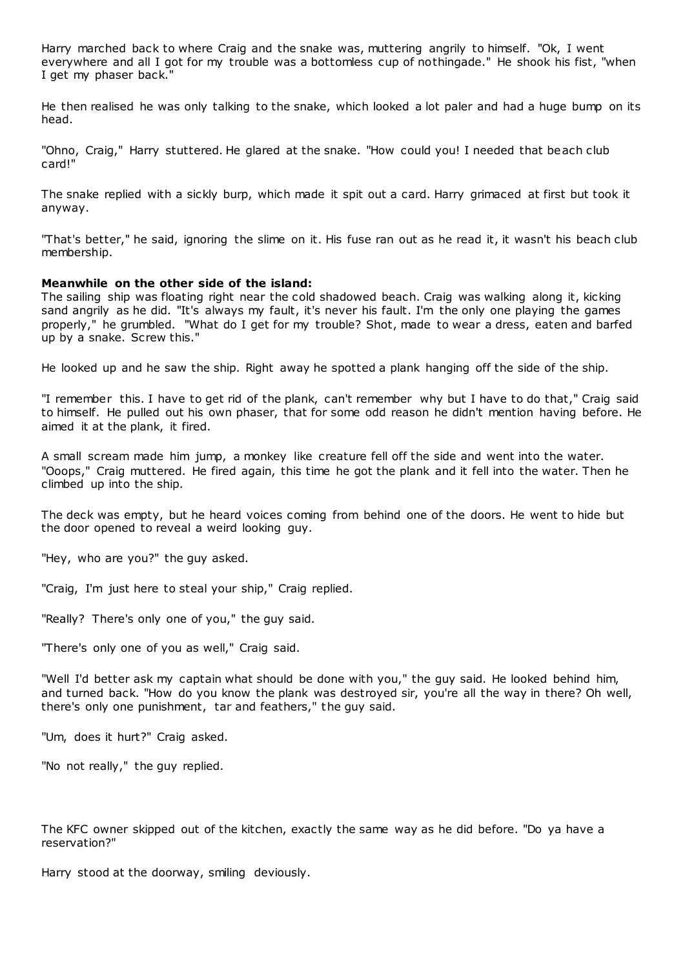Harry marched back to where Craig and the snake was, muttering angrily to himself. "Ok, I went everywhere and all I got for my trouble was a bottomless cup of nothingade." He shook his fist, "when I get my phaser back."

He then realised he was only talking to the snake, which looked a lot paler and had a huge bump on its head.

"Ohno, Craig," Harry stuttered. He glared at the snake. "How could you! I needed that beach club card!"

The snake replied with a sickly burp, which made it spit out a card. Harry grimaced at first but took it anyway.

"That's better," he said, ignoring the slime on it. His fuse ran out as he read it, it wasn't his beach club membership.

### **Meanwhile on the other side of the island:**

The sailing ship was floating right near the cold shadowed beach. Craig was walking along it, kicking sand angrily as he did. "It's always my fault, it's never his fault. I'm the only one playing the games properly," he grumbled. "What do I get for my trouble? Shot, made to wear a dress, eaten and barfed up by a snake. Screw this."

He looked up and he saw the ship. Right away he spotted a plank hanging off the side of the ship.

"I remember this. I have to get rid of the plank, can't remember why but I have to do that," Craig said to himself. He pulled out his own phaser, that for some odd reason he didn't mention having before. He aimed it at the plank, it fired.

A small scream made him jump, a monkey like creature fell off the side and went into the water. "Ooops," Craig muttered. He fired again, this time he got the plank and it fell into the water. Then he climbed up into the ship.

The deck was empty, but he heard voices coming from behind one of the doors. He went to hide but the door opened to reveal a weird looking guy.

"Hey, who are you?" the guy asked.

"Craig, I'm just here to steal your ship," Craig replied.

"Really? There's only one of you," the guy said.

"There's only one of you as well," Craig said.

"Well I'd better ask my captain what should be done with you," the guy said. He looked behind him, and turned back. "How do you know the plank was destroyed sir, you're all the way in there? Oh well, there's only one punishment, tar and feathers," the guy said.

"Um, does it hurt?" Craig asked.

"No not really," the guy replied.

The KFC owner skipped out of the kitchen, exactly the same way as he did before. "Do ya have a reservation?"

Harry stood at the doorway, smiling deviously.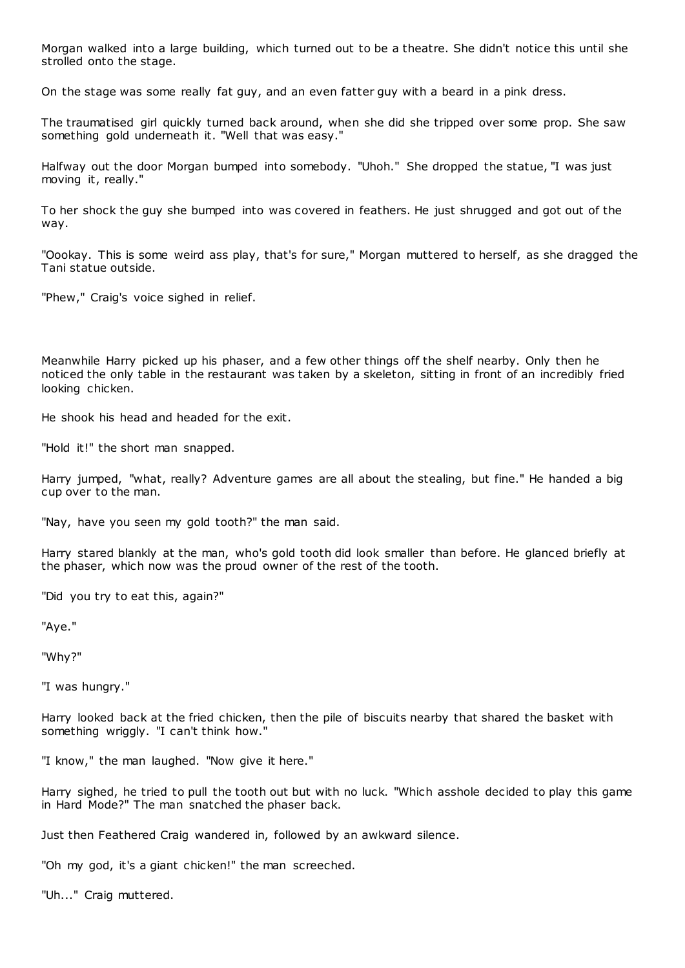Morgan walked into a large building, which turned out to be a theatre. She didn't notice this until she strolled onto the stage.

On the stage was some really fat guy, and an even fatter guy with a beard in a pink dress.

The traumatised girl quickly turned back around, when she did she tripped over some prop. She saw something gold underneath it. "Well that was easy."

Halfway out the door Morgan bumped into somebody. "Uhoh." She dropped the statue, "I was just moving it, really."

To her shock the guy she bumped into was covered in feathers. He just shrugged and got out of the way.

"Oookay. This is some weird ass play, that's for sure," Morgan muttered to herself, as she dragged the Tani statue outside.

"Phew," Craig's voice sighed in relief.

Meanwhile Harry picked up his phaser, and a few other things off the shelf nearby. Only then he noticed the only table in the restaurant was taken by a skeleton, sitting in front of an incredibly fried looking chicken.

He shook his head and headed for the exit.

"Hold it!" the short man snapped.

Harry jumped, "what, really? Adventure games are all about the stealing, but fine." He handed a big cup over to the man.

"Nay, have you seen my gold tooth?" the man said.

Harry stared blankly at the man, who's gold tooth did look smaller than before. He glanced briefly at the phaser, which now was the proud owner of the rest of the tooth.

"Did you try to eat this, again?"

"Aye."

"Why?"

"I was hungry."

Harry looked back at the fried chicken, then the pile of biscuits nearby that shared the basket with something wriggly. "I can't think how."

"I know," the man laughed. "Now give it here."

Harry sighed, he tried to pull the tooth out but with no luck. "Which asshole decided to play this game in Hard Mode?" The man snatched the phaser back.

Just then Feathered Craig wandered in, followed by an awkward silence.

"Oh my god, it's a giant chicken!" the man screeched.

"Uh..." Craig muttered.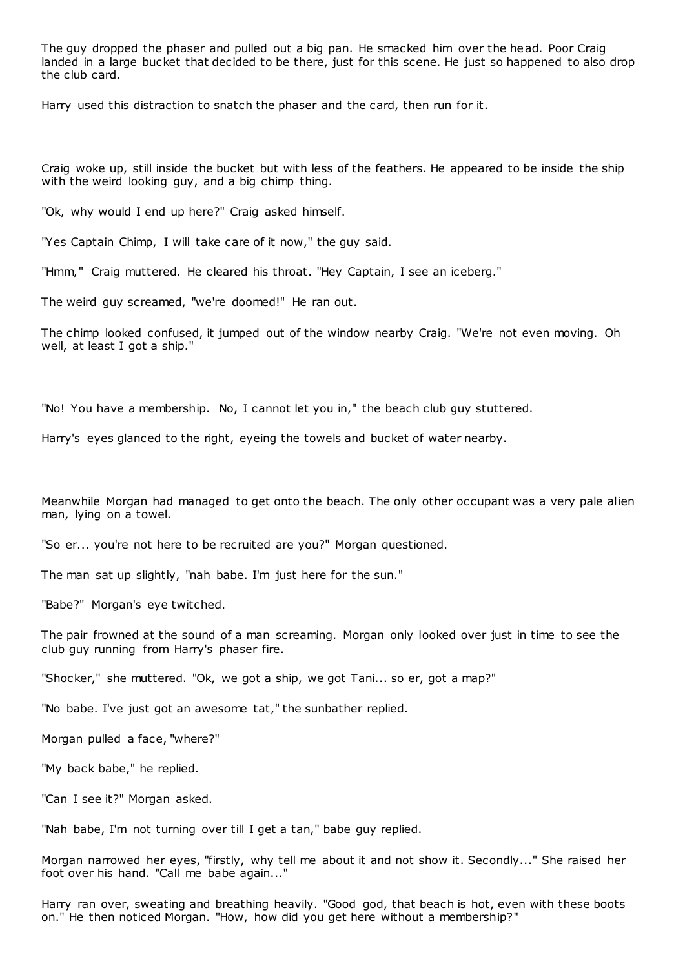The guy dropped the phaser and pulled out a big pan. He smacked him over the head. Poor Craig landed in a large bucket that decided to be there, just for this scene. He just so happened to also drop the club card.

Harry used this distraction to snatch the phaser and the card, then run for it.

Craig woke up, still inside the bucket but with less of the feathers. He appeared to be inside the ship with the weird looking guy, and a big chimp thing.

"Ok, why would I end up here?" Craig asked himself.

"Yes Captain Chimp, I will take care of it now," the guy said.

"Hmm," Craig muttered. He cleared his throat. "Hey Captain, I see an iceberg."

The weird guy screamed, "we're doomed!" He ran out.

The chimp looked confused, it jumped out of the window nearby Craig. "We're not even moving. Oh well, at least I got a ship."

"No! You have a membership. No, I cannot let you in," the beach club guy stuttered.

Harry's eyes glanced to the right, eyeing the towels and bucket of water nearby.

Meanwhile Morgan had managed to get onto the beach. The only other occupant was a very pale alien man, lying on a towel.

"So er... you're not here to be recruited are you?" Morgan questioned.

The man sat up slightly, "nah babe. I'm just here for the sun."

"Babe?" Morgan's eye twitched.

The pair frowned at the sound of a man screaming. Morgan only looked over just in time to see the club guy running from Harry's phaser fire.

"Shocker," she muttered. "Ok, we got a ship, we got Tani... so er, got a map?"

"No babe. I've just got an awesome tat," the sunbather replied.

Morgan pulled a face, "where?"

"My back babe," he replied.

"Can I see it?" Morgan asked.

"Nah babe, I'm not turning over till I get a tan," babe guy replied.

Morgan narrowed her eyes, "firstly, why tell me about it and not show it. Secondly..." She raised her foot over his hand. "Call me babe again..."

Harry ran over, sweating and breathing heavily. "Good god, that beach is hot, even with these boots on." He then noticed Morgan. "How, how did you get here without a membership?"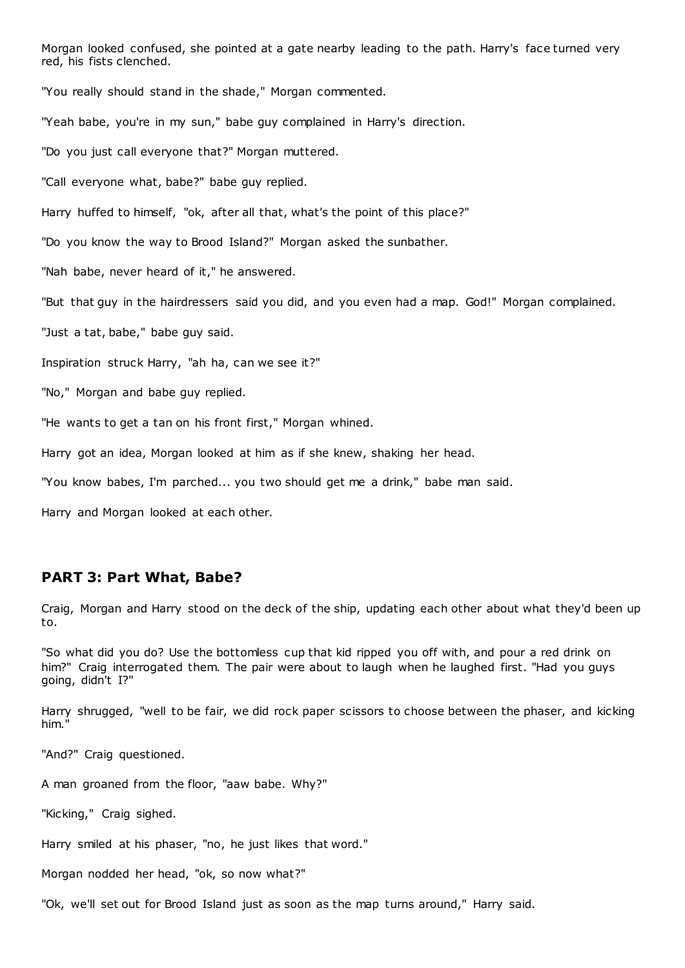Morgan looked confused, she pointed at a gate nearby leading to the path. Harry's face turned very red, his fists clenched.

"You really should stand in the shade," Morgan commented.

"Yeah babe, you're in my sun," babe guy complained in Harry's direction.

"Do you just call everyone that?" Morgan muttered.

"Call everyone what, babe?" babe guy replied.

Harry huffed to himself, "ok, after all that, what's the point of this place?"

"Do you know the way to Brood Island?" Morgan asked the sunbather.

"Nah babe, never heard of it," he answered.

"But that guy in the hairdressers said you did, and you even had a map. God!" Morgan complained.

"Just a tat, babe," babe guy said.

Inspiration struck Harry, "ah ha, can we see it?"

"No," Morgan and babe guy replied.

"He wants to get a tan on his front first," Morgan whined.

Harry got an idea, Morgan looked at him as if she knew, shaking her head.

"You know babes, I'm parched... you two should get me a drink," babe man said.

Harry and Morgan looked at each other.

### **PART 3: Part What, Babe?**

Craig, Morgan and Harry stood on the deck of the ship, updating each other about what they'd been up to.

"So what did you do? Use the bottomless cup that kid ripped you off with, and pour a red drink on him?" Craig interrogated them. The pair were about to laugh when he laughed first. "Had you guys going, didn't I?"

Harry shrugged, "well to be fair, we did rock paper scissors to choose between the phaser, and kicking him."

"And?" Craig questioned.

A man groaned from the floor, "aaw babe. Why?"

"Kicking," Craig sighed.

Harry smiled at his phaser, "no, he just likes that word."

Morgan nodded her head, "ok, so now what?"

"Ok, we'll set out for Brood Island just as soon as the map turns around," Harry said.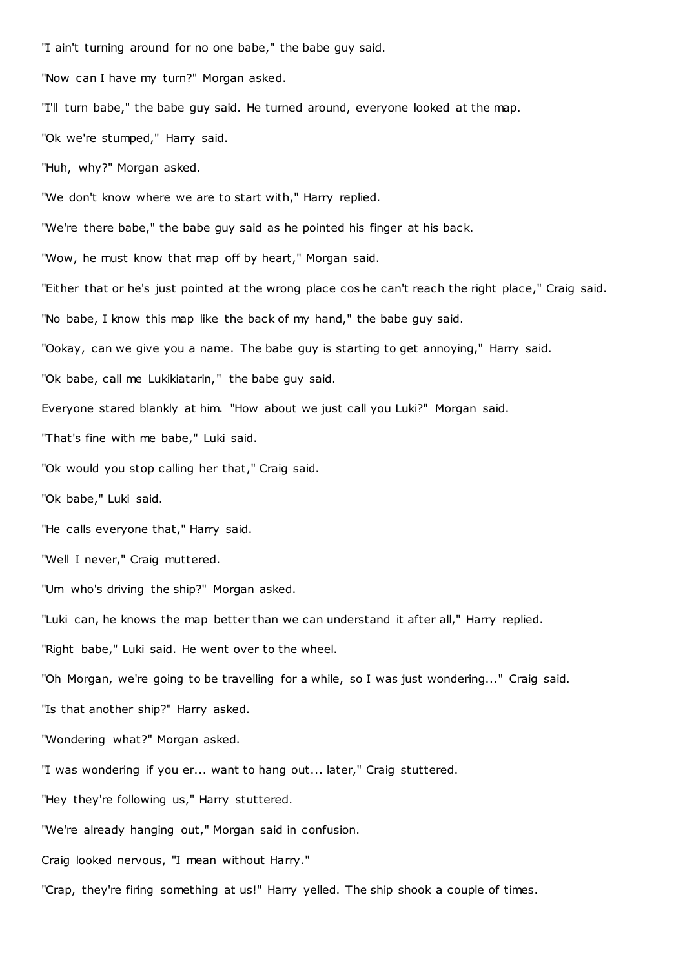"I ain't turning around for no one babe," the babe guy said. "Now can I have my turn?" Morgan asked. "I'll turn babe," the babe guy said. He turned around, everyone looked at the map. "Ok we're stumped," Harry said. "Huh, why?" Morgan asked. "We don't know where we are to start with," Harry replied. "We're there babe," the babe guy said as he pointed his finger at his back. "Wow, he must know that map off by heart," Morgan said. "Either that or he's just pointed at the wrong place cos he can't reach the right place," Craig said. "No babe, I know this map like the back of my hand," the babe guy said. "Ookay, can we give you a name. The babe guy is starting to get annoying," Harry said. "Ok babe, call me Lukikiatarin," the babe guy said. Everyone stared blankly at him. "How about we just call you Luki?" Morgan said. "That's fine with me babe," Luki said. "Ok would you stop calling her that," Craig said. "Ok babe," Luki said. "He calls everyone that," Harry said. "Well I never," Craig muttered. "Um who's driving the ship?" Morgan asked. "Luki can, he knows the map better than we can understand it after all," Harry replied. "Right babe," Luki said. He went over to the wheel. "Oh Morgan, we're going to be travelling for a while, so I was just wondering..." Craig said. "Is that another ship?" Harry asked. "Wondering what?" Morgan asked. "I was wondering if you er... want to hang out... later," Craig stuttered. "Hey they're following us," Harry stuttered. "We're already hanging out," Morgan said in confusion. Craig looked nervous, "I mean without Harry." "Crap, they're firing something at us!" Harry yelled. The ship shook a couple of times.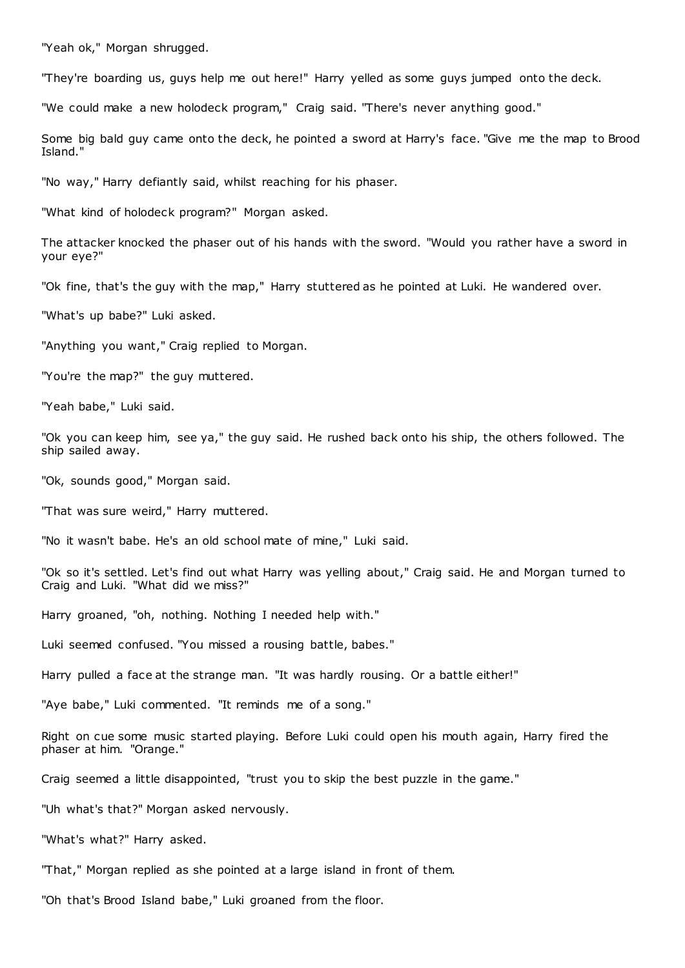"Yeah ok," Morgan shrugged.

"They're boarding us, guys help me out here!" Harry yelled as some guys jumped onto the deck.

"We could make a new holodeck program," Craig said. "There's never anything good."

Some big bald guy came onto the deck, he pointed a sword at Harry's face. "Give me the map to Brood Island."

"No way," Harry defiantly said, whilst reaching for his phaser.

"What kind of holodeck program?" Morgan asked.

The attacker knocked the phaser out of his hands with the sword. "Would you rather have a sword in your eye?"

"Ok fine, that's the guy with the map," Harry stuttered as he pointed at Luki. He wandered over.

"What's up babe?" Luki asked.

"Anything you want," Craig replied to Morgan.

"You're the map?" the guy muttered.

"Yeah babe," Luki said.

"Ok you can keep him, see ya," the guy said. He rushed back onto his ship, the others followed. The ship sailed away.

"Ok, sounds good," Morgan said.

"That was sure weird," Harry muttered.

"No it wasn't babe. He's an old school mate of mine," Luki said.

"Ok so it's settled. Let's find out what Harry was yelling about," Craig said. He and Morgan turned to Craig and Luki. "What did we miss?"

Harry groaned, "oh, nothing. Nothing I needed help with."

Luki seemed confused. "You missed a rousing battle, babes."

Harry pulled a face at the strange man. "It was hardly rousing. Or a battle either!"

"Aye babe," Luki commented. "It reminds me of a song."

Right on cue some music started playing. Before Luki could open his mouth again, Harry fired the phaser at him. "Orange."

Craig seemed a little disappointed, "trust you to skip the best puzzle in the game."

"Uh what's that?" Morgan asked nervously.

"What's what?" Harry asked.

"That," Morgan replied as she pointed at a large island in front of them.

"Oh that's Brood Island babe," Luki groaned from the floor.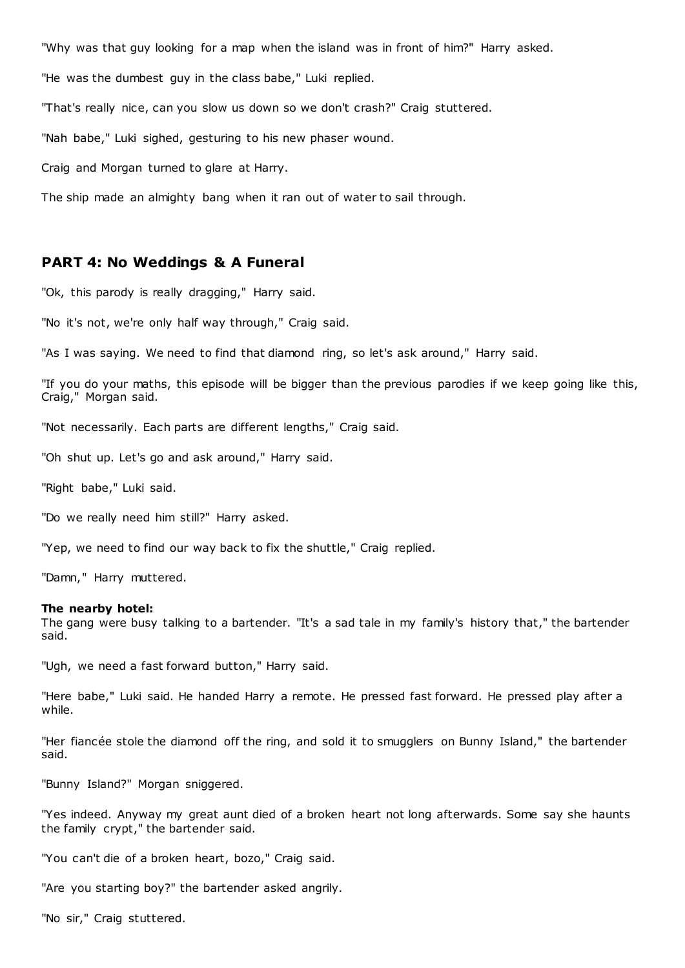"Why was that guy looking for a map when the island was in front of him?" Harry asked.

"He was the dumbest guy in the class babe," Luki replied.

"That's really nice, can you slow us down so we don't crash?" Craig stuttered.

"Nah babe," Luki sighed, gesturing to his new phaser wound.

Craig and Morgan turned to glare at Harry.

The ship made an almighty bang when it ran out of water to sail through.

### **PART 4: No Weddings & A Funeral**

"Ok, this parody is really dragging," Harry said.

"No it's not, we're only half way through," Craig said.

"As I was saying. We need to find that diamond ring, so let's ask around," Harry said.

"If you do your maths, this episode will be bigger than the previous parodies if we keep going like this, Craig," Morgan said.

"Not necessarily. Each parts are different lengths," Craig said.

"Oh shut up. Let's go and ask around," Harry said.

"Right babe," Luki said.

"Do we really need him still?" Harry asked.

"Yep, we need to find our way back to fix the shuttle," Craig replied.

"Damn," Harry muttered.

#### **The nearby hotel:**

The gang were busy talking to a bartender. "It's a sad tale in my family's history that," the bartender said.

"Ugh, we need a fast forward button," Harry said.

"Here babe," Luki said. He handed Harry a remote. He pressed fast forward. He pressed play after a while.

"Her fiancée stole the diamond off the ring, and sold it to smugglers on Bunny Island," the bartender said.

"Bunny Island?" Morgan sniggered.

"Yes indeed. Anyway my great aunt died of a broken heart not long afterwards. Some say she haunts the family crypt," the bartender said.

"You can't die of a broken heart, bozo," Craig said.

"Are you starting boy?" the bartender asked angrily.

"No sir," Craig stuttered.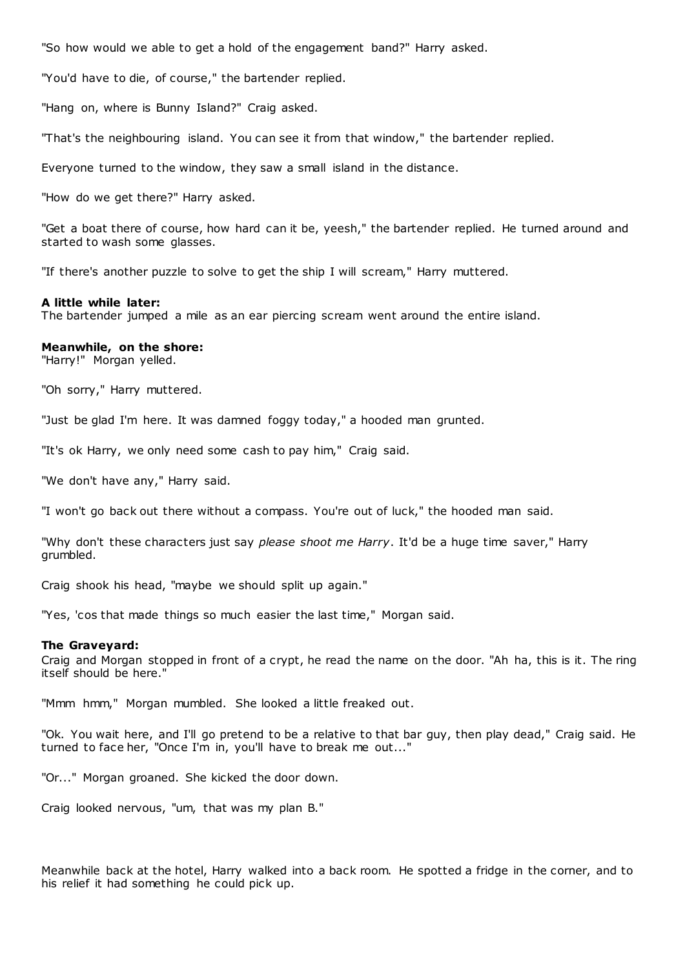"So how would we able to get a hold of the engagement band?" Harry asked.

"You'd have to die, of course," the bartender replied.

"Hang on, where is Bunny Island?" Craig asked.

"That's the neighbouring island. You can see it from that window," the bartender replied.

Everyone turned to the window, they saw a small island in the distance.

"How do we get there?" Harry asked.

"Get a boat there of course, how hard can it be, yeesh," the bartender replied. He turned around and started to wash some glasses.

"If there's another puzzle to solve to get the ship I will scream," Harry muttered.

#### **A little while later:**

The bartender jumped a mile as an ear piercing scream went around the entire island.

#### **Meanwhile, on the shore:**

"Harry!" Morgan yelled.

"Oh sorry," Harry muttered.

"Just be glad I'm here. It was damned foggy today," a hooded man grunted.

"It's ok Harry, we only need some cash to pay him," Craig said.

"We don't have any," Harry said.

"I won't go back out there without a compass. You're out of luck," the hooded man said.

"Why don't these characters just say *please shoot me Harry*. It'd be a huge time saver," Harry grumbled.

Craig shook his head, "maybe we should split up again."

"Yes, 'cos that made things so much easier the last time," Morgan said.

#### **The Graveyard:**

Craig and Morgan stopped in front of a crypt, he read the name on the door. "Ah ha, this is it. The ring itself should be here."

"Mmm hmm," Morgan mumbled. She looked a little freaked out.

"Ok. You wait here, and I'll go pretend to be a relative to that bar guy, then play dead," Craig said. He turned to face her, "Once I'm in, you'll have to break me out..."

"Or..." Morgan groaned. She kicked the door down.

Craig looked nervous, "um, that was my plan B."

Meanwhile back at the hotel, Harry walked into a back room. He spotted a fridge in the corner, and to his relief it had something he could pick up.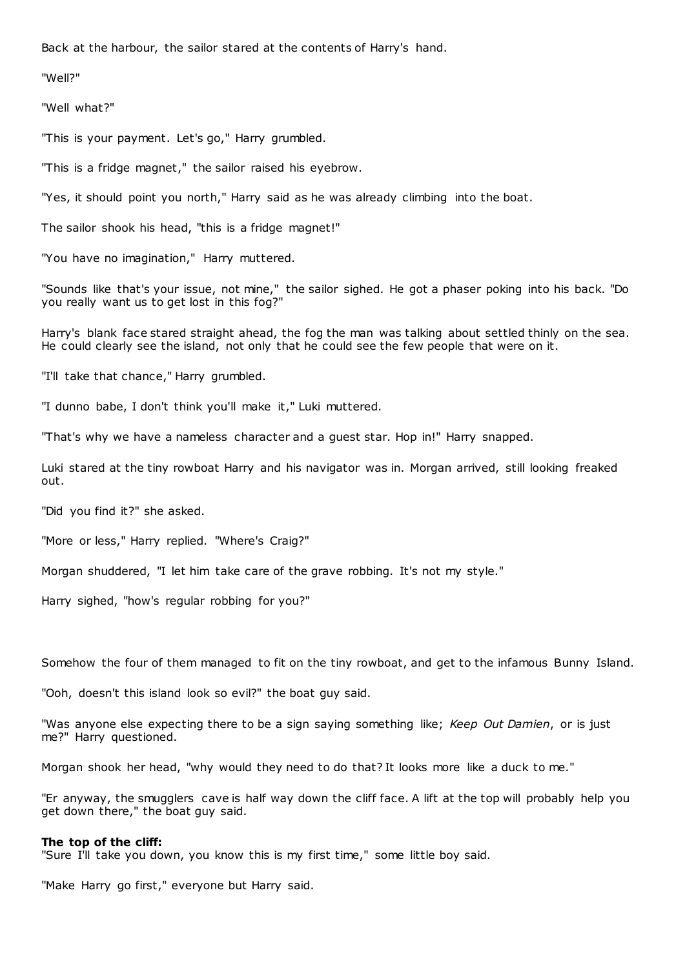Back at the harbour, the sailor stared at the contents of Harry's hand.

"Well?"

"Well what?"

"This is your payment. Let's go," Harry grumbled.

"This is a fridge magnet," the sailor raised his eyebrow.

"Yes, it should point you north," Harry said as he was already climbing into the boat.

The sailor shook his head, "this is a fridge magnet!"

"You have no imagination," Harry muttered.

"Sounds like that's your issue, not mine," the sailor sighed. He got a phaser poking into his back. "Do you really want us to get lost in this fog?"

Harry's blank face stared straight ahead, the fog the man was talking about settled thinly on the sea. He could clearly see the island, not only that he could see the few people that were on it.

"I'll take that chance," Harry grumbled.

"I dunno babe, I don't think you'll make it," Luki muttered.

"That's why we have a nameless character and a guest star. Hop in!" Harry snapped.

Luki stared at the tiny rowboat Harry and his navigator was in. Morgan arrived, still looking freaked out.

"Did you find it?" she asked.

"More or less," Harry replied. "Where's Craig?"

Morgan shuddered, "I let him take care of the grave robbing. It's not my style."

Harry sighed, "how's regular robbing for you?"

Somehow the four of them managed to fit on the tiny rowboat, and get to the infamous Bunny Island.

"Ooh, doesn't this island look so evil?" the boat guy said.

"Was anyone else expecting there to be a sign saying something like; *Keep Out Damien*, or is just me?" Harry questioned.

Morgan shook her head, "why would they need to do that? It looks more like a duck to me."

"Er anyway, the smugglers cave is half way down the cliff face. A lift at the top will probably help you get down there," the boat guy said.

#### **The top of the cliff:**

"Sure I'll take you down, you know this is my first time," some little boy said.

"Make Harry go first," everyone but Harry said.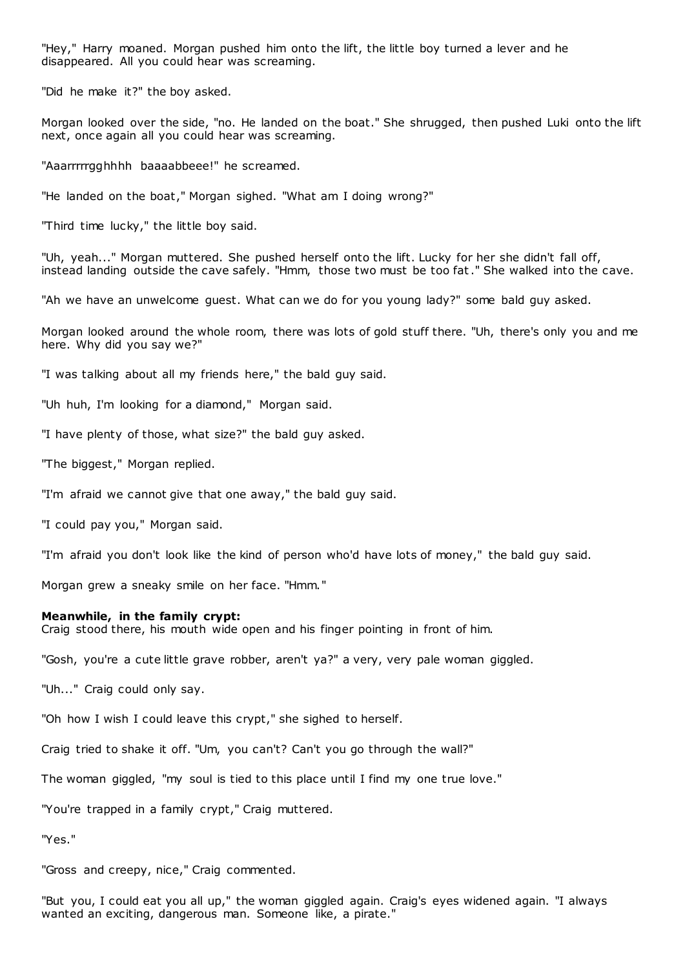"Hey," Harry moaned. Morgan pushed him onto the lift, the little boy turned a lever and he disappeared. All you could hear was screaming.

"Did he make it?" the boy asked.

Morgan looked over the side, "no. He landed on the boat." She shrugged, then pushed Luki onto the lift next, once again all you could hear was screaming.

"Aaarrrrrgghhhh baaaabbeee!" he screamed.

"He landed on the boat," Morgan sighed. "What am I doing wrong?"

"Third time lucky," the little boy said.

"Uh, yeah..." Morgan muttered. She pushed herself onto the lift. Lucky for her she didn't fall off, instead landing outside the cave safely. "Hmm, those two must be too fat." She walked into the cave.

"Ah we have an unwelcome guest. What can we do for you young lady?" some bald guy asked.

Morgan looked around the whole room, there was lots of gold stuff there. "Uh, there's only you and me here. Why did you say we?"

"I was talking about all my friends here," the bald guy said.

"Uh huh, I'm looking for a diamond," Morgan said.

"I have plenty of those, what size?" the bald guy asked.

"The biggest," Morgan replied.

"I'm afraid we cannot give that one away," the bald guy said.

"I could pay you," Morgan said.

"I'm afraid you don't look like the kind of person who'd have lots of money," the bald guy said.

Morgan grew a sneaky smile on her face. "Hmm."

#### **Meanwhile, in the family crypt:**

Craig stood there, his mouth wide open and his finger pointing in front of him.

"Gosh, you're a cute little grave robber, aren't ya?" a very, very pale woman giggled.

"Uh..." Craig could only say.

"Oh how I wish I could leave this crypt," she sighed to herself.

Craig tried to shake it off. "Um, you can't? Can't you go through the wall?"

The woman giggled, "my soul is tied to this place until I find my one true love."

"You're trapped in a family crypt," Craig muttered.

"Yes."

"Gross and creepy, nice," Craig commented.

"But you, I could eat you all up," the woman giggled again. Craig's eyes widened again. "I always wanted an exciting, dangerous man. Someone like, a pirate."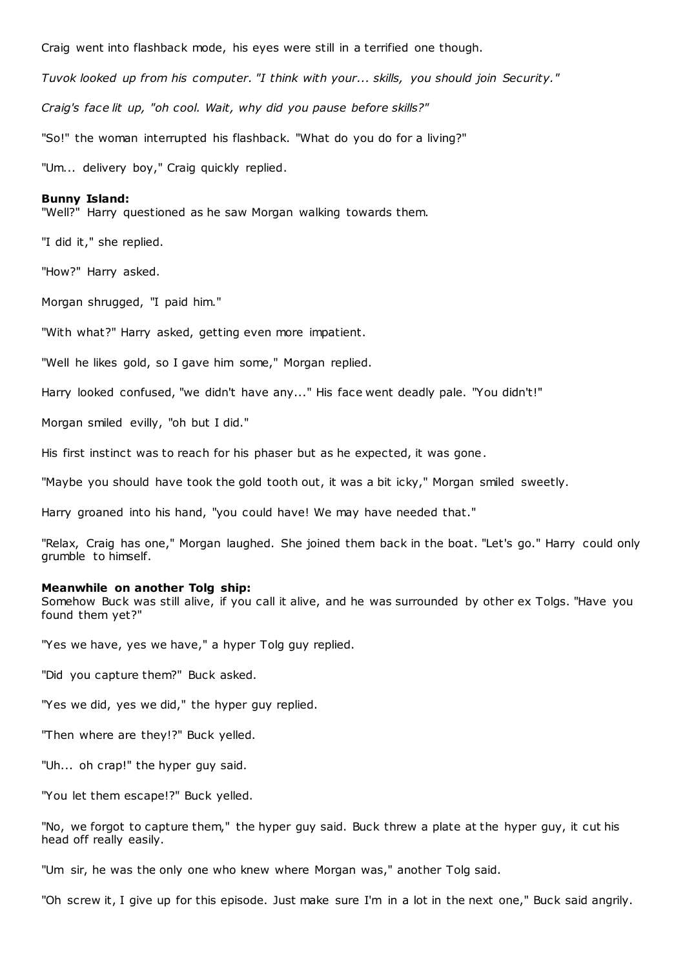Craig went into flashback mode, his eyes were still in a terrified one though. *Tuvok looked up from his computer. "I think with your... skills, you should join Security." Craig's face lit up, "oh cool. Wait, why did you pause before skills?"* "So!" the woman interrupted his flashback. "What do you do for a living?" "Um... delivery boy," Craig quickly replied.

#### **Bunny Island:**

"Well?" Harry questioned as he saw Morgan walking towards them.

"I did it," she replied.

"How?" Harry asked.

Morgan shrugged, "I paid him."

"With what?" Harry asked, getting even more impatient.

"Well he likes gold, so I gave him some," Morgan replied.

Harry looked confused, "we didn't have any..." His face went deadly pale. "You didn't!"

Morgan smiled evilly, "oh but I did."

His first instinct was to reach for his phaser but as he expected, it was gone.

"Maybe you should have took the gold tooth out, it was a bit icky," Morgan smiled sweetly.

Harry groaned into his hand, "you could have! We may have needed that."

"Relax, Craig has one," Morgan laughed. She joined them back in the boat. "Let's go." Harry could only grumble to himself.

#### **Meanwhile on another Tolg ship:**

Somehow Buck was still alive, if you call it alive, and he was surrounded by other ex Tolgs. "Have you found them yet?"

"Yes we have, yes we have," a hyper Tolg guy replied.

"Did you capture them?" Buck asked.

"Yes we did, yes we did," the hyper guy replied.

"Then where are they!?" Buck yelled.

"Uh... oh crap!" the hyper guy said.

"You let them escape!?" Buck yelled.

"No, we forgot to capture them," the hyper guy said. Buck threw a plate at the hyper guy, it cut his head off really easily.

"Um sir, he was the only one who knew where Morgan was," another Tolg said.

"Oh screw it, I give up for this episode. Just make sure I'm in a lot in the next one," Buck said angrily.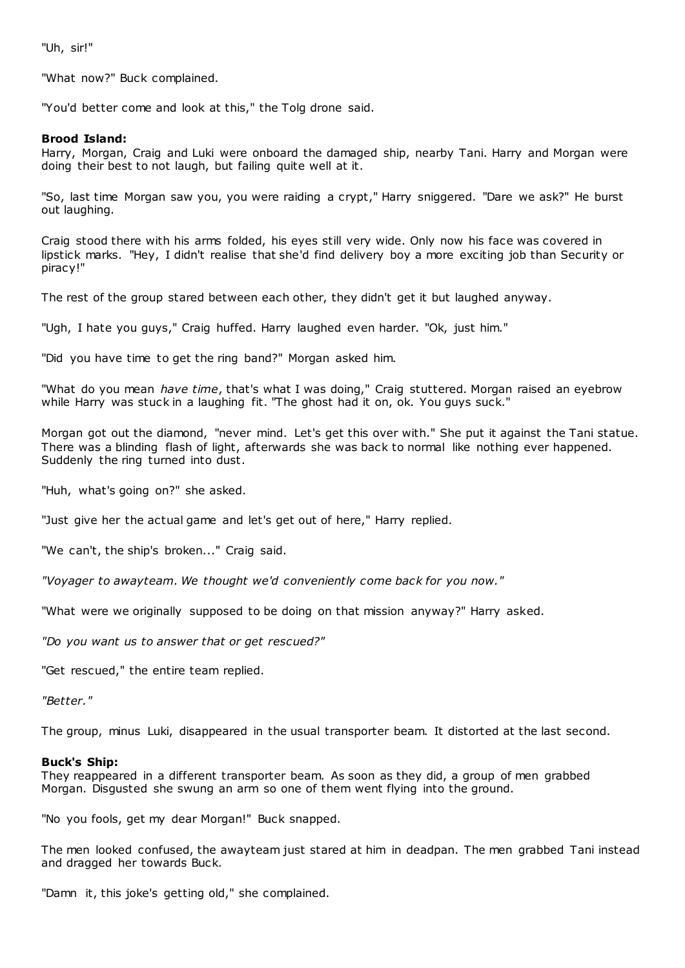"Uh, sir!"

"What now?" Buck complained.

"You'd better come and look at this," the Tolg drone said.

### **Brood Island:**

Harry, Morgan, Craig and Luki were onboard the damaged ship, nearby Tani. Harry and Morgan were doing their best to not laugh, but failing quite well at it.

"So, last time Morgan saw you, you were raiding a crypt," Harry sniggered. "Dare we ask?" He burst out laughing.

Craig stood there with his arms folded, his eyes still very wide. Only now his face was covered in lipstick marks. "Hey, I didn't realise that she'd find delivery boy a more exciting job than Security or piracy!"

The rest of the group stared between each other, they didn't get it but laughed anyway.

"Ugh, I hate you guys," Craig huffed. Harry laughed even harder. "Ok, just him."

"Did you have time to get the ring band?" Morgan asked him.

"What do you mean *have time*, that's what I was doing," Craig stuttered. Morgan raised an eyebrow while Harry was stuck in a laughing fit. "The ghost had it on, ok. You guys suck."

Morgan got out the diamond, "never mind. Let's get this over with." She put it against the Tani statue. There was a blinding flash of light, afterwards she was back to normal like nothing ever happened. Suddenly the ring turned into dust.

"Huh, what's going on?" she asked.

"Just give her the actual game and let's get out of here," Harry replied.

"We can't, the ship's broken..." Craig said.

*"Voyager to awayteam. We thought we'd conveniently come back for you now."*

"What were we originally supposed to be doing on that mission anyway?" Harry asked.

*"Do you want us to answer that or get rescued?"*

"Get rescued," the entire team replied.

*"Better."*

The group, minus Luki, disappeared in the usual transporter beam. It distorted at the last second.

### **Buck's Ship:**

They reappeared in a different transporter beam. As soon as they did, a group of men grabbed Morgan. Disgusted she swung an arm so one of them went flying into the ground.

"No you fools, get my dear Morgan!" Buck snapped.

The men looked confused, the awayteam just stared at him in deadpan. The men grabbed Tani instead and dragged her towards Buck.

"Damn it, this joke's getting old," she complained.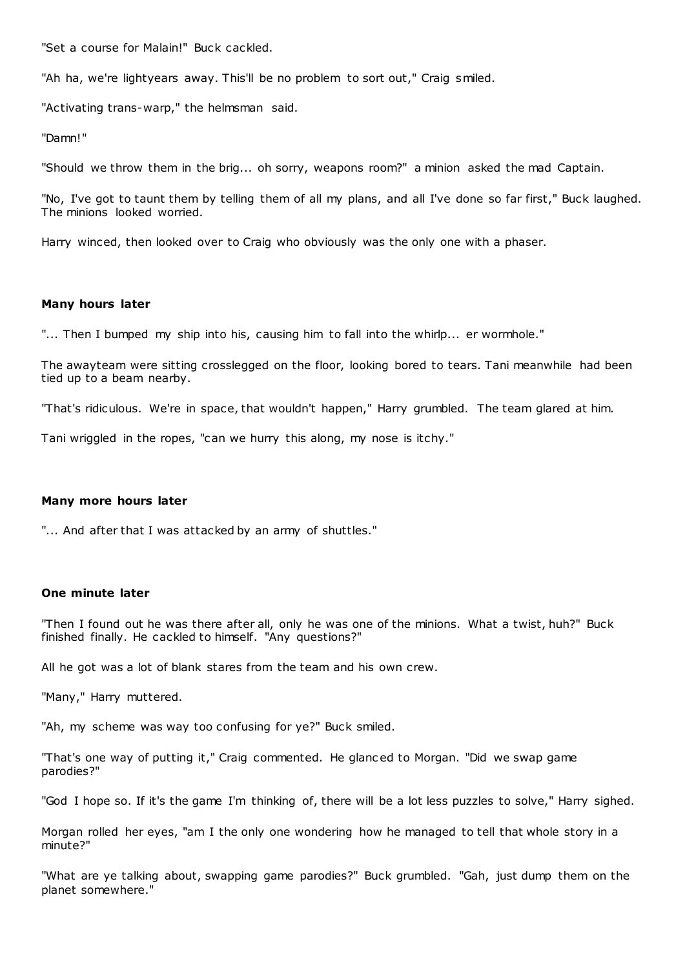"Set a course for Malain!" Buck cackled.

"Ah ha, we're lightyears away. This'll be no problem to sort out," Craig smiled.

"Activating trans-warp," the helmsman said.

"Damn!"

"Should we throw them in the brig... oh sorry, weapons room?" a minion asked the mad Captain.

"No, I've got to taunt them by telling them of all my plans, and all I've done so far first," Buck laughed. The minions looked worried.

Harry winced, then looked over to Craig who obviously was the only one with a phaser.

#### **Many hours later**

"... Then I bumped my ship into his, causing him to fall into the whirlp... er wormhole."

The awayteam were sitting crosslegged on the floor, looking bored to tears. Tani meanwhile had been tied up to a beam nearby.

"That's ridiculous. We're in space, that wouldn't happen," Harry grumbled. The team glared at him.

Tani wriggled in the ropes, "can we hurry this along, my nose is itchy."

### **Many more hours later**

"... And after that I was attacked by an army of shuttles."

#### **One minute later**

"Then I found out he was there after all, only he was one of the minions. What a twist, huh?" Buck finished finally. He cackled to himself. "Any questions?"

All he got was a lot of blank stares from the team and his own crew.

"Many," Harry muttered.

"Ah, my scheme was way too confusing for ye?" Buck smiled.

"That's one way of putting it," Craig commented. He glanc ed to Morgan. "Did we swap game parodies?"

"God I hope so. If it's the game I'm thinking of, there will be a lot less puzzles to solve," Harry sighed.

Morgan rolled her eyes, "am I the only one wondering how he managed to tell that whole story in a minute?"

"What are ye talking about, swapping game parodies?" Buck grumbled. "Gah, just dump them on the planet somewhere."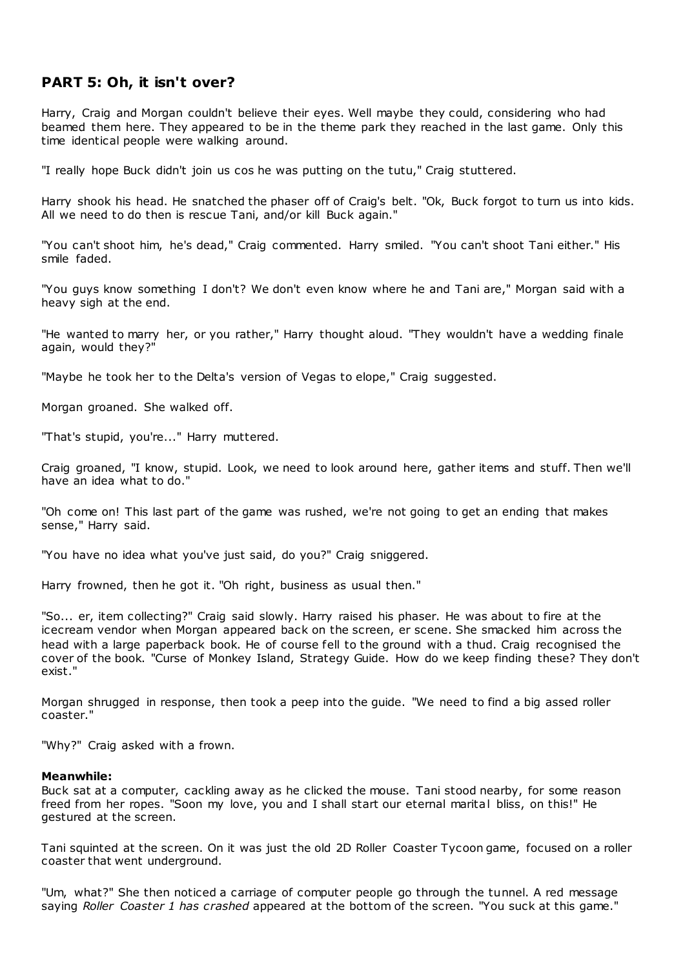# **PART 5: Oh, it isn't over?**

Harry, Craig and Morgan couldn't believe their eyes. Well maybe they could, considering who had beamed them here. They appeared to be in the theme park they reached in the last game. Only this time identical people were walking around.

"I really hope Buck didn't join us cos he was putting on the tutu," Craig stuttered.

Harry shook his head. He snatched the phaser off of Craig's belt. "Ok, Buck forgot to turn us into kids. All we need to do then is rescue Tani, and/or kill Buck again."

"You can't shoot him, he's dead," Craig commented. Harry smiled. "You can't shoot Tani either." His smile faded.

"You guys know something I don't? We don't even know where he and Tani are," Morgan said with a heavy sigh at the end.

"He wanted to marry her, or you rather," Harry thought aloud. "They wouldn't have a wedding finale again, would they?"

"Maybe he took her to the Delta's version of Vegas to elope," Craig suggested.

Morgan groaned. She walked off.

"That's stupid, you're..." Harry muttered.

Craig groaned, "I know, stupid. Look, we need to look around here, gather items and stuff. Then we'll have an idea what to do."

"Oh come on! This last part of the game was rushed, we're not going to get an ending that makes sense," Harry said.

"You have no idea what you've just said, do you?" Craig sniggered.

Harry frowned, then he got it. "Oh right, business as usual then."

"So... er, item collecting?" Craig said slowly. Harry raised his phaser. He was about to fire at the icecream vendor when Morgan appeared back on the screen, er scene. She smacked him across the head with a large paperback book. He of course fell to the ground with a thud. Craig recognised the cover of the book. "Curse of Monkey Island, Strategy Guide. How do we keep finding these? They don't exist."

Morgan shrugged in response, then took a peep into the guide. "We need to find a big assed roller coaster."

"Why?" Craig asked with a frown.

### **Meanwhile:**

Buck sat at a computer, cackling away as he clicked the mouse. Tani stood nearby, for some reason freed from her ropes. "Soon my love, you and I shall start our eternal marital bliss, on this!" He gestured at the screen.

Tani squinted at the screen. On it was just the old 2D Roller Coaster Tycoon game, focused on a roller coaster that went underground.

"Um, what?" She then noticed a carriage of computer people go through the tunnel. A red message saying *Roller Coaster 1 has crashed* appeared at the bottom of the screen. "You suck at this game."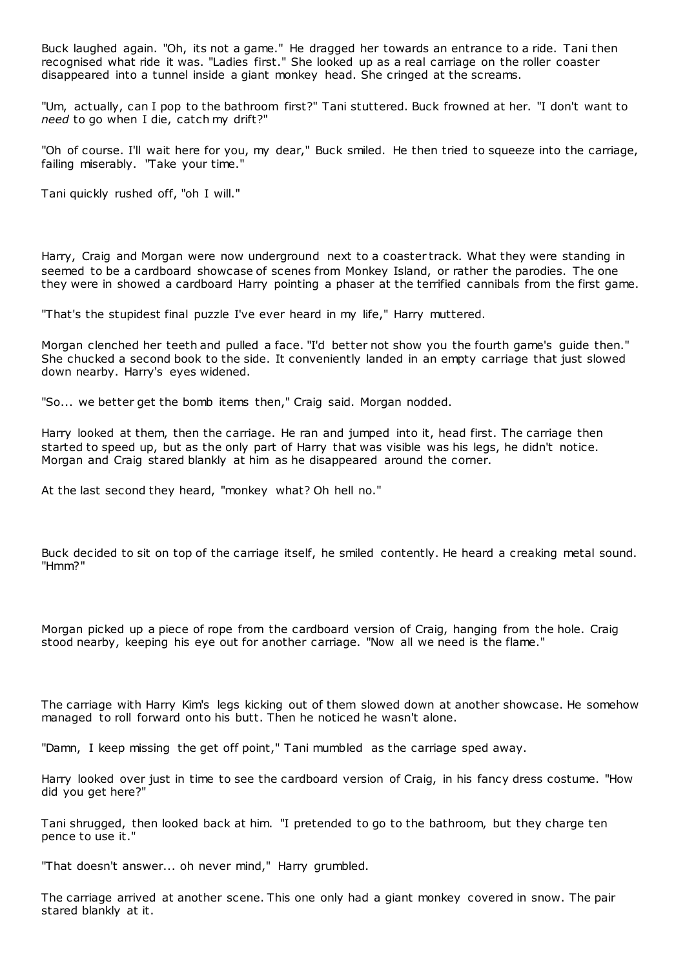Buck laughed again. "Oh, its not a game." He dragged her towards an entrance to a ride. Tani then recognised what ride it was. "Ladies first." She looked up as a real carriage on the roller coaster disappeared into a tunnel inside a giant monkey head. She cringed at the screams.

"Um, actually, can I pop to the bathroom first?" Tani stuttered. Buck frowned at her. "I don't want to *need* to go when I die, catch my drift?"

"Oh of course. I'll wait here for you, my dear," Buck smiled. He then tried to squeeze into the carriage, failing miserably. "Take your time."

Tani quickly rushed off, "oh I will."

Harry, Craig and Morgan were now underground next to a coaster track. What they were standing in seemed to be a cardboard showcase of scenes from Monkey Island, or rather the parodies. The one they were in showed a cardboard Harry pointing a phaser at the terrified cannibals from the first game.

"That's the stupidest final puzzle I've ever heard in my life," Harry muttered.

Morgan clenched her teeth and pulled a face. "I'd better not show you the fourth game's guide then." She chucked a second book to the side. It conveniently landed in an empty carriage that just slowed down nearby. Harry's eyes widened.

"So... we better get the bomb items then," Craig said. Morgan nodded.

Harry looked at them, then the carriage. He ran and jumped into it, head first. The carriage then started to speed up, but as the only part of Harry that was visible was his legs, he didn't notice. Morgan and Craig stared blankly at him as he disappeared around the corner.

At the last second they heard, "monkey what? Oh hell no."

Buck decided to sit on top of the carriage itself, he smiled contently. He heard a creaking metal sound. "Hmm?"

Morgan picked up a piece of rope from the cardboard version of Craig, hanging from the hole. Craig stood nearby, keeping his eye out for another carriage. "Now all we need is the flame."

The carriage with Harry Kim's legs kicking out of them slowed down at another showcase. He somehow managed to roll forward onto his butt. Then he noticed he wasn't alone.

"Damn, I keep missing the get off point," Tani mumbled as the carriage sped away.

Harry looked over just in time to see the cardboard version of Craig, in his fancy dress costume. "How did you get here?"

Tani shrugged, then looked back at him. "I pretended to go to the bathroom, but they charge ten pence to use it."

"That doesn't answer... oh never mind," Harry grumbled.

The carriage arrived at another scene. This one only had a giant monkey covered in snow. The pair stared blankly at it.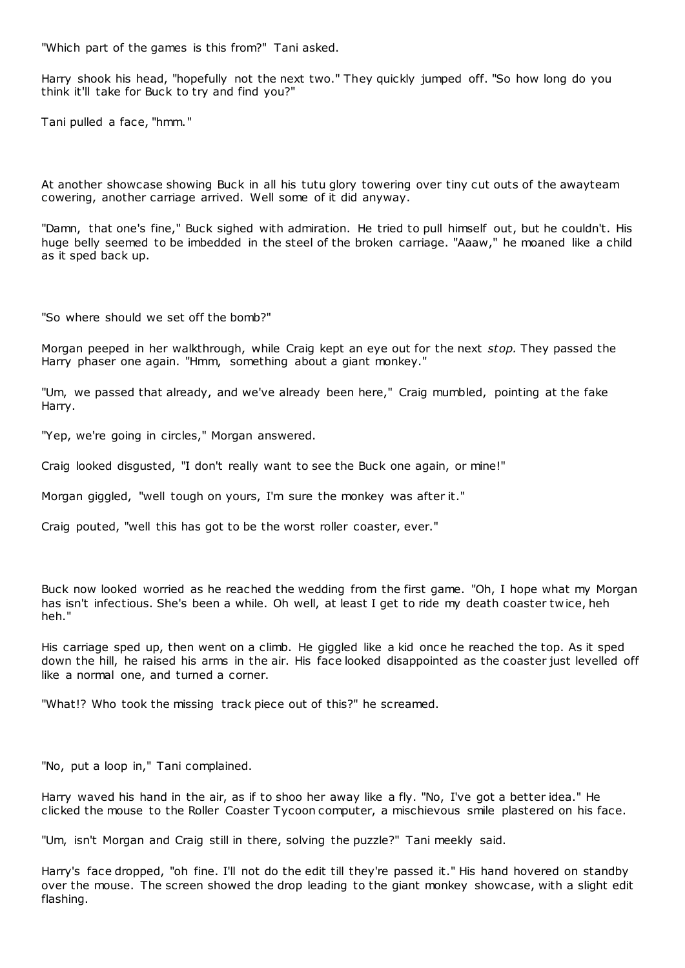"Which part of the games is this from?" Tani asked.

Harry shook his head, "hopefully not the next two." They quickly jumped off. "So how long do you think it'll take for Buck to try and find you?"

Tani pulled a face, "hmm."

At another showcase showing Buck in all his tutu glory towering over tiny cut outs of the awayteam cowering, another carriage arrived. Well some of it did anyway.

"Damn, that one's fine," Buck sighed with admiration. He tried to pull himself out, but he couldn't. His huge belly seemed to be imbedded in the steel of the broken carriage. "Aaaw," he moaned like a child as it sped back up.

"So where should we set off the bomb?"

Morgan peeped in her walkthrough, while Craig kept an eye out for the next *stop.* They passed the Harry phaser one again. "Hmm, something about a giant monkey."

"Um, we passed that already, and we've already been here," Craig mumbled, pointing at the fake Harry.

"Yep, we're going in circles," Morgan answered.

Craig looked disgusted, "I don't really want to see the Buck one again, or mine!"

Morgan giggled, "well tough on yours, I'm sure the monkey was after it."

Craig pouted, "well this has got to be the worst roller coaster, ever."

Buck now looked worried as he reached the wedding from the first game. "Oh, I hope what my Morgan has isn't infectious. She's been a while. Oh well, at least I get to ride my death coaster tw ice, heh heh."

His carriage sped up, then went on a climb. He giggled like a kid once he reached the top. As it sped down the hill, he raised his arms in the air. His face looked disappointed as the coaster just levelled off like a normal one, and turned a corner.

"What!? Who took the missing track piece out of this?" he screamed.

"No, put a loop in," Tani complained.

Harry waved his hand in the air, as if to shoo her away like a fly. "No, I've got a better idea." He clicked the mouse to the Roller Coaster Tycoon computer, a mischievous smile plastered on his face.

"Um, isn't Morgan and Craig still in there, solving the puzzle?" Tani meekly said.

Harry's face dropped, "oh fine. I'll not do the edit till they're passed it." His hand hovered on standby over the mouse. The screen showed the drop leading to the giant monkey showcase, with a slight edit flashing.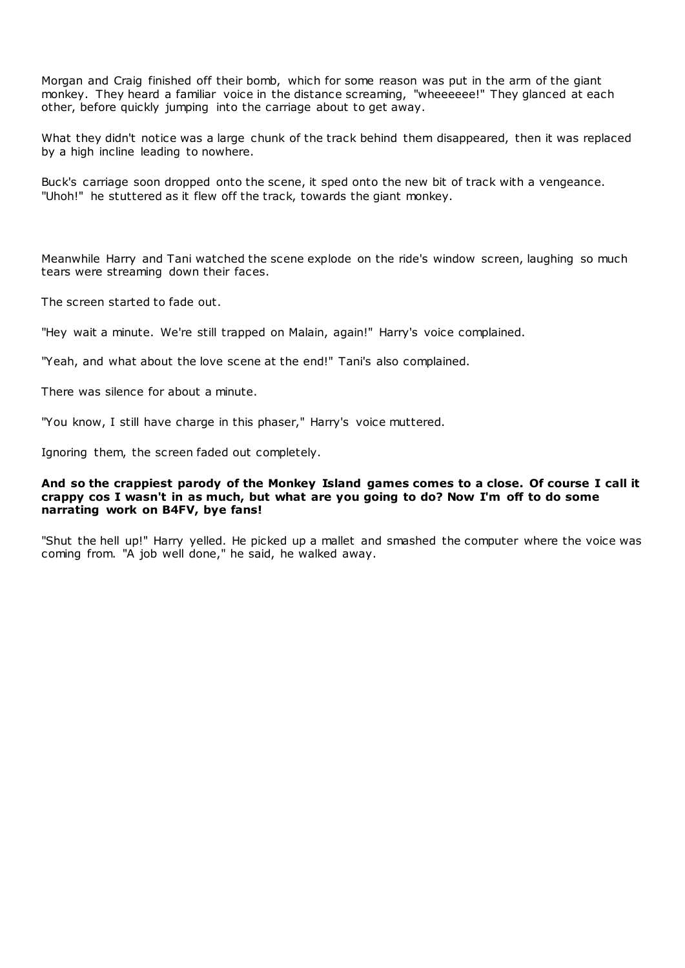Morgan and Craig finished off their bomb, which for some reason was put in the arm of the giant monkey. They heard a familiar voice in the distance screaming, "wheeeeee!" They glanced at each other, before quickly jumping into the carriage about to get away.

What they didn't notice was a large chunk of the track behind them disappeared, then it was replaced by a high incline leading to nowhere.

Buck's carriage soon dropped onto the scene, it sped onto the new bit of track with a vengeance. "Uhoh!" he stuttered as it flew off the track, towards the giant monkey.

Meanwhile Harry and Tani watched the scene explode on the ride's window screen, laughing so much tears were streaming down their faces.

The screen started to fade out.

"Hey wait a minute. We're still trapped on Malain, again!" Harry's voice complained.

"Yeah, and what about the love scene at the end!" Tani's also complained.

There was silence for about a minute.

"You know, I still have charge in this phaser," Harry's voice muttered.

Ignoring them, the screen faded out completely.

### **And so the crappiest parody of the Monkey Island games comes to a close. Of course I call it crappy cos I wasn't in as much, but what are you going to do? Now I'm off to do some narrating work on B4FV, bye fans!**

"Shut the hell up!" Harry yelled. He picked up a mallet and smashed the computer where the voice was coming from. "A job well done," he said, he walked away.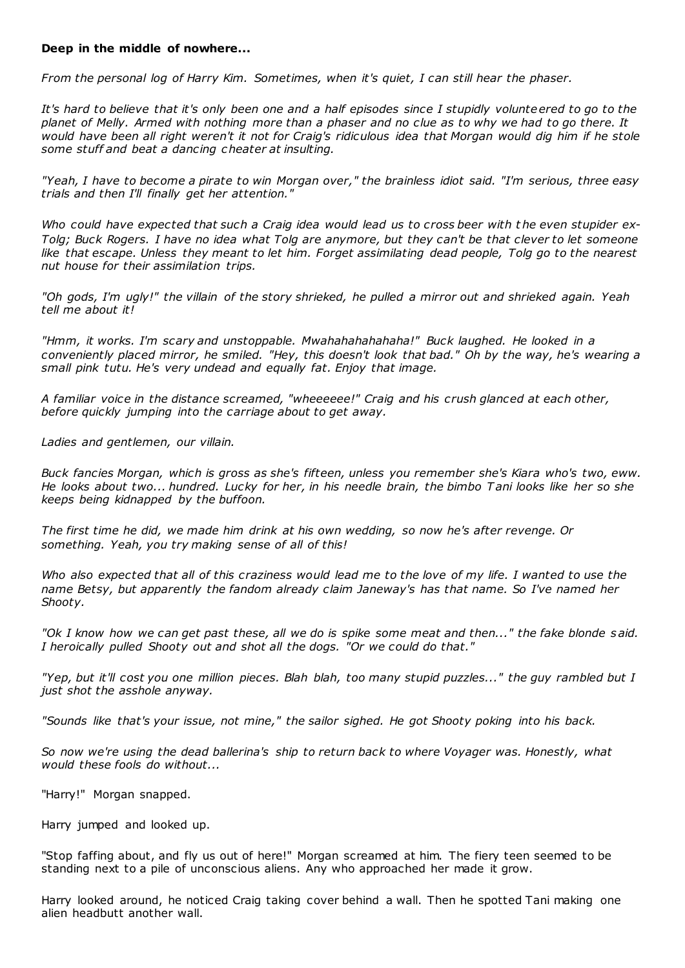### **Deep in the middle of nowhere...**

*From the personal log of Harry Kim. Sometimes, when it's quiet, I can still hear the phaser.*

*It's hard to believe that it's only been one and a half episodes since I stupidly volunteered to go to the planet of Melly. Armed with nothing more than a phaser and no clue as to why we had to go there. It would have been all right weren't it not for Craig's ridiculous idea that Morgan would dig him if he stole some stuff and beat a dancing cheater at insulting.*

*"Yeah, I have to become a pirate to win Morgan over," the brainless idiot said. "I'm serious, three easy trials and then I'll finally get her attention."*

Who could have expected that such a Craig idea would lead us to cross beer with the even stupider ex-*Tolg; Buck Rogers. I have no idea what Tolg are anymore, but they can't be that clever to let someone like that escape. Unless they meant to let him. Forget assimilating dead people, Tolg go to the nearest nut house for their assimilation trips.*

*"Oh gods, I'm ugly!" the villain of the story shrieked, he pulled a mirror out and shrieked again. Yeah tell me about it!*

*"Hmm, it works. I'm scary and unstoppable. Mwahahahahahaha!" Buck laughed. He looked in a conveniently placed mirror, he smiled. "Hey, this doesn't look that bad." Oh by the way, he's wearing a small pink tutu. He's very undead and equally fat. Enjoy that image.*

*A familiar voice in the distance screamed, "wheeeeee!" Craig and his crush glanced at each other, before quickly jumping into the carriage about to get away.*

*Ladies and gentlemen, our villain.*

*Buck fancies Morgan, which is gross as she's fifteen, unless you remember she's Kiara who's two, eww. He looks about two... hundred. Lucky for her, in his needle brain, the bimbo T ani looks like her so she keeps being kidnapped by the buffoon.*

*The first time he did, we made him drink at his own wedding, so now he's after revenge. Or something. Yeah, you try making sense of all of this!*

*Who also expected that all of this craziness would lead me to the love of my life. I wanted to use the name Betsy, but apparently the fandom already claim Janeway's has that name. So I've named her Shooty.*

*"Ok I know how we can get past these, all we do is spike some meat and then..." the fake blonde said. I heroically pulled Shooty out and shot all the dogs. "Or we could do that."*

*"Yep, but it'll cost you one million pieces. Blah blah, too many stupid puzzles..." the guy rambled but I just shot the asshole anyway.*

*"Sounds like that's your issue, not mine," the sailor sighed. He got Shooty poking into his back.*

*So now we're using the dead ballerina's ship to return back to where Voyager was. Honestly, what would these fools do without...*

"Harry!" Morgan snapped.

Harry jumped and looked up.

"Stop faffing about, and fly us out of here!" Morgan screamed at him. The fiery teen seemed to be standing next to a pile of unconscious aliens. Any who approached her made it grow.

Harry looked around, he noticed Craig taking cover behind a wall. Then he spotted Tani making one alien headbutt another wall.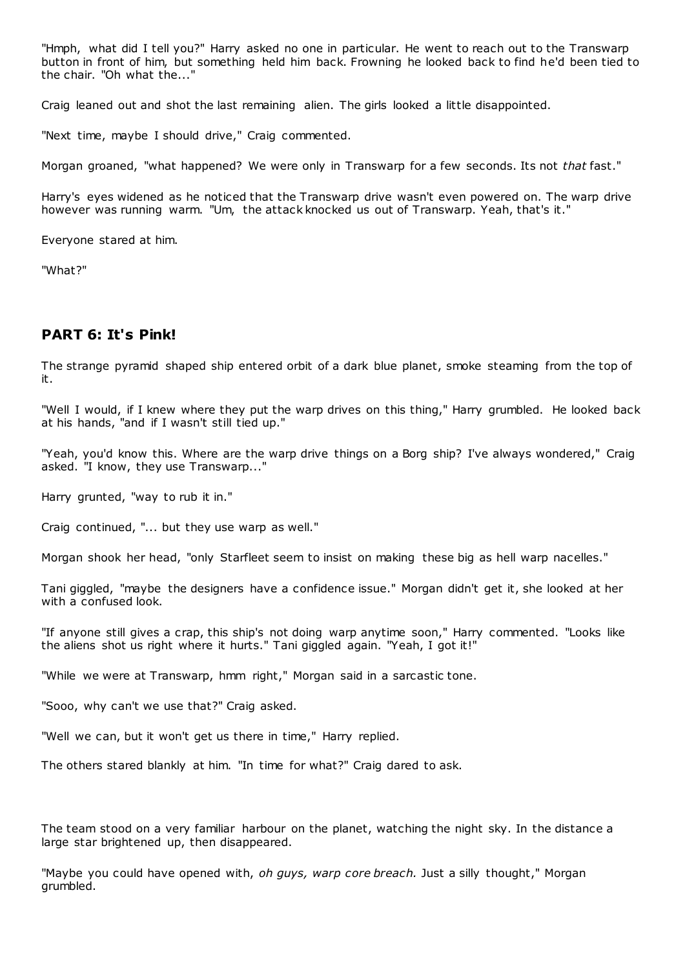"Hmph, what did I tell you?" Harry asked no one in particular. He went to reach out to the Transwarp button in front of him, but something held him back. Frowning he looked back to find he'd been tied to the chair. "Oh what the..."

Craig leaned out and shot the last remaining alien. The girls looked a little disappointed.

"Next time, maybe I should drive," Craig commented.

Morgan groaned, "what happened? We were only in Transwarp for a few seconds. Its not *that* fast."

Harry's eyes widened as he noticed that the Transwarp drive wasn't even powered on. The warp drive however was running warm. "Um, the attack knocked us out of Transwarp. Yeah, that's it."

Everyone stared at him.

"What?"

# **PART 6: It's Pink!**

The strange pyramid shaped ship entered orbit of a dark blue planet, smoke steaming from the top of it.

"Well I would, if I knew where they put the warp drives on this thing," Harry grumbled. He looked back at his hands, "and if I wasn't still tied up."

"Yeah, you'd know this. Where are the warp drive things on a Borg ship? I've always wondered," Craig asked. "I know, they use Transwarp..."

Harry grunted, "way to rub it in."

Craig continued, "... but they use warp as well."

Morgan shook her head, "only Starfleet seem to insist on making these big as hell warp nacelles."

Tani giggled, "maybe the designers have a confidence issue." Morgan didn't get it, she looked at her with a confused look.

"If anyone still gives a crap, this ship's not doing warp anytime soon," Harry commented. "Looks like the aliens shot us right where it hurts." Tani giggled again. "Yeah, I got it!"

"While we were at Transwarp, hmm right," Morgan said in a sarcastic tone.

"Sooo, why can't we use that?" Craig asked.

"Well we can, but it won't get us there in time," Harry replied.

The others stared blankly at him. "In time for what?" Craig dared to ask.

The team stood on a very familiar harbour on the planet, watching the night sky. In the distance a large star brightened up, then disappeared.

"Maybe you could have opened with, *oh guys, warp core breach.* Just a silly thought," Morgan grumbled.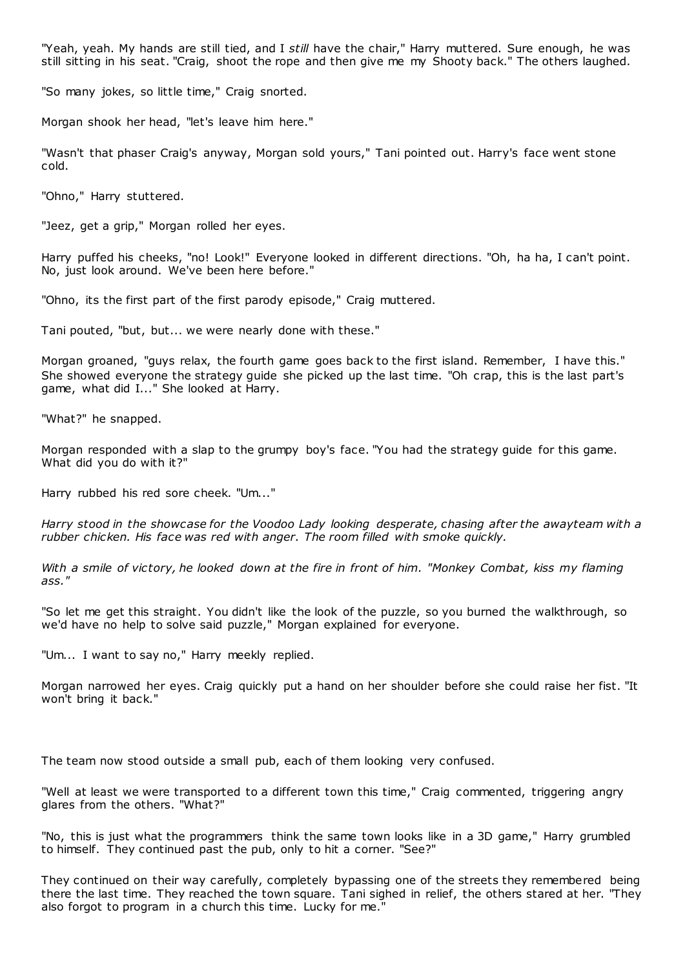"Yeah, yeah. My hands are still tied, and I *still* have the chair," Harry muttered. Sure enough, he was still sitting in his seat. "Craig, shoot the rope and then give me my Shooty back." The others laughed.

"So many jokes, so little time," Craig snorted.

Morgan shook her head, "let's leave him here."

"Wasn't that phaser Craig's anyway, Morgan sold yours," Tani pointed out. Harry's face went stone cold.

"Ohno," Harry stuttered.

"Jeez, get a grip," Morgan rolled her eyes.

Harry puffed his cheeks, "no! Look!" Everyone looked in different directions. "Oh, ha ha, I can't point. No, just look around. We've been here before."

"Ohno, its the first part of the first parody episode," Craig muttered.

Tani pouted, "but, but... we were nearly done with these."

Morgan groaned, "guys relax, the fourth game goes back to the first island. Remember, I have this." She showed everyone the strategy guide she picked up the last time. "Oh crap, this is the last part's game, what did I..." She looked at Harry.

"What?" he snapped.

Morgan responded with a slap to the grumpy boy's face. "You had the strategy guide for this game. What did you do with it?"

Harry rubbed his red sore cheek. "Um..."

*Harry stood in the showcase for the Voodoo Lady looking desperate, chasing after the awayteam with a rubber chicken. His face was red with anger. The room filled with smoke quickly.*

*With a smile of victory, he looked down at the fire in front of him. "Monkey Combat, kiss my flaming ass."*

"So let me get this straight. You didn't like the look of the puzzle, so you burned the walkthrough, so we'd have no help to solve said puzzle," Morgan explained for everyone.

"Um... I want to say no," Harry meekly replied.

Morgan narrowed her eyes. Craig quickly put a hand on her shoulder before she could raise her fist. "It won't bring it back."

The team now stood outside a small pub, each of them looking very confused.

"Well at least we were transported to a different town this time," Craig commented, triggering angry glares from the others. "What?"

"No, this is just what the programmers think the same town looks like in a 3D game," Harry grumbled to himself. They continued past the pub, only to hit a corner. "See?"

They continued on their way carefully, completely bypassing one of the streets they remembered being there the last time. They reached the town square. Tani sighed in relief, the others stared at her. "They also forgot to program in a church this time. Lucky for me."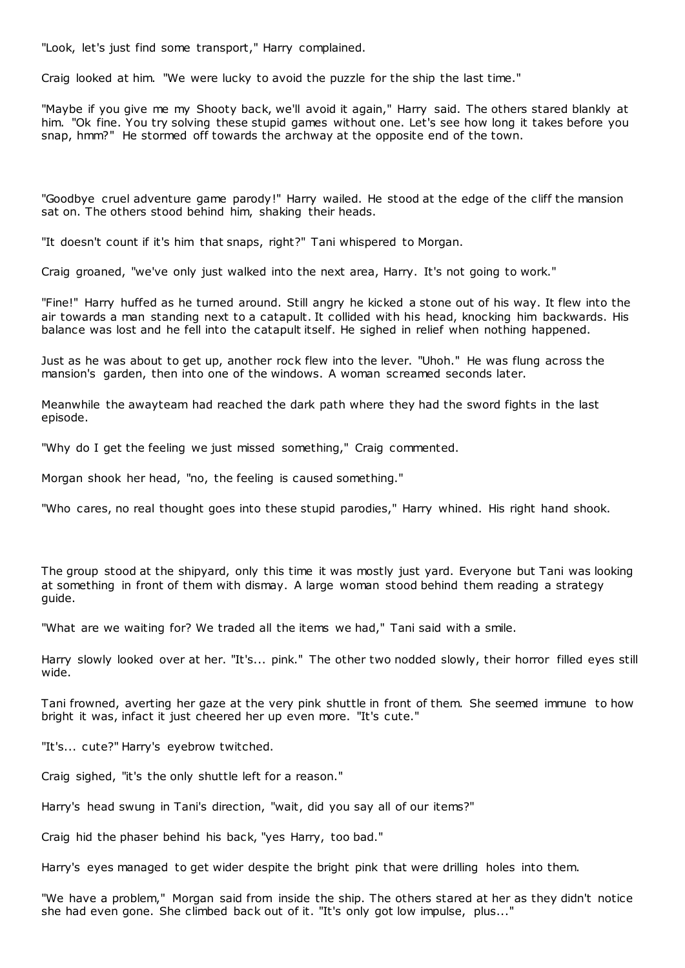"Look, let's just find some transport," Harry complained.

Craig looked at him. "We were lucky to avoid the puzzle for the ship the last time."

"Maybe if you give me my Shooty back, we'll avoid it again," Harry said. The others stared blankly at him. "Ok fine. You try solving these stupid games without one. Let's see how long it takes before you snap, hmm?" He stormed off towards the archway at the opposite end of the town.

"Goodbye cruel adventure game parody!" Harry wailed. He stood at the edge of the cliff the mansion sat on. The others stood behind him, shaking their heads.

"It doesn't count if it's him that snaps, right?" Tani whispered to Morgan.

Craig groaned, "we've only just walked into the next area, Harry. It's not going to work."

"Fine!" Harry huffed as he turned around. Still angry he kicked a stone out of his way. It flew into the air towards a man standing next to a catapult. It collided with his head, knocking him backwards. His balance was lost and he fell into the catapult itself. He sighed in relief when nothing happened.

Just as he was about to get up, another rock flew into the lever. "Uhoh." He was flung across the mansion's garden, then into one of the windows. A woman screamed seconds later.

Meanwhile the awayteam had reached the dark path where they had the sword fights in the last episode.

"Why do I get the feeling we just missed something," Craig commented.

Morgan shook her head, "no, the feeling is caused something."

"Who cares, no real thought goes into these stupid parodies," Harry whined. His right hand shook.

The group stood at the shipyard, only this time it was mostly just yard. Everyone but Tani was looking at something in front of them with dismay. A large woman stood behind them reading a strategy guide.

"What are we waiting for? We traded all the items we had," Tani said with a smile.

Harry slowly looked over at her. "It's... pink." The other two nodded slowly, their horror filled eyes still wide.

Tani frowned, averting her gaze at the very pink shuttle in front of them. She seemed immune to how bright it was, infact it just cheered her up even more. "It's cute."

"It's... cute?" Harry's eyebrow twitched.

Craig sighed, "it's the only shuttle left for a reason."

Harry's head swung in Tani's direction, "wait, did you say all of our items?"

Craig hid the phaser behind his back, "yes Harry, too bad."

Harry's eyes managed to get wider despite the bright pink that were drilling holes into them.

"We have a problem," Morgan said from inside the ship. The others stared at her as they didn't notice she had even gone. She climbed back out of it. "It's only got low impulse, plus..."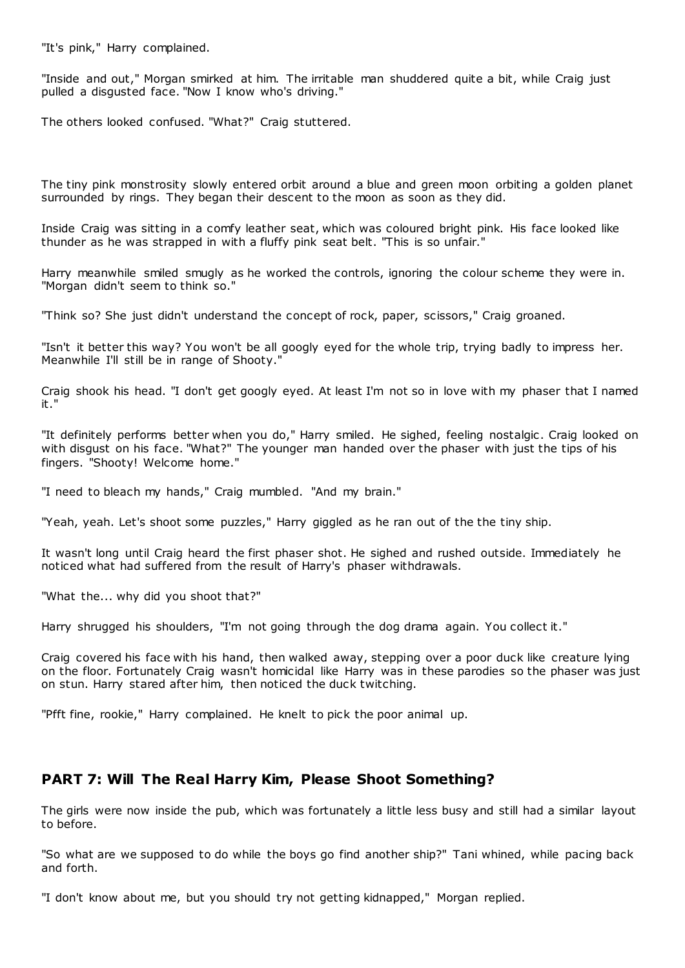"It's pink," Harry complained.

"Inside and out," Morgan smirked at him. The irritable man shuddered quite a bit, while Craig just pulled a disgusted face. "Now I know who's driving."

The others looked confused. "What?" Craig stuttered.

The tiny pink monstrosity slowly entered orbit around a blue and green moon orbiting a golden planet surrounded by rings. They began their descent to the moon as soon as they did.

Inside Craig was sitting in a comfy leather seat, which was coloured bright pink. His face looked like thunder as he was strapped in with a fluffy pink seat belt. "This is so unfair."

Harry meanwhile smiled smugly as he worked the controls, ignoring the colour scheme they were in. "Morgan didn't seem to think so."

"Think so? She just didn't understand the concept of rock, paper, scissors," Craig groaned.

"Isn't it better this way? You won't be all googly eyed for the whole trip, trying badly to impress her. Meanwhile I'll still be in range of Shooty."

Craig shook his head. "I don't get googly eyed. At least I'm not so in love with my phaser that I named it."

"It definitely performs better when you do," Harry smiled. He sighed, feeling nostalgic . Craig looked on with disgust on his face. "What?" The younger man handed over the phaser with just the tips of his fingers. "Shooty! Welcome home."

"I need to bleach my hands," Craig mumbled. "And my brain."

"Yeah, yeah. Let's shoot some puzzles," Harry giggled as he ran out of the the tiny ship.

It wasn't long until Craig heard the first phaser shot. He sighed and rushed outside. Immediately he noticed what had suffered from the result of Harry's phaser withdrawals.

"What the... why did you shoot that?"

Harry shrugged his shoulders, "I'm not going through the dog drama again. You collect it."

Craig covered his face with his hand, then walked away, stepping over a poor duck like creature lying on the floor. Fortunately Craig wasn't homicidal like Harry was in these parodies so the phaser was just on stun. Harry stared after him, then noticed the duck twitching.

"Pfft fine, rookie," Harry complained. He knelt to pick the poor animal up.

## **PART 7: Will The Real Harry Kim, Please Shoot Something?**

The girls were now inside the pub, which was fortunately a little less busy and still had a similar layout to before.

"So what are we supposed to do while the boys go find another ship?" Tani whined, while pacing back and forth.

"I don't know about me, but you should try not getting kidnapped," Morgan replied.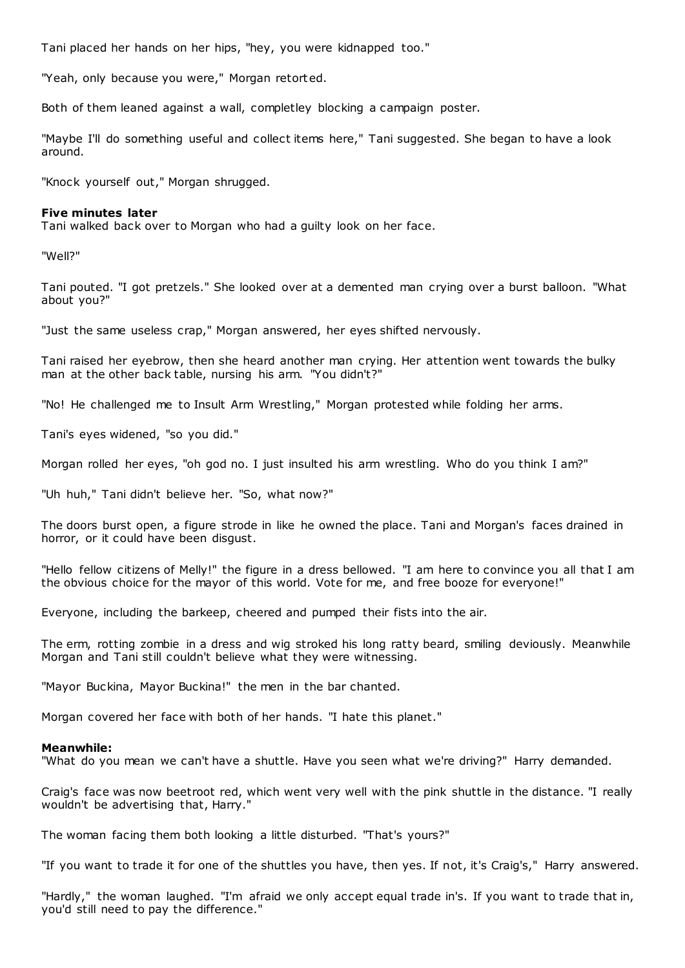Tani placed her hands on her hips, "hey, you were kidnapped too."

"Yeah, only because you were," Morgan retorted.

Both of them leaned against a wall, completley blocking a campaign poster.

"Maybe I'll do something useful and collect items here," Tani suggested. She began to have a look around.

"Knock yourself out," Morgan shrugged.

### **Five minutes later**

Tani walked back over to Morgan who had a guilty look on her face.

"Well?"

Tani pouted. "I got pretzels." She looked over at a demented man crying over a burst balloon. "What about you?"

"Just the same useless crap," Morgan answered, her eyes shifted nervously.

Tani raised her eyebrow, then she heard another man crying. Her attention went towards the bulky man at the other back table, nursing his arm. "You didn't?"

"No! He challenged me to Insult Arm Wrestling," Morgan protested while folding her arms.

Tani's eyes widened, "so you did."

Morgan rolled her eyes, "oh god no. I just insulted his arm wrestling. Who do you think I am?"

"Uh huh," Tani didn't believe her. "So, what now?"

The doors burst open, a figure strode in like he owned the place. Tani and Morgan's faces drained in horror, or it could have been disgust.

"Hello fellow citizens of Melly!" the figure in a dress bellowed. "I am here to convince you all that I am the obvious choice for the mayor of this world. Vote for me, and free booze for everyone!"

Everyone, including the barkeep, cheered and pumped their fists into the air.

The erm, rotting zombie in a dress and wig stroked his long ratty beard, smiling deviously. Meanwhile Morgan and Tani still couldn't believe what they were witnessing.

"Mayor Buckina, Mayor Buckina!" the men in the bar chanted.

Morgan covered her face with both of her hands. "I hate this planet."

#### **Meanwhile:**

"What do you mean we can't have a shuttle. Have you seen what we're driving?" Harry demanded.

Craig's face was now beetroot red, which went very well with the pink shuttle in the distance. "I really wouldn't be advertising that, Harry."

The woman facing them both looking a little disturbed. "That's yours?"

"If you want to trade it for one of the shuttles you have, then yes. If not, it's Craig's," Harry answered.

"Hardly," the woman laughed. "I'm afraid we only accept equal trade in's. If you want to trade that in, you'd still need to pay the difference."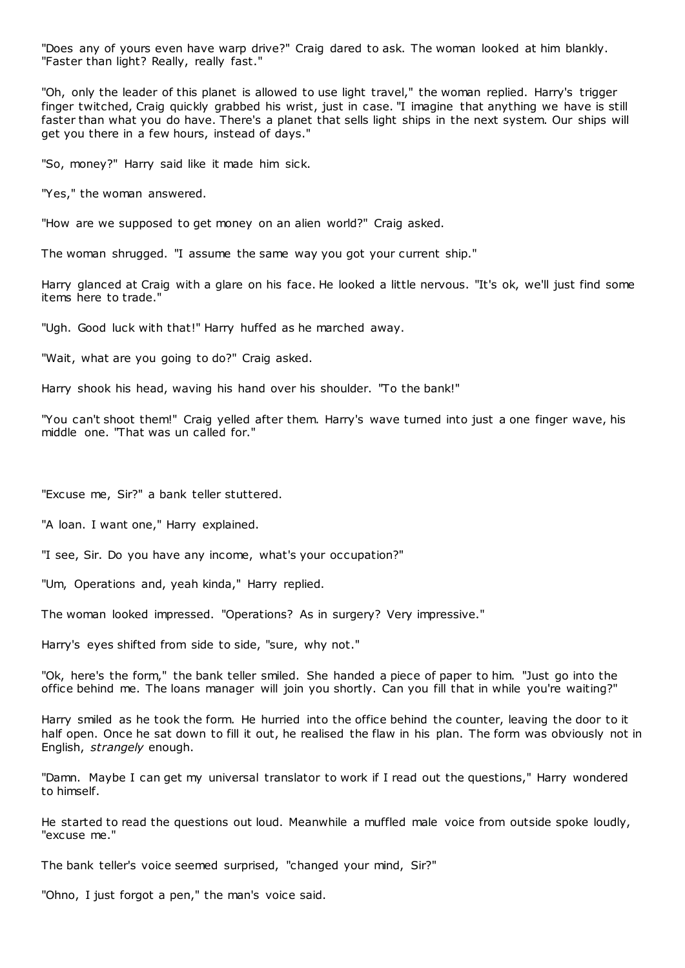"Does any of yours even have warp drive?" Craig dared to ask. The woman looked at him blankly. "Faster than light? Really, really fast."

"Oh, only the leader of this planet is allowed to use light travel," the woman replied. Harry's trigger finger twitched, Craig quickly grabbed his wrist, just in case. "I imagine that anything we have is still faster than what you do have. There's a planet that sells light ships in the next system. Our ships will get you there in a few hours, instead of days."

"So, money?" Harry said like it made him sick.

"Yes," the woman answered.

"How are we supposed to get money on an alien world?" Craig asked.

The woman shrugged. "I assume the same way you got your current ship."

Harry glanced at Craig with a glare on his face. He looked a little nervous. "It's ok, we'll just find some items here to trade."

"Ugh. Good luck with that!" Harry huffed as he marched away.

"Wait, what are you going to do?" Craig asked.

Harry shook his head, waving his hand over his shoulder. "To the bank!"

"You can't shoot them!" Craig yelled after them. Harry's wave turned into just a one finger wave, his middle one. "That was un called for."

"Excuse me, Sir?" a bank teller stuttered.

"A loan. I want one," Harry explained.

"I see, Sir. Do you have any income, what's your occupation?"

"Um, Operations and, yeah kinda," Harry replied.

The woman looked impressed. "Operations? As in surgery? Very impressive."

Harry's eyes shifted from side to side, "sure, why not."

"Ok, here's the form," the bank teller smiled. She handed a piece of paper to him. "Just go into the office behind me. The loans manager will join you shortly. Can you fill that in while you're waiting?"

Harry smiled as he took the form. He hurried into the office behind the counter, leaving the door to it half open. Once he sat down to fill it out, he realised the flaw in his plan. The form was obviously not in English, *strangely* enough.

"Damn. Maybe I can get my universal translator to work if I read out the questions," Harry wondered to himself.

He started to read the questions out loud. Meanwhile a muffled male voice from outside spoke loudly, "excuse me."

The bank teller's voice seemed surprised, "changed your mind, Sir?"

"Ohno, I just forgot a pen," the man's voice said.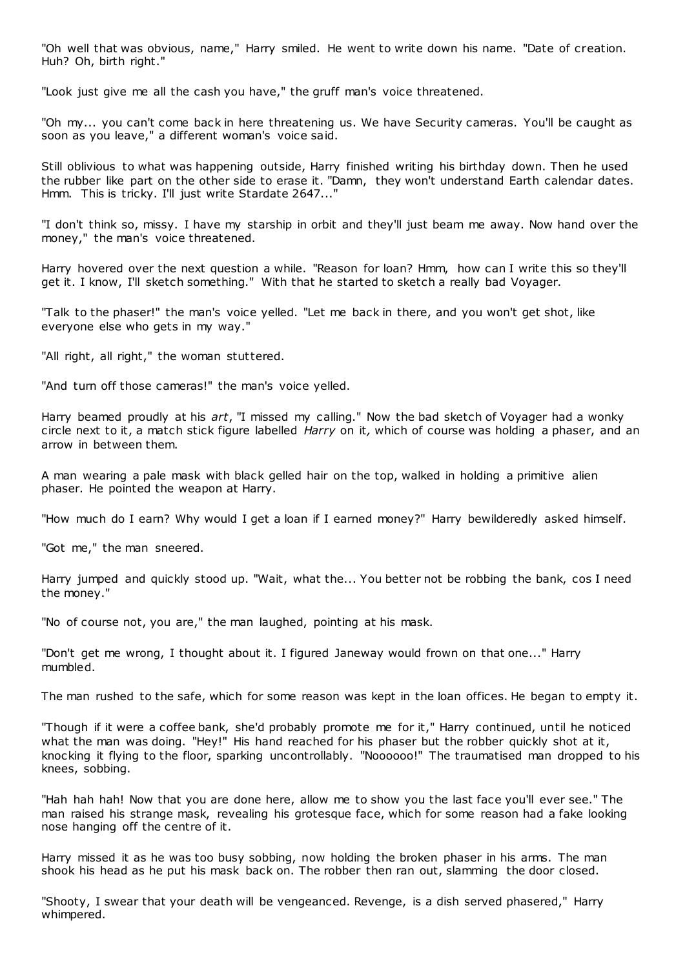"Oh well that was obvious, name," Harry smiled. He went to write down his name. "Date of creation. Huh? Oh, birth right."

"Look just give me all the cash you have," the gruff man's voice threatened.

"Oh my... you can't come back in here threatening us. We have Security cameras. You'll be caught as soon as you leave," a different woman's voice said.

Still oblivious to what was happening outside, Harry finished writing his birthday down. Then he used the rubber like part on the other side to erase it. "Damn, they won't understand Earth calendar dates. Hmm. This is tricky. I'll just write Stardate 2647..."

"I don't think so, missy. I have my starship in orbit and they'll just beam me away. Now hand over the money," the man's voice threatened.

Harry hovered over the next question a while. "Reason for loan? Hmm, how can I write this so they'll get it. I know, I'll sketch something." With that he started to sketch a really bad Voyager.

"Talk to the phaser!" the man's voice yelled. "Let me back in there, and you won't get shot, like everyone else who gets in my way."

"All right, all right," the woman stuttered.

"And turn off those cameras!" the man's voice yelled.

Harry beamed proudly at his *art*, "I missed my calling." Now the bad sketch of Voyager had a wonky circle next to it, a match stick figure labelled *Harry* on it*,* which of course was holding a phaser, and an arrow in between them.

A man wearing a pale mask with black gelled hair on the top, walked in holding a primitive alien phaser. He pointed the weapon at Harry.

"How much do I earn? Why would I get a loan if I earned money?" Harry bewilderedly asked himself.

"Got me," the man sneered.

Harry jumped and quickly stood up. "Wait, what the... You better not be robbing the bank, cos I need the money."

"No of course not, you are," the man laughed, pointing at his mask.

"Don't get me wrong, I thought about it. I figured Janeway would frown on that one..." Harry mumbled.

The man rushed to the safe, which for some reason was kept in the loan offices. He began to empty it.

"Though if it were a coffee bank, she'd probably promote me for it," Harry continued, until he noticed what the man was doing. "Hey!" His hand reached for his phaser but the robber quickly shot at it, knocking it flying to the floor, sparking uncontrollably. "Noooooo!" The traumatised man dropped to his knees, sobbing.

"Hah hah hah! Now that you are done here, allow me to show you the last face you'll ever see." The man raised his strange mask, revealing his grotesque face, which for some reason had a fake looking nose hanging off the centre of it.

Harry missed it as he was too busy sobbing, now holding the broken phaser in his arms. The man shook his head as he put his mask back on. The robber then ran out, slamming the door closed.

"Shooty, I swear that your death will be vengeanced. Revenge, is a dish served phasered," Harry whimpered.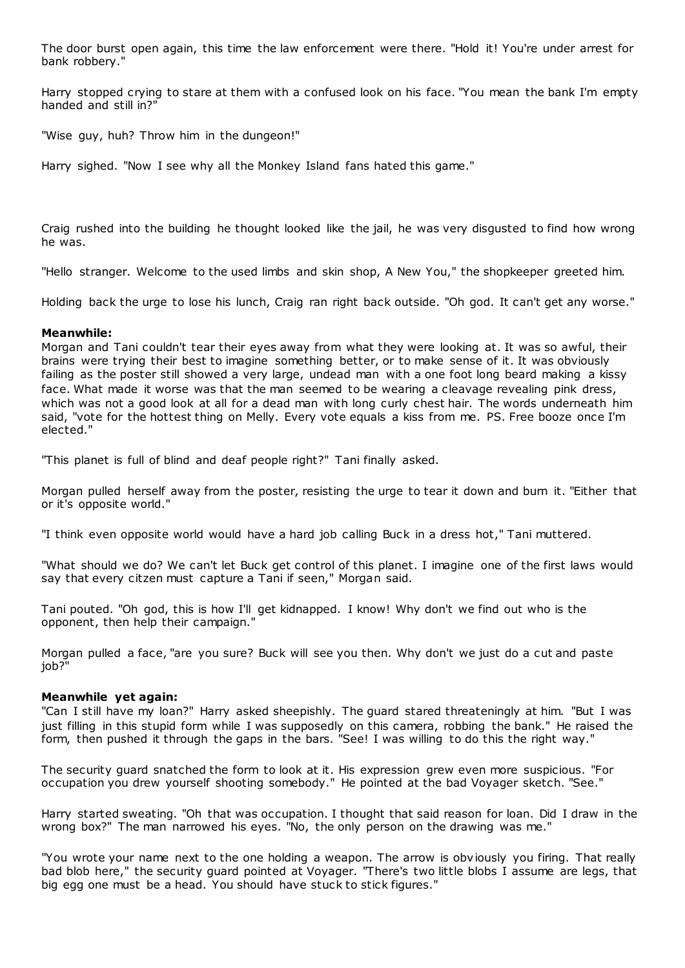The door burst open again, this time the law enforcement were there. "Hold it! You're under arrest for bank robbery."

Harry stopped crying to stare at them with a confused look on his face. "You mean the bank I'm empty handed and still in?"

"Wise guy, huh? Throw him in the dungeon!"

Harry sighed. "Now I see why all the Monkey Island fans hated this game."

Craig rushed into the building he thought looked like the jail, he was very disgusted to find how wrong he was.

"Hello stranger. Welcome to the used limbs and skin shop, A New You," the shopkeeper greeted him.

Holding back the urge to lose his lunch, Craig ran right back outside. "Oh god. It can't get any worse."

### **Meanwhile:**

Morgan and Tani couldn't tear their eyes away from what they were looking at. It was so awful, their brains were trying their best to imagine something better, or to make sense of it. It was obviously failing as the poster still showed a very large, undead man with a one foot long beard making a kissy face. What made it worse was that the man seemed to be wearing a cleavage revealing pink dress, which was not a good look at all for a dead man with long curly chest hair. The words underneath him said, "vote for the hottest thing on Melly. Every vote equals a kiss from me. PS. Free booze once I'm elected."

"This planet is full of blind and deaf people right?" Tani finally asked.

Morgan pulled herself away from the poster, resisting the urge to tear it down and burn it. "Either that or it's opposite world."

"I think even opposite world would have a hard job calling Buck in a dress hot," Tani muttered.

"What should we do? We can't let Buck get control of this planet. I imagine one of the first laws would say that every citzen must capture a Tani if seen," Morgan said.

Tani pouted. "Oh god, this is how I'll get kidnapped. I know! Why don't we find out who is the opponent, then help their campaign."

Morgan pulled a face, "are you sure? Buck will see you then. Why don't we just do a cut and paste job?"

### **Meanwhile yet again:**

"Can I still have my loan?" Harry asked sheepishly. The guard stared threateningly at him. "But I was just filling in this stupid form while I was supposedly on this camera, robbing the bank." He raised the form, then pushed it through the gaps in the bars. "See! I was willing to do this the right way."

The security guard snatched the form to look at it. His expression grew even more suspicious. "For occupation you drew yourself shooting somebody." He pointed at the bad Voyager sketch. "See."

Harry started sweating. "Oh that was occupation. I thought that said reason for loan. Did I draw in the wrong box?" The man narrowed his eyes. "No, the only person on the drawing was me."

"You wrote your name next to the one holding a weapon. The arrow is obviously you firing. That really bad blob here," the security guard pointed at Voyager. "There's two little blobs I assume are legs, that big egg one must be a head. You should have stuck to stick figures."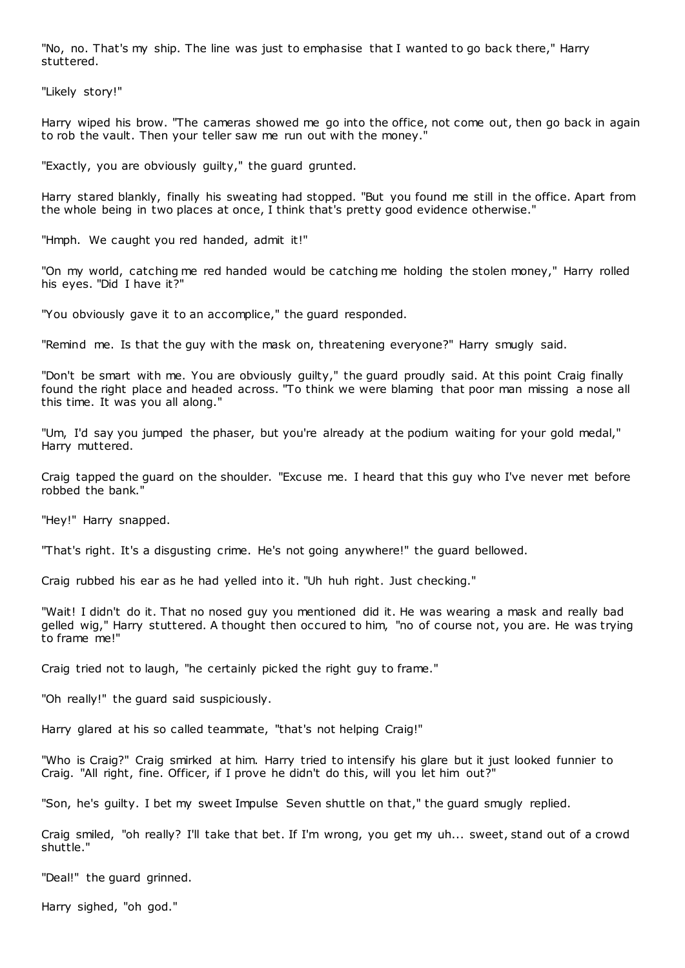"No, no. That's my ship. The line was just to emphasise that I wanted to go back there," Harry stuttered.

"Likely story!"

Harry wiped his brow. "The cameras showed me go into the office, not come out, then go back in again to rob the vault. Then your teller saw me run out with the money."

"Exactly, you are obviously guilty," the guard grunted.

Harry stared blankly, finally his sweating had stopped. "But you found me still in the office. Apart from the whole being in two places at once, I think that's pretty good evidence otherwise."

"Hmph. We caught you red handed, admit it!"

"On my world, catching me red handed would be catching me holding the stolen money," Harry rolled his eyes. "Did I have it?"

"You obviously gave it to an accomplice," the guard responded.

"Remind me. Is that the guy with the mask on, threatening everyone?" Harry smugly said.

"Don't be smart with me. You are obviously guilty," the guard proudly said. At this point Craig finally found the right place and headed across. "To think we were blaming that poor man missing a nose all this time. It was you all along."

"Um, I'd say you jumped the phaser, but you're already at the podium waiting for your gold medal," Harry muttered.

Craig tapped the guard on the shoulder. "Excuse me. I heard that this guy who I've never met before robbed the bank."

"Hey!" Harry snapped.

"That's right. It's a disgusting crime. He's not going anywhere!" the guard bellowed.

Craig rubbed his ear as he had yelled into it. "Uh huh right. Just checking."

"Wait! I didn't do it. That no nosed guy you mentioned did it. He was wearing a mask and really bad gelled wig," Harry stuttered. A thought then occured to him, "no of course not, you are. He was trying to frame me!"

Craig tried not to laugh, "he certainly picked the right guy to frame."

"Oh really!" the guard said suspiciously.

Harry glared at his so called teammate, "that's not helping Craig!"

"Who is Craig?" Craig smirked at him. Harry tried to intensify his glare but it just looked funnier to Craig. "All right, fine. Officer, if I prove he didn't do this, will you let him out?"

"Son, he's guilty. I bet my sweet Impulse Seven shuttle on that," the guard smugly replied.

Craig smiled, "oh really? I'll take that bet. If I'm wrong, you get my uh... sweet, stand out of a crowd shuttle."

"Deal!" the guard grinned.

Harry sighed, "oh god."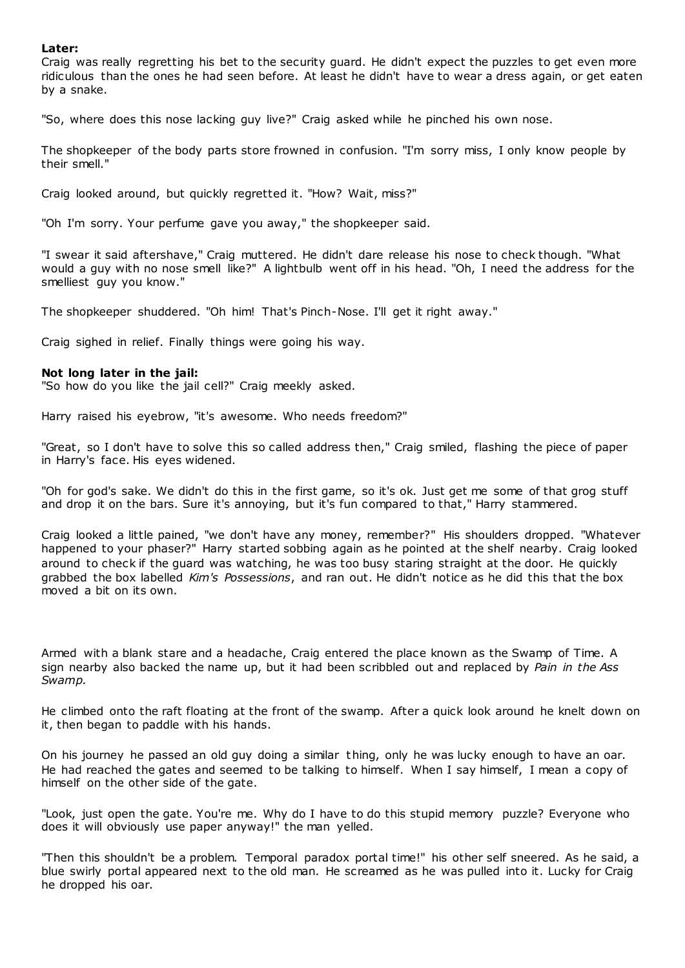### **Later:**

Craig was really regretting his bet to the security guard. He didn't expect the puzzles to get even more ridiculous than the ones he had seen before. At least he didn't have to wear a dress again, or get eaten by a snake.

"So, where does this nose lacking guy live?" Craig asked while he pinched his own nose.

The shopkeeper of the body parts store frowned in confusion. "I'm sorry miss, I only know people by their smell."

Craig looked around, but quickly regretted it. "How? Wait, miss?"

"Oh I'm sorry. Your perfume gave you away," the shopkeeper said.

"I swear it said aftershave," Craig muttered. He didn't dare release his nose to check though. "What would a guy with no nose smell like?" A lightbulb went off in his head. "Oh, I need the address for the smelliest guy you know."

The shopkeeper shuddered. "Oh him! That's Pinch-Nose. I'll get it right away."

Craig sighed in relief. Finally things were going his way.

### **Not long later in the jail:**

"So how do you like the jail cell?" Craig meekly asked.

Harry raised his eyebrow, "it's awesome. Who needs freedom?"

"Great, so I don't have to solve this so called address then," Craig smiled, flashing the piece of paper in Harry's face. His eyes widened.

"Oh for god's sake. We didn't do this in the first game, so it's ok. Just get me some of that grog stuff and drop it on the bars. Sure it's annoying, but it's fun compared to that," Harry stammered.

Craig looked a little pained, "we don't have any money, remember?" His shoulders dropped. "Whatever happened to your phaser?" Harry started sobbing again as he pointed at the shelf nearby. Craig looked around to check if the guard was watching, he was too busy staring straight at the door. He quickly grabbed the box labelled *Kim's Possessions*, and ran out. He didn't notice as he did this that the box moved a bit on its own.

Armed with a blank stare and a headache, Craig entered the place known as the Swamp of Time. A sign nearby also backed the name up, but it had been scribbled out and replaced by *Pain in the Ass Swamp.*

He climbed onto the raft floating at the front of the swamp. After a quick look around he knelt down on it, then began to paddle with his hands.

On his journey he passed an old guy doing a similar thing, only he was lucky enough to have an oar. He had reached the gates and seemed to be talking to himself. When I say himself, I mean a copy of himself on the other side of the gate.

"Look, just open the gate. You're me. Why do I have to do this stupid memory puzzle? Everyone who does it will obviously use paper anyway!" the man yelled.

"Then this shouldn't be a problem. Temporal paradox portal time!" his other self sneered. As he said, a blue swirly portal appeared next to the old man. He screamed as he was pulled into it. Lucky for Craig he dropped his oar.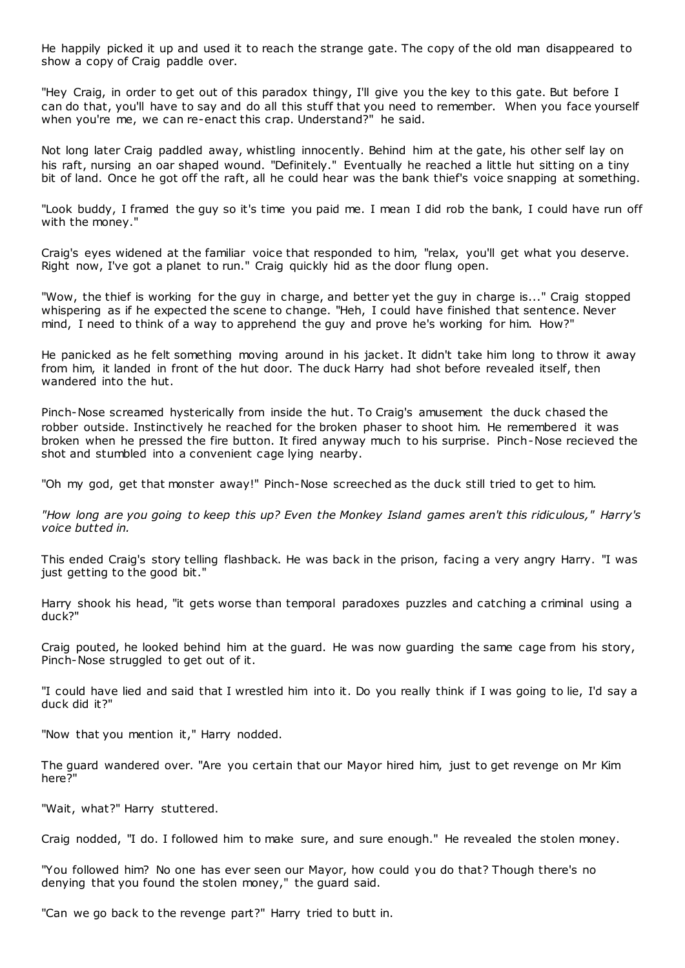He happily picked it up and used it to reach the strange gate. The copy of the old man disappeared to show a copy of Craig paddle over.

"Hey Craig, in order to get out of this paradox thingy, I'll give you the key to this gate. But before I can do that, you'll have to say and do all this stuff that you need to remember. When you face yourself when you're me, we can re-enact this crap. Understand?" he said.

Not long later Craig paddled away, whistling innocently. Behind him at the gate, his other self lay on his raft, nursing an oar shaped wound. "Definitely." Eventually he reached a little hut sitting on a tiny bit of land. Once he got off the raft, all he could hear was the bank thief's voice snapping at something.

"Look buddy, I framed the guy so it's time you paid me. I mean I did rob the bank, I could have run off with the money."

Craig's eyes widened at the familiar voice that responded to him, "relax, you'll get what you deserve. Right now, I've got a planet to run." Craig quickly hid as the door flung open.

"Wow, the thief is working for the guy in charge, and better yet the guy in charge is..." Craig stopped whispering as if he expected the scene to change. "Heh, I could have finished that sentence. Never mind, I need to think of a way to apprehend the guy and prove he's working for him. How?"

He panicked as he felt something moving around in his jacket. It didn't take him long to throw it away from him, it landed in front of the hut door. The duck Harry had shot before revealed itself, then wandered into the hut.

Pinch-Nose screamed hysterically from inside the hut. To Craig's amusement the duck chased the robber outside. Instinctively he reached for the broken phaser to shoot him. He remembered it was broken when he pressed the fire button. It fired anyway much to his surprise. Pinch-Nose recieved the shot and stumbled into a convenient cage lying nearby.

"Oh my god, get that monster away!" Pinch-Nose screeched as the duck still tried to get to him.

*"How long are you going to keep this up? Even the Monkey Island games aren't this ridiculous," Harry's voice butted in.*

This ended Craig's story telling flashback. He was back in the prison, facing a very angry Harry. "I was just getting to the good bit."

Harry shook his head, "it gets worse than temporal paradoxes puzzles and catching a criminal using a duck?"

Craig pouted, he looked behind him at the guard. He was now guarding the same cage from his story, Pinch-Nose struggled to get out of it.

"I could have lied and said that I wrestled him into it. Do you really think if I was going to lie, I'd say a duck did it?"

"Now that you mention it," Harry nodded.

The guard wandered over. "Are you certain that our Mayor hired him, just to get revenge on Mr Kim here?"

"Wait, what?" Harry stuttered.

Craig nodded, "I do. I followed him to make sure, and sure enough." He revealed the stolen money.

"You followed him? No one has ever seen our Mayor, how could you do that? Though there's no denying that you found the stolen money," the guard said.

"Can we go back to the revenge part?" Harry tried to butt in.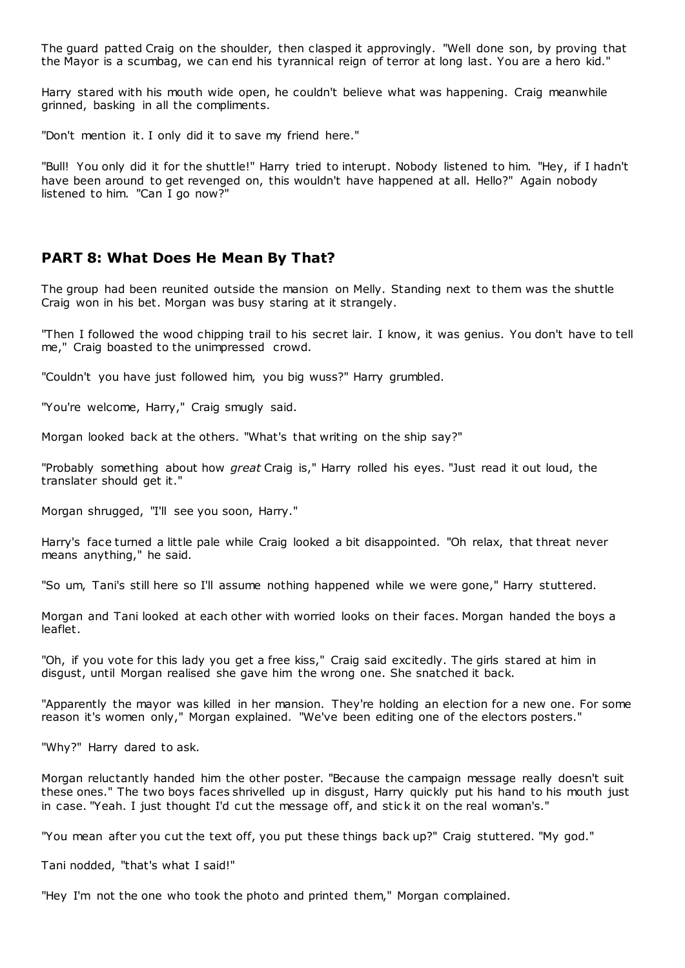The guard patted Craig on the shoulder, then clasped it approvingly. "Well done son, by proving that the Mayor is a scumbag, we can end his tyrannical reign of terror at long last. You are a hero kid."

Harry stared with his mouth wide open, he couldn't believe what was happening. Craig meanwhile grinned, basking in all the compliments.

"Don't mention it. I only did it to save my friend here."

"Bull! You only did it for the shuttle!" Harry tried to interupt. Nobody listened to him. "Hey, if I hadn't have been around to get revenged on, this wouldn't have happened at all. Hello?" Again nobody listened to him. "Can I go now?"

# **PART 8: What Does He Mean By That?**

The group had been reunited outside the mansion on Melly. Standing next to them was the shuttle Craig won in his bet. Morgan was busy staring at it strangely.

"Then I followed the wood chipping trail to his secret lair. I know, it was genius. You don't have to tell me," Craig boasted to the unimpressed crowd.

"Couldn't you have just followed him, you big wuss?" Harry grumbled.

"You're welcome, Harry," Craig smugly said.

Morgan looked back at the others. "What's that writing on the ship say?"

"Probably something about how *great* Craig is," Harry rolled his eyes. "Just read it out loud, the translater should get it."

Morgan shrugged, "I'll see you soon, Harry."

Harry's face turned a little pale while Craig looked a bit disappointed. "Oh relax, that threat never means anything," he said.

"So um, Tani's still here so I'll assume nothing happened while we were gone," Harry stuttered.

Morgan and Tani looked at each other with worried looks on their faces. Morgan handed the boys a leaflet.

"Oh, if you vote for this lady you get a free kiss," Craig said excitedly. The girls stared at him in disgust, until Morgan realised she gave him the wrong one. She snatched it back.

"Apparently the mayor was killed in her mansion. They're holding an election for a new one. For some reason it's women only," Morgan explained. "We've been editing one of the electors posters."

"Why?" Harry dared to ask.

Morgan reluctantly handed him the other poster. "Because the campaign message really doesn't suit these ones." The two boys faces shrivelled up in disgust, Harry quickly put his hand to his mouth just in case. "Yeah. I just thought I'd cut the message off, and stic k it on the real woman's."

"You mean after you cut the text off, you put these things back up?" Craig stuttered. "My god."

Tani nodded, "that's what I said!"

"Hey I'm not the one who took the photo and printed them," Morgan complained.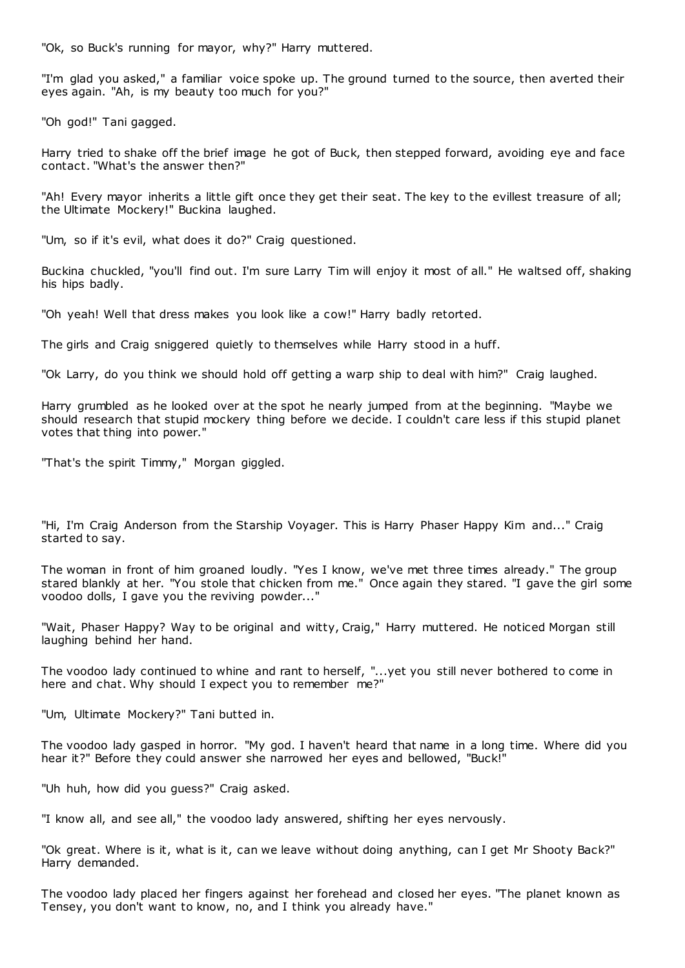"Ok, so Buck's running for mayor, why?" Harry muttered.

"I'm glad you asked," a familiar voice spoke up. The ground turned to the source, then averted their eyes again. "Ah, is my beauty too much for you?"

"Oh god!" Tani gagged.

Harry tried to shake off the brief image he got of Buck, then stepped forward, avoiding eye and face contact. "What's the answer then?"

"Ah! Every mayor inherits a little gift once they get their seat. The key to the evillest treasure of all; the Ultimate Mockery!" Buckina laughed.

"Um, so if it's evil, what does it do?" Craig questioned.

Buckina chuckled, "you'll find out. I'm sure Larry Tim will enjoy it most of all." He waltsed off, shaking his hips badly.

"Oh yeah! Well that dress makes you look like a cow!" Harry badly retorted.

The girls and Craig sniggered quietly to themselves while Harry stood in a huff.

"Ok Larry, do you think we should hold off getting a warp ship to deal with him?" Craig laughed.

Harry grumbled as he looked over at the spot he nearly jumped from at the beginning. "Maybe we should research that stupid mockery thing before we decide. I couldn't care less if this stupid planet votes that thing into power."

"That's the spirit Timmy," Morgan giggled.

"Hi, I'm Craig Anderson from the Starship Voyager. This is Harry Phaser Happy Kim and..." Craig started to say.

The woman in front of him groaned loudly. "Yes I know, we've met three times already." The group stared blankly at her. "You stole that chicken from me." Once again they stared. "I gave the girl some voodoo dolls, I gave you the reviving powder..."

"Wait, Phaser Happy? Way to be original and witty, Craig," Harry muttered. He noticed Morgan still laughing behind her hand.

The voodoo lady continued to whine and rant to herself, "...yet you still never bothered to come in here and chat. Why should I expect you to remember me?"

"Um, Ultimate Mockery?" Tani butted in.

The voodoo lady gasped in horror. "My god. I haven't heard that name in a long time. Where did you hear it?" Before they could answer she narrowed her eyes and bellowed, "Buck!"

"Uh huh, how did you guess?" Craig asked.

"I know all, and see all," the voodoo lady answered, shifting her eyes nervously.

"Ok great. Where is it, what is it, can we leave without doing anything, can I get Mr Shooty Back?" Harry demanded.

The voodoo lady placed her fingers against her forehead and closed her eyes. "The planet known as Tensey, you don't want to know, no, and I think you already have."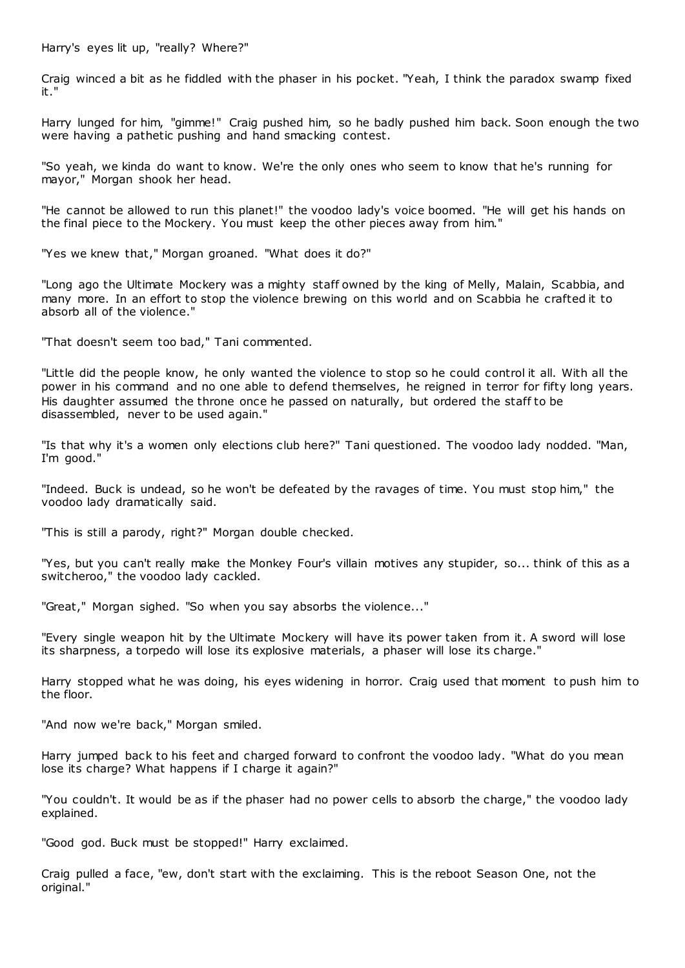Harry's eyes lit up, "really? Where?"

Craig winced a bit as he fiddled with the phaser in his pocket. "Yeah, I think the paradox swamp fixed it."

Harry lunged for him, "gimme!" Craig pushed him, so he badly pushed him back. Soon enough the two were having a pathetic pushing and hand smacking contest.

"So yeah, we kinda do want to know. We're the only ones who seem to know that he's running for mayor," Morgan shook her head.

"He cannot be allowed to run this planet!" the voodoo lady's voice boomed. "He will get his hands on the final piece to the Mockery. You must keep the other pieces away from him."

"Yes we knew that," Morgan groaned. "What does it do?"

"Long ago the Ultimate Mockery was a mighty staff owned by the king of Melly, Malain, Scabbia, and many more. In an effort to stop the violence brewing on this world and on Scabbia he crafted it to absorb all of the violence."

"That doesn't seem too bad," Tani commented.

"Little did the people know, he only wanted the violence to stop so he could control it all. With all the power in his command and no one able to defend themselves, he reigned in terror for fifty long years. His daughter assumed the throne once he passed on naturally, but ordered the staff to be disassembled, never to be used again."

"Is that why it's a women only elections club here?" Tani questioned. The voodoo lady nodded. "Man, I'm good."

"Indeed. Buck is undead, so he won't be defeated by the ravages of time. You must stop him," the voodoo lady dramatically said.

"This is still a parody, right?" Morgan double checked.

"Yes, but you can't really make the Monkey Four's villain motives any stupider, so... think of this as a switcheroo," the voodoo lady cackled.

"Great," Morgan sighed. "So when you say absorbs the violence..."

"Every single weapon hit by the Ultimate Mockery will have its power taken from it. A sword will lose its sharpness, a torpedo will lose its explosive materials, a phaser will lose its charge."

Harry stopped what he was doing, his eyes widening in horror. Craig used that moment to push him to the floor.

"And now we're back," Morgan smiled.

Harry jumped back to his feet and charged forward to confront the voodoo lady. "What do you mean lose its charge? What happens if I charge it again?"

"You couldn't. It would be as if the phaser had no power cells to absorb the charge," the voodoo lady explained.

"Good god. Buck must be stopped!" Harry exclaimed.

Craig pulled a face, "ew, don't start with the exclaiming. This is the reboot Season One, not the original."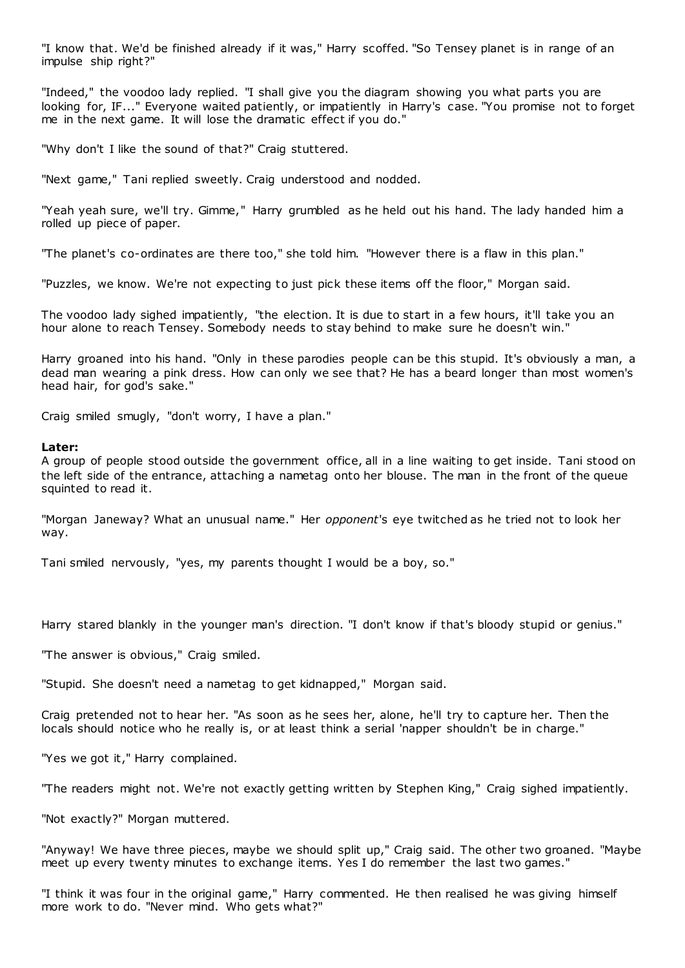"I know that. We'd be finished already if it was," Harry scoffed. "So Tensey planet is in range of an impulse ship right?"

"Indeed," the voodoo lady replied. "I shall give you the diagram showing you what parts you are looking for, IF..." Everyone waited patiently, or impatiently in Harry's case. "You promise not to forget me in the next game. It will lose the dramatic effect if you do."

"Why don't I like the sound of that?" Craig stuttered.

"Next game," Tani replied sweetly. Craig understood and nodded.

"Yeah yeah sure, we'll try. Gimme," Harry grumbled as he held out his hand. The lady handed him a rolled up piece of paper.

"The planet's co-ordinates are there too," she told him. "However there is a flaw in this plan."

"Puzzles, we know. We're not expecting to just pick these items off the floor," Morgan said.

The voodoo lady sighed impatiently, "the election. It is due to start in a few hours, it'll take you an hour alone to reach Tensey. Somebody needs to stay behind to make sure he doesn't win."

Harry groaned into his hand. "Only in these parodies people can be this stupid. It's obviously a man, a dead man wearing a pink dress. How can only we see that? He has a beard longer than most women's head hair, for god's sake."

Craig smiled smugly, "don't worry, I have a plan."

#### **Later:**

A group of people stood outside the government office, all in a line waiting to get inside. Tani stood on the left side of the entrance, attaching a nametag onto her blouse. The man in the front of the queue squinted to read it.

"Morgan Janeway? What an unusual name." Her *opponent*'s eye twitched as he tried not to look her way.

Tani smiled nervously, "yes, my parents thought I would be a boy, so."

Harry stared blankly in the younger man's direction. "I don't know if that's bloody stupid or genius."

"The answer is obvious," Craig smiled.

"Stupid. She doesn't need a nametag to get kidnapped," Morgan said.

Craig pretended not to hear her. "As soon as he sees her, alone, he'll try to capture her. Then the locals should notice who he really is, or at least think a serial 'napper shouldn't be in charge."

"Yes we got it," Harry complained.

"The readers might not. We're not exactly getting written by Stephen King," Craig sighed impatiently.

"Not exactly?" Morgan muttered.

"Anyway! We have three pieces, maybe we should split up," Craig said. The other two groaned. "Maybe meet up every twenty minutes to exchange items. Yes I do remember the last two games."

"I think it was four in the original game," Harry commented. He then realised he was giving himself more work to do. "Never mind. Who gets what?"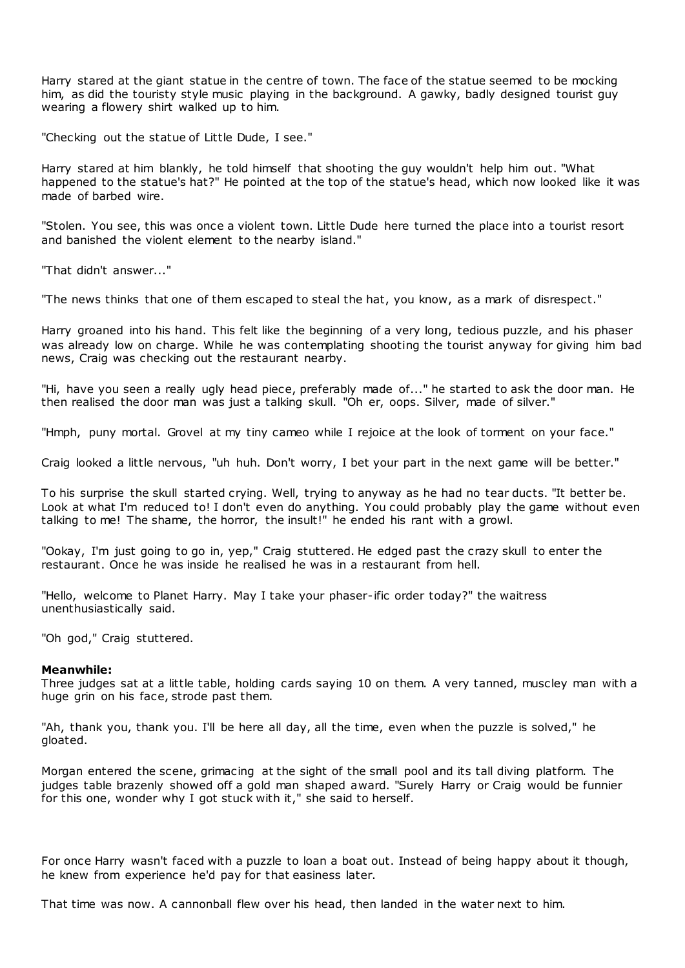Harry stared at the giant statue in the centre of town. The face of the statue seemed to be mocking him, as did the touristy style music playing in the background. A gawky, badly designed tourist guy wearing a flowery shirt walked up to him.

"Checking out the statue of Little Dude, I see."

Harry stared at him blankly, he told himself that shooting the guy wouldn't help him out. "What happened to the statue's hat?" He pointed at the top of the statue's head, which now looked like it was made of barbed wire.

"Stolen. You see, this was once a violent town. Little Dude here turned the place into a tourist resort and banished the violent element to the nearby island."

"That didn't answer..."

"The news thinks that one of them escaped to steal the hat, you know, as a mark of disrespect."

Harry groaned into his hand. This felt like the beginning of a very long, tedious puzzle, and his phaser was already low on charge. While he was contemplating shooting the tourist anyway for giving him bad news, Craig was checking out the restaurant nearby.

"Hi, have you seen a really ugly head piece, preferably made of..." he started to ask the door man. He then realised the door man was just a talking skull. "Oh er, oops. Silver, made of silver."

"Hmph, puny mortal. Grovel at my tiny cameo while I rejoice at the look of torment on your face."

Craig looked a little nervous, "uh huh. Don't worry, I bet your part in the next game will be better."

To his surprise the skull started crying. Well, trying to anyway as he had no tear ducts. "It better be. Look at what I'm reduced to! I don't even do anything. You could probably play the game without even talking to me! The shame, the horror, the insult!" he ended his rant with a growl.

"Ookay, I'm just going to go in, yep," Craig stuttered. He edged past the crazy skull to enter the restaurant. Once he was inside he realised he was in a restaurant from hell.

"Hello, welcome to Planet Harry. May I take your phaser-ific order today?" the waitress unenthusiastically said.

"Oh god," Craig stuttered.

#### **Meanwhile:**

Three judges sat at a little table, holding cards saying 10 on them. A very tanned, muscley man with a huge grin on his face, strode past them.

"Ah, thank you, thank you. I'll be here all day, all the time, even when the puzzle is solved," he gloated.

Morgan entered the scene, grimacing at the sight of the small pool and its tall diving platform. The judges table brazenly showed off a gold man shaped award. "Surely Harry or Craig would be funnier for this one, wonder why I got stuck with it," she said to herself.

For once Harry wasn't faced with a puzzle to loan a boat out. Instead of being happy about it though, he knew from experience he'd pay for that easiness later.

That time was now. A cannonball flew over his head, then landed in the water next to him.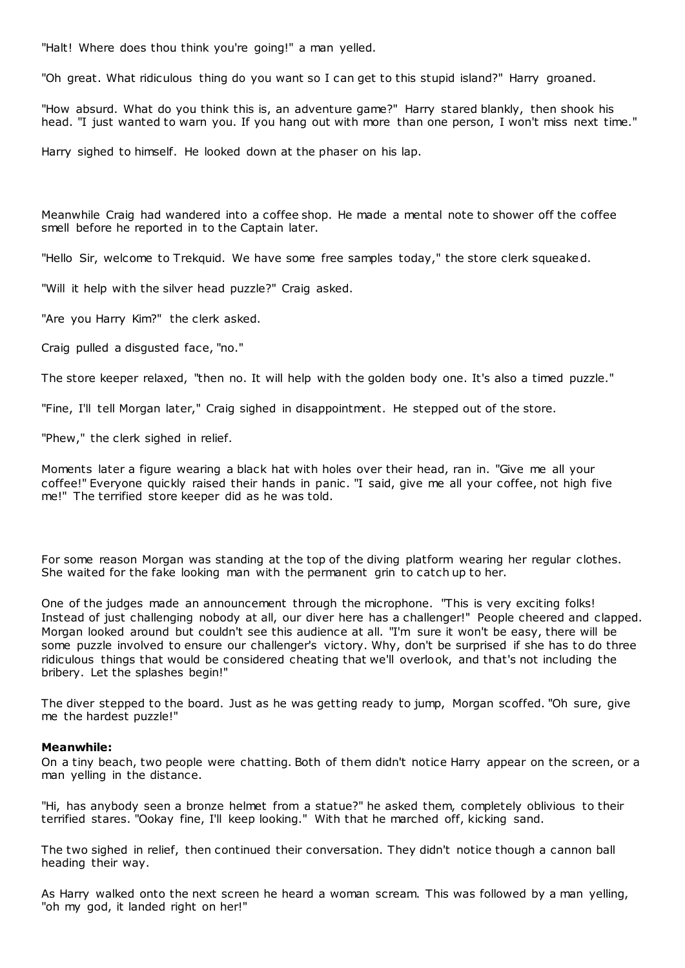"Halt! Where does thou think you're going!" a man yelled.

"Oh great. What ridiculous thing do you want so I can get to this stupid island?" Harry groaned.

"How absurd. What do you think this is, an adventure game?" Harry stared blankly, then shook his head. "I just wanted to warn you. If you hang out with more than one person, I won't miss next time."

Harry sighed to himself. He looked down at the phaser on his lap.

Meanwhile Craig had wandered into a coffee shop. He made a mental note to shower off the coffee smell before he reported in to the Captain later.

"Hello Sir, welcome to Trekquid. We have some free samples today," the store clerk squeaked.

"Will it help with the silver head puzzle?" Craig asked.

"Are you Harry Kim?" the clerk asked.

Craig pulled a disgusted face, "no."

The store keeper relaxed, "then no. It will help with the golden body one. It's also a timed puzzle."

"Fine, I'll tell Morgan later," Craig sighed in disappointment. He stepped out of the store.

"Phew," the clerk sighed in relief.

Moments later a figure wearing a black hat with holes over their head, ran in. "Give me all your coffee!" Everyone quickly raised their hands in panic . "I said, give me all your coffee, not high five me!" The terrified store keeper did as he was told.

For some reason Morgan was standing at the top of the diving platform wearing her regular clothes. She waited for the fake looking man with the permanent grin to catch up to her.

One of the judges made an announcement through the microphone. "This is very exciting folks! Instead of just challenging nobody at all, our diver here has a challenger!" People cheered and clapped. Morgan looked around but couldn't see this audience at all. "I'm sure it won't be easy, there will be some puzzle involved to ensure our challenger's victory. Why, don't be surprised if she has to do three ridiculous things that would be considered cheating that we'll overlook, and that's not including the bribery. Let the splashes begin!"

The diver stepped to the board. Just as he was getting ready to jump, Morgan scoffed. "Oh sure, give me the hardest puzzle!"

#### **Meanwhile:**

On a tiny beach, two people were chatting. Both of them didn't notice Harry appear on the screen, or a man yelling in the distance.

"Hi, has anybody seen a bronze helmet from a statue?" he asked them, completely oblivious to their terrified stares. "Ookay fine, I'll keep looking." With that he marched off, kicking sand.

The two sighed in relief, then continued their conversation. They didn't notice though a cannon ball heading their way.

As Harry walked onto the next screen he heard a woman scream. This was followed by a man yelling, "oh my god, it landed right on her!"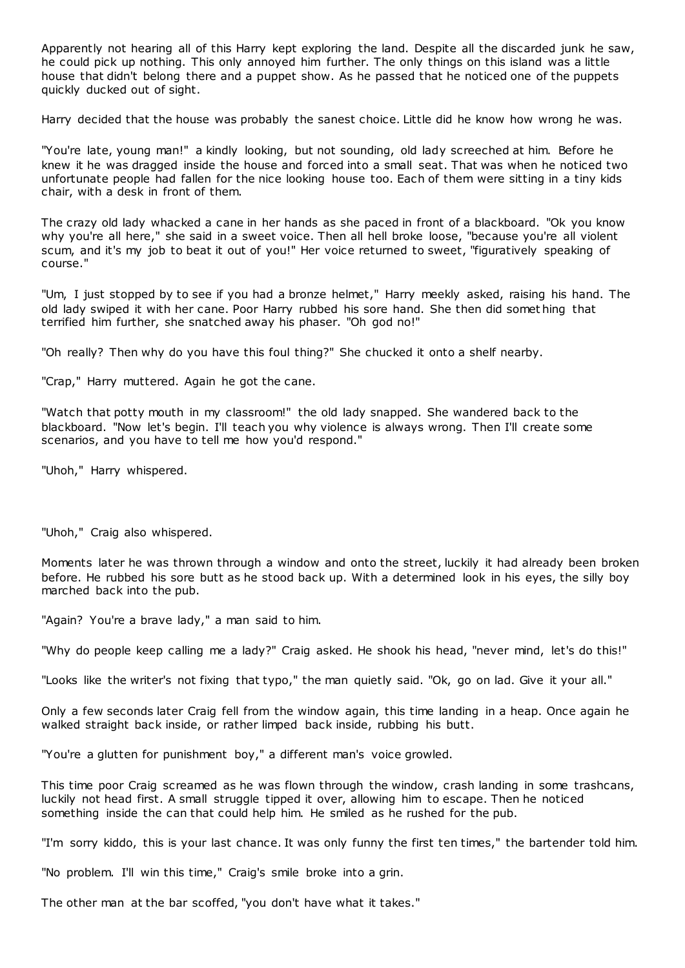Apparently not hearing all of this Harry kept exploring the land. Despite all the discarded junk he saw, he could pick up nothing. This only annoyed him further. The only things on this island was a little house that didn't belong there and a puppet show. As he passed that he noticed one of the puppets quickly ducked out of sight.

Harry decided that the house was probably the sanest choice. Little did he know how wrong he was.

"You're late, young man!" a kindly looking, but not sounding, old lady screeched at him. Before he knew it he was dragged inside the house and forced into a small seat. That was when he noticed two unfortunate people had fallen for the nice looking house too. Each of them were sitting in a tiny kids chair, with a desk in front of them.

The crazy old lady whacked a cane in her hands as she paced in front of a blackboard. "Ok you know why you're all here," she said in a sweet voice. Then all hell broke loose, "because you're all violent scum, and it's my job to beat it out of you!" Her voice returned to sweet, "figuratively speaking of course."

"Um, I just stopped by to see if you had a bronze helmet," Harry meekly asked, raising his hand. The old lady swiped it with her cane. Poor Harry rubbed his sore hand. She then did somet hing that terrified him further, she snatched away his phaser. "Oh god no!"

"Oh really? Then why do you have this foul thing?" She chucked it onto a shelf nearby.

"Crap," Harry muttered. Again he got the cane.

"Watch that potty mouth in my classroom!" the old lady snapped. She wandered back to the blackboard. "Now let's begin. I'll teach you why violence is always wrong. Then I'll create some scenarios, and you have to tell me how you'd respond."

"Uhoh," Harry whispered.

"Uhoh," Craig also whispered.

Moments later he was thrown through a window and onto the street, luckily it had already been broken before. He rubbed his sore butt as he stood back up. With a determined look in his eyes, the silly boy marched back into the pub.

"Again? You're a brave lady," a man said to him.

"Why do people keep calling me a lady?" Craig asked. He shook his head, "never mind, let's do this!"

"Looks like the writer's not fixing that typo," the man quietly said. "Ok, go on lad. Give it your all."

Only a few seconds later Craig fell from the window again, this time landing in a heap. Once again he walked straight back inside, or rather limped back inside, rubbing his butt.

"You're a glutten for punishment boy," a different man's voice growled.

This time poor Craig screamed as he was flown through the window, crash landing in some trashcans, luckily not head first. A small struggle tipped it over, allowing him to escape. Then he noticed something inside the can that could help him. He smiled as he rushed for the pub.

"I'm sorry kiddo, this is your last chance. It was only funny the first ten times," the bartender told him.

"No problem. I'll win this time," Craig's smile broke into a grin.

The other man at the bar scoffed, "you don't have what it takes."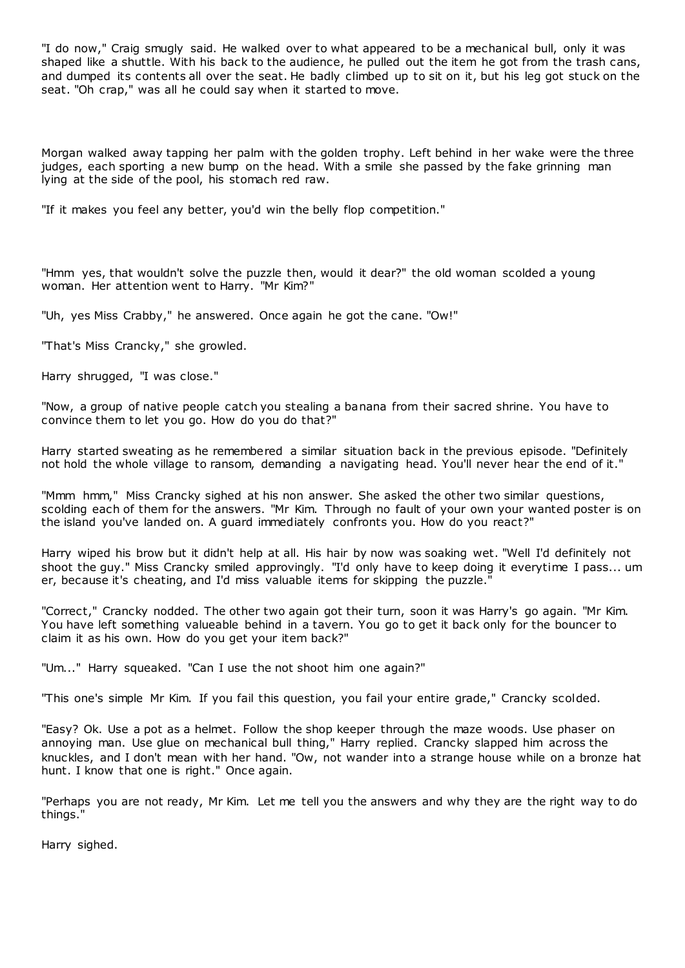"I do now," Craig smugly said. He walked over to what appeared to be a mechanical bull, only it was shaped like a shuttle. With his back to the audience, he pulled out the item he got from the trash cans, and dumped its contents all over the seat. He badly climbed up to sit on it, but his leg got stuck on the seat. "Oh crap," was all he could say when it started to move.

Morgan walked away tapping her palm with the golden trophy. Left behind in her wake were the three judges, each sporting a new bump on the head. With a smile she passed by the fake grinning man lying at the side of the pool, his stomach red raw.

"If it makes you feel any better, you'd win the belly flop competition."

"Hmm yes, that wouldn't solve the puzzle then, would it dear?" the old woman scolded a young woman. Her attention went to Harry. "Mr Kim?"

"Uh, yes Miss Crabby," he answered. Once again he got the cane. "Ow!"

"That's Miss Crancky," she growled.

Harry shrugged, "I was close."

"Now, a group of native people catch you stealing a banana from their sacred shrine. You have to convince them to let you go. How do you do that?"

Harry started sweating as he remembered a similar situation back in the previous episode. "Definitely not hold the whole village to ransom, demanding a navigating head. You'll never hear the end of it."

"Mmm hmm," Miss Crancky sighed at his non answer. She asked the other two similar questions, scolding each of them for the answers. "Mr Kim. Through no fault of your own your wanted poster is on the island you've landed on. A guard immediately confronts you. How do you react?"

Harry wiped his brow but it didn't help at all. His hair by now was soaking wet. "Well I'd definitely not shoot the guy." Miss Crancky smiled approvingly. "I'd only have to keep doing it everytime I pass... um er, because it's cheating, and I'd miss valuable items for skipping the puzzle."

"Correct," Crancky nodded. The other two again got their turn, soon it was Harry's go again. "Mr Kim. You have left something valueable behind in a tavern. You go to get it back only for the bouncer to claim it as his own. How do you get your item back?"

"Um..." Harry squeaked. "Can I use the not shoot him one again?"

"This one's simple Mr Kim. If you fail this question, you fail your entire grade," Crancky scolded.

"Easy? Ok. Use a pot as a helmet. Follow the shop keeper through the maze woods. Use phaser on annoying man. Use glue on mechanical bull thing," Harry replied. Crancky slapped him across the knuckles, and I don't mean with her hand. "Ow, not wander into a strange house while on a bronze hat hunt. I know that one is right." Once again.

"Perhaps you are not ready, Mr Kim. Let me tell you the answers and why they are the right way to do things."

Harry sighed.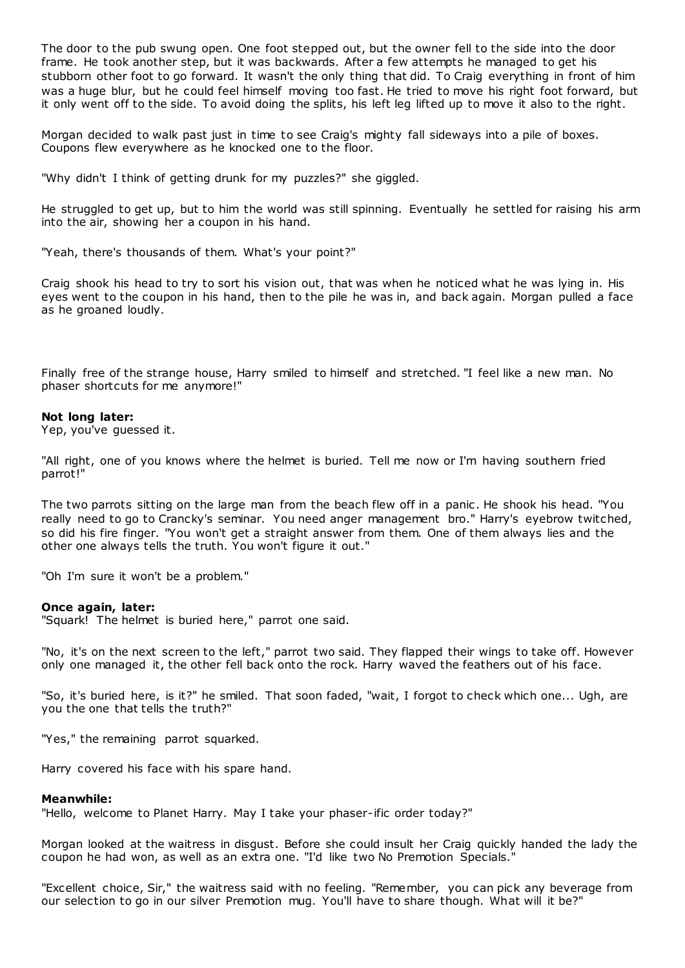The door to the pub swung open. One foot stepped out, but the owner fell to the side into the door frame. He took another step, but it was backwards. After a few attempts he managed to get his stubborn other foot to go forward. It wasn't the only thing that did. To Craig everything in front of him was a huge blur, but he could feel himself moving too fast. He tried to move his right foot forward, but it only went off to the side. To avoid doing the splits, his left leg lifted up to move it also to the right.

Morgan decided to walk past just in time to see Craig's mighty fall sideways into a pile of boxes. Coupons flew everywhere as he knocked one to the floor.

"Why didn't I think of getting drunk for my puzzles?" she giggled.

He struggled to get up, but to him the world was still spinning. Eventually he settled for raising his arm into the air, showing her a coupon in his hand.

"Yeah, there's thousands of them. What's your point?"

Craig shook his head to try to sort his vision out, that was when he noticed what he was lying in. His eyes went to the coupon in his hand, then to the pile he was in, and back again. Morgan pulled a face as he groaned loudly.

Finally free of the strange house, Harry smiled to himself and stretched. "I feel like a new man. No phaser shortcuts for me anymore!"

#### **Not long later:**

Yep, you've guessed it.

"All right, one of you knows where the helmet is buried. Tell me now or I'm having southern fried parrot!"

The two parrots sitting on the large man from the beach flew off in a panic . He shook his head. "You really need to go to Crancky's seminar. You need anger management bro." Harry's eyebrow twitched, so did his fire finger. "You won't get a straight answer from them. One of them always lies and the other one always tells the truth. You won't figure it out."

"Oh I'm sure it won't be a problem."

#### **Once again, later:**

"Squark! The helmet is buried here," parrot one said.

"No, it's on the next screen to the left," parrot two said. They flapped their wings to take off. However only one managed it, the other fell back onto the rock. Harry waved the feathers out of his face.

"So, it's buried here, is it?" he smiled. That soon faded, "wait, I forgot to check which one... Ugh, are you the one that tells the truth?"

"Yes," the remaining parrot squarked.

Harry covered his face with his spare hand.

#### **Meanwhile:**

"Hello, welcome to Planet Harry. May I take your phaser-ific order today?"

Morgan looked at the waitress in disgust. Before she could insult her Craig quickly handed the lady the coupon he had won, as well as an extra one. "I'd like two No Premotion Specials."

"Excellent choice, Sir," the waitress said with no feeling. "Remember, you can pick any beverage from our selection to go in our silver Premotion mug. You'll have to share though. What will it be?"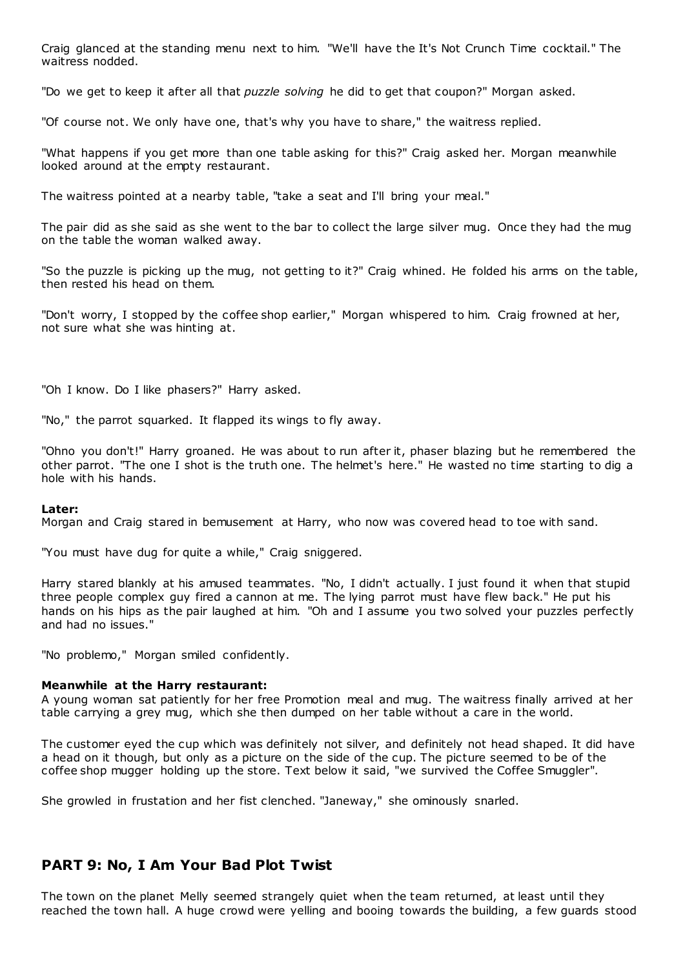Craig glanced at the standing menu next to him. "We'll have the It's Not Crunch Time cocktail." The waitress nodded.

"Do we get to keep it after all that *puzzle solving* he did to get that coupon?" Morgan asked.

"Of course not. We only have one, that's why you have to share," the waitress replied.

"What happens if you get more than one table asking for this?" Craig asked her. Morgan meanwhile looked around at the empty restaurant.

The waitress pointed at a nearby table, "take a seat and I'll bring your meal."

The pair did as she said as she went to the bar to collect the large silver mug. Once they had the mug on the table the woman walked away.

"So the puzzle is picking up the mug, not getting to it?" Craig whined. He folded his arms on the table, then rested his head on them.

"Don't worry, I stopped by the coffee shop earlier," Morgan whispered to him. Craig frowned at her, not sure what she was hinting at.

"Oh I know. Do I like phasers?" Harry asked.

"No," the parrot squarked. It flapped its wings to fly away.

"Ohno you don't!" Harry groaned. He was about to run after it, phaser blazing but he remembered the other parrot. "The one I shot is the truth one. The helmet's here." He wasted no time starting to dig a hole with his hands.

#### **Later:**

Morgan and Craig stared in bemusement at Harry, who now was covered head to toe with sand.

"You must have dug for quite a while," Craig sniggered.

Harry stared blankly at his amused teammates. "No, I didn't actually. I just found it when that stupid three people complex guy fired a cannon at me. The lying parrot must have flew back." He put his hands on his hips as the pair laughed at him. "Oh and I assume you two solved your puzzles perfectly and had no issues."

"No problemo," Morgan smiled confidently.

### **Meanwhile at the Harry restaurant:**

A young woman sat patiently for her free Promotion meal and mug. The waitress finally arrived at her table carrying a grey mug, which she then dumped on her table without a care in the world.

The customer eyed the cup which was definitely not silver, and definitely not head shaped. It did have a head on it though, but only as a picture on the side of the cup. The picture seemed to be of the coffee shop mugger holding up the store. Text below it said, "we survived the Coffee Smuggler".

She growled in frustation and her fist clenched. "Janeway," she ominously snarled.

## **PART 9: No, I Am Your Bad Plot Twist**

The town on the planet Melly seemed strangely quiet when the team returned, at least until they reached the town hall. A huge crowd were yelling and booing towards the building, a few guards stood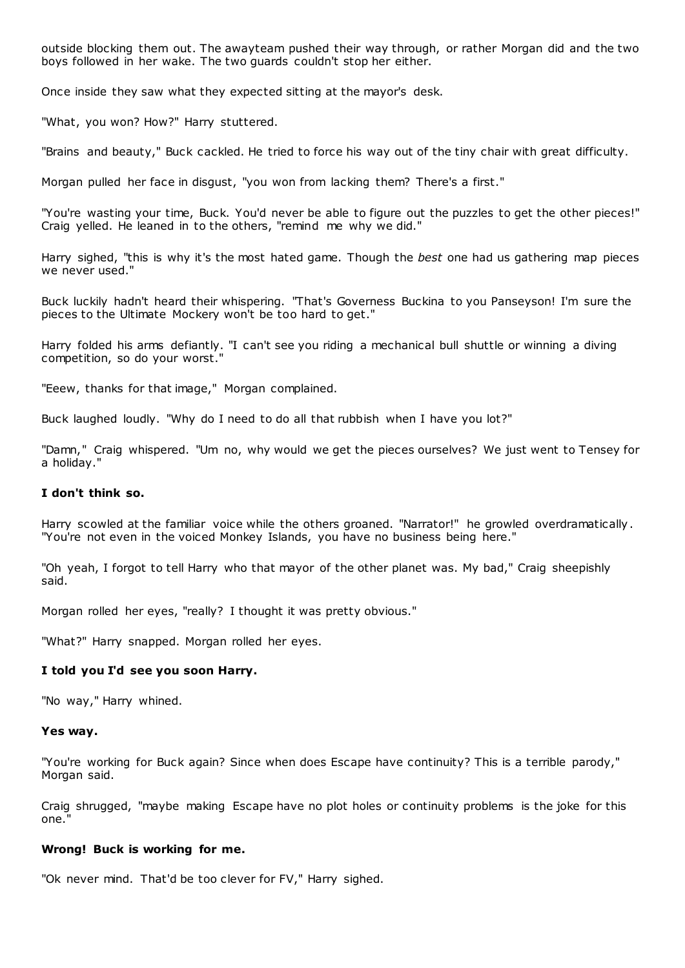outside blocking them out. The awayteam pushed their way through, or rather Morgan did and the two boys followed in her wake. The two guards couldn't stop her either.

Once inside they saw what they expected sitting at the mayor's desk.

"What, you won? How?" Harry stuttered.

"Brains and beauty," Buck cackled. He tried to force his way out of the tiny chair with great difficulty.

Morgan pulled her face in disgust, "you won from lacking them? There's a first."

"You're wasting your time, Buck. You'd never be able to figure out the puzzles to get the other pieces!" Craig yelled. He leaned in to the others, "remind me why we did."

Harry sighed, "this is why it's the most hated game. Though the *best* one had us gathering map pieces we never used."

Buck luckily hadn't heard their whispering. "That's Governess Buckina to you Panseyson! I'm sure the pieces to the Ultimate Mockery won't be too hard to get."

Harry folded his arms defiantly. "I can't see you riding a mechanical bull shuttle or winning a diving competition, so do your worst."

"Eeew, thanks for that image," Morgan complained.

Buck laughed loudly. "Why do I need to do all that rubbish when I have you lot?"

"Damn," Craig whispered. "Um no, why would we get the pieces ourselves? We just went to Tensey for a holiday."

## **I don't think so.**

Harry scowled at the familiar voice while the others groaned. "Narrator!" he growled overdramatically . "You're not even in the voiced Monkey Islands, you have no business being here."

"Oh yeah, I forgot to tell Harry who that mayor of the other planet was. My bad," Craig sheepishly said.

Morgan rolled her eyes, "really? I thought it was pretty obvious."

"What?" Harry snapped. Morgan rolled her eyes.

### **I told you I'd see you soon Harry.**

"No way," Harry whined.

#### **Yes way.**

"You're working for Buck again? Since when does Escape have continuity? This is a terrible parody," Morgan said.

Craig shrugged, "maybe making Escape have no plot holes or continuity problems is the joke for this one.

#### **Wrong! Buck is working for me.**

"Ok never mind. That'd be too clever for FV," Harry sighed.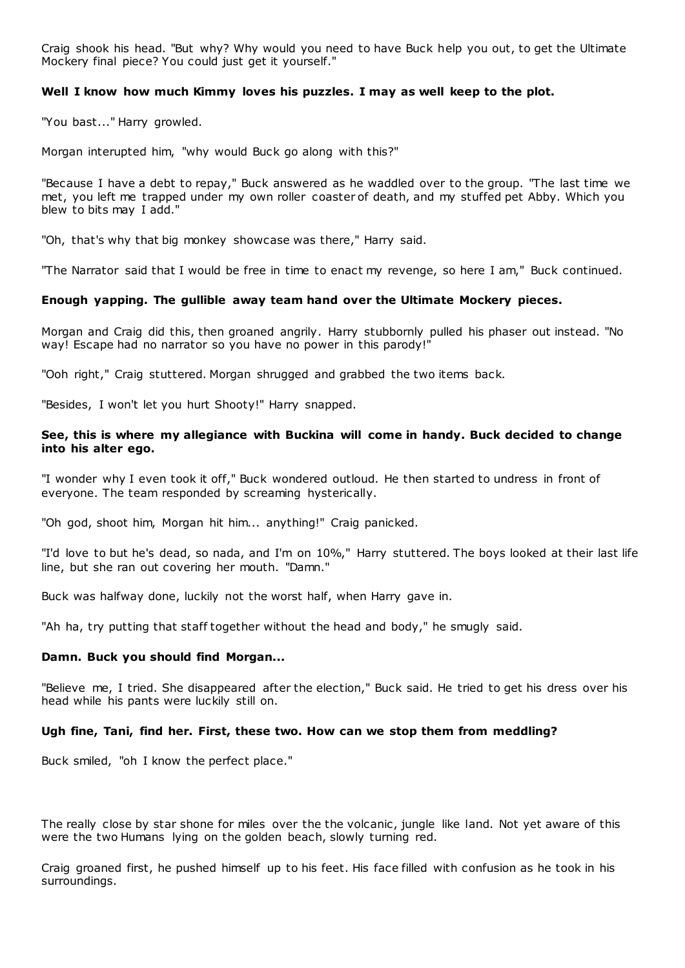Craig shook his head. "But why? Why would you need to have Buck help you out, to get the Ultimate Mockery final piece? You could just get it yourself."

### **Well I know how much Kimmy loves his puzzles. I may as well keep to the plot.**

"You bast..." Harry growled.

Morgan interupted him, "why would Buck go along with this?"

"Because I have a debt to repay," Buck answered as he waddled over to the group. "The last time we met, you left me trapped under my own roller coaster of death, and my stuffed pet Abby. Which you blew to bits may I add."

"Oh, that's why that big monkey showcase was there," Harry said.

"The Narrator said that I would be free in time to enact my revenge, so here I am," Buck continued.

### **Enough yapping. The gullible away team hand over the Ultimate Mockery pieces.**

Morgan and Craig did this, then groaned angrily. Harry stubbornly pulled his phaser out instead. "No way! Escape had no narrator so you have no power in this parody!"

"Ooh right," Craig stuttered. Morgan shrugged and grabbed the two items back.

"Besides, I won't let you hurt Shooty!" Harry snapped.

### **See, this is where my allegiance with Buckina will come in handy. Buck decided to change into his alter ego.**

"I wonder why I even took it off," Buck wondered outloud. He then started to undress in front of everyone. The team responded by screaming hysterically.

"Oh god, shoot him, Morgan hit him... anything!" Craig panicked.

"I'd love to but he's dead, so nada, and I'm on 10%," Harry stuttered. The boys looked at their last life line, but she ran out covering her mouth. "Damn."

Buck was halfway done, luckily not the worst half, when Harry gave in.

"Ah ha, try putting that staff together without the head and body," he smugly said.

### **Damn. Buck you should find Morgan...**

"Believe me, I tried. She disappeared after the election," Buck said. He tried to get his dress over his head while his pants were luckily still on.

#### **Ugh fine, Tani, find her. First, these two. How can we stop them from meddling?**

Buck smiled, "oh I know the perfect place."

The really close by star shone for miles over the the volcanic, jungle like land. Not yet aware of this were the two Humans lying on the golden beach, slowly turning red.

Craig groaned first, he pushed himself up to his feet. His face filled with confusion as he took in his surroundings.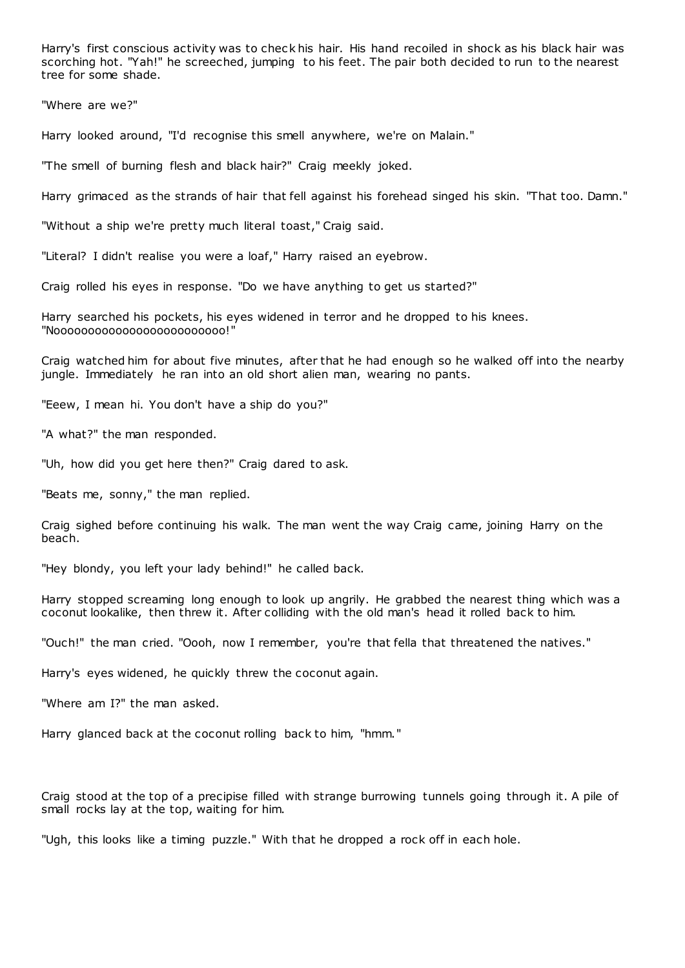Harry's first conscious activity was to chec k his hair. His hand recoiled in shock as his black hair was scorching hot. "Yah!" he screeched, jumping to his feet. The pair both decided to run to the nearest tree for some shade.

"Where are we?"

Harry looked around, "I'd recognise this smell anywhere, we're on Malain."

"The smell of burning flesh and black hair?" Craig meekly joked.

Harry grimaced as the strands of hair that fell against his forehead singed his skin. "That too. Damn."

"Without a ship we're pretty much literal toast," Craig said.

"Literal? I didn't realise you were a loaf," Harry raised an eyebrow.

Craig rolled his eyes in response. "Do we have anything to get us started?"

Harry searched his pockets, his eyes widened in terror and he dropped to his knees. "Nooooooooooooooooooooooooo!"

Craig watched him for about five minutes, after that he had enough so he walked off into the nearby jungle. Immediately he ran into an old short alien man, wearing no pants.

"Eeew, I mean hi. You don't have a ship do you?"

"A what?" the man responded.

"Uh, how did you get here then?" Craig dared to ask.

"Beats me, sonny," the man replied.

Craig sighed before continuing his walk. The man went the way Craig came, joining Harry on the beach.

"Hey blondy, you left your lady behind!" he called back.

Harry stopped screaming long enough to look up angrily. He grabbed the nearest thing which was a coconut lookalike, then threw it. After colliding with the old man's head it rolled back to him.

"Ouch!" the man cried. "Oooh, now I remember, you're that fella that threatened the natives."

Harry's eyes widened, he quickly threw the coconut again.

"Where am I?" the man asked.

Harry glanced back at the coconut rolling back to him, "hmm."

Craig stood at the top of a precipise filled with strange burrowing tunnels going through it. A pile of small rocks lay at the top, waiting for him.

"Ugh, this looks like a timing puzzle." With that he dropped a rock off in each hole.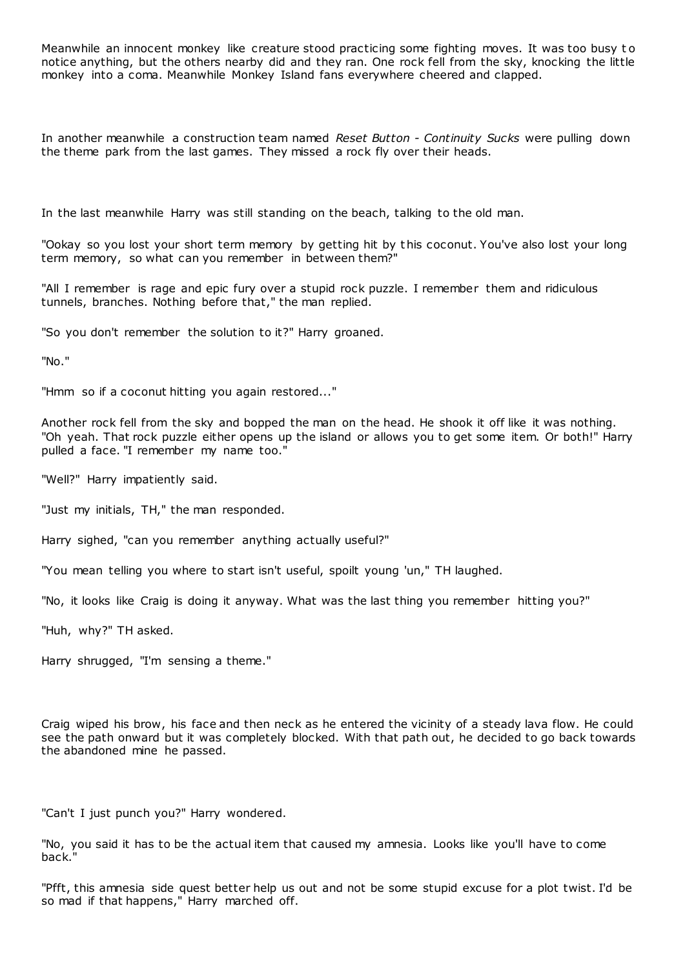Meanwhile an innocent monkey like creature stood practicing some fighting moves. It was too busy to notice anything, but the others nearby did and they ran. One rock fell from the sky, knocking the little monkey into a coma. Meanwhile Monkey Island fans everywhere cheered and clapped.

In another meanwhile a construction team named *Reset Button - Continuity Sucks* were pulling down the theme park from the last games. They missed a rock fly over their heads.

In the last meanwhile Harry was still standing on the beach, talking to the old man.

"Ookay so you lost your short term memory by getting hit by this coconut. You've also lost your long term memory, so what can you remember in between them?"

"All I remember is rage and epic fury over a stupid rock puzzle. I remember them and ridiculous tunnels, branches. Nothing before that," the man replied.

"So you don't remember the solution to it?" Harry groaned.

"No."

"Hmm so if a coconut hitting you again restored..."

Another rock fell from the sky and bopped the man on the head. He shook it off like it was nothing. "Oh yeah. That rock puzzle either opens up the island or allows you to get some item. Or both!" Harry pulled a face. "I remember my name too."

"Well?" Harry impatiently said.

"Just my initials, TH," the man responded.

Harry sighed, "can you remember anything actually useful?"

"You mean telling you where to start isn't useful, spoilt young 'un," TH laughed.

"No, it looks like Craig is doing it anyway. What was the last thing you remember hitting you?"

"Huh, why?" TH asked.

Harry shrugged, "I'm sensing a theme."

Craig wiped his brow, his face and then neck as he entered the vicinity of a steady lava flow. He could see the path onward but it was completely blocked. With that path out, he decided to go back towards the abandoned mine he passed.

"Can't I just punch you?" Harry wondered.

"No, you said it has to be the actual item that caused my amnesia. Looks like you'll have to come back."

"Pfft, this amnesia side quest better help us out and not be some stupid excuse for a plot twist. I'd be so mad if that happens," Harry marched off.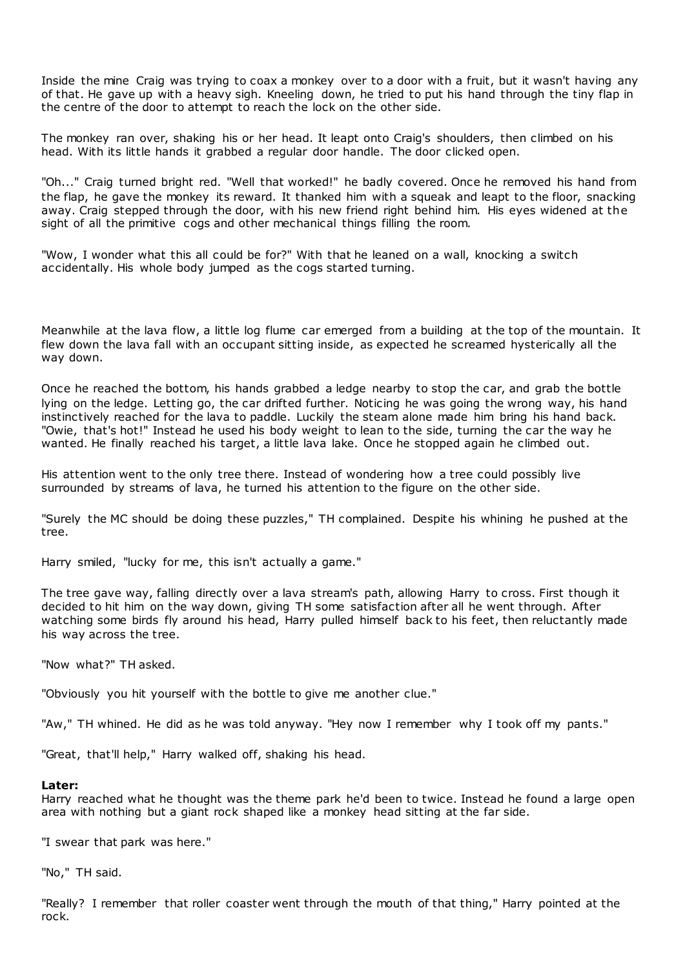Inside the mine Craig was trying to coax a monkey over to a door with a fruit, but it wasn't having any of that. He gave up with a heavy sigh. Kneeling down, he tried to put his hand through the tiny flap in the centre of the door to attempt to reach the lock on the other side.

The monkey ran over, shaking his or her head. It leapt onto Craig's shoulders, then climbed on his head. With its little hands it grabbed a regular door handle. The door clicked open.

"Oh..." Craig turned bright red. "Well that worked!" he badly covered. Once he removed his hand from the flap, he gave the monkey its reward. It thanked him with a squeak and leapt to the floor, snacking away. Craig stepped through the door, with his new friend right behind him. His eyes widened at the sight of all the primitive cogs and other mechanical things filling the room.

"Wow, I wonder what this all could be for?" With that he leaned on a wall, knocking a switch accidentally. His whole body jumped as the cogs started turning.

Meanwhile at the lava flow, a little log flume car emerged from a building at the top of the mountain. It flew down the lava fall with an occupant sitting inside, as expected he screamed hysterically all the way down.

Once he reached the bottom, his hands grabbed a ledge nearby to stop the car, and grab the bottle lying on the ledge. Letting go, the car drifted further. Noticing he was going the wrong way, his hand instinctively reached for the lava to paddle. Luckily the steam alone made him bring his hand back. "Owie, that's hot!" Instead he used his body weight to lean to the side, turning the car the way he wanted. He finally reached his target, a little lava lake. Once he stopped again he climbed out.

His attention went to the only tree there. Instead of wondering how a tree could possibly live surrounded by streams of lava, he turned his attention to the figure on the other side.

"Surely the MC should be doing these puzzles," TH complained. Despite his whining he pushed at the tree.

Harry smiled, "lucky for me, this isn't actually a game."

The tree gave way, falling directly over a lava stream's path, allowing Harry to cross. First though it decided to hit him on the way down, giving TH some satisfaction after all he went through. After watching some birds fly around his head, Harry pulled himself back to his feet, then reluctantly made his way across the tree.

"Now what?" TH asked.

"Obviously you hit yourself with the bottle to give me another clue."

"Aw," TH whined. He did as he was told anyway. "Hey now I remember why I took off my pants."

"Great, that'll help," Harry walked off, shaking his head.

#### **Later:**

Harry reached what he thought was the theme park he'd been to twice. Instead he found a large open area with nothing but a giant rock shaped like a monkey head sitting at the far side.

"I swear that park was here."

"No," TH said.

"Really? I remember that roller coaster went through the mouth of that thing," Harry pointed at the rock.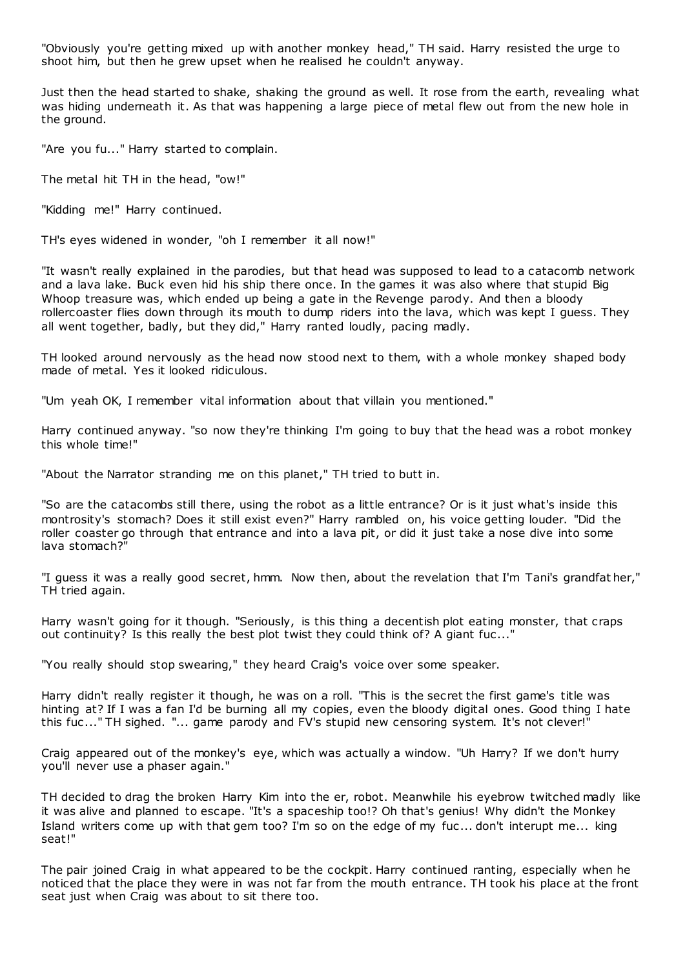"Obviously you're getting mixed up with another monkey head," TH said. Harry resisted the urge to shoot him, but then he grew upset when he realised he couldn't anyway.

Just then the head started to shake, shaking the ground as well. It rose from the earth, revealing what was hiding underneath it. As that was happening a large piece of metal flew out from the new hole in the ground.

"Are you fu..." Harry started to complain.

The metal hit TH in the head, "ow!"

"Kidding me!" Harry continued.

TH's eyes widened in wonder, "oh I remember it all now!"

"It wasn't really explained in the parodies, but that head was supposed to lead to a catacomb network and a lava lake. Buck even hid his ship there once. In the games it was also where that stupid Big Whoop treasure was, which ended up being a gate in the Revenge parody. And then a bloody rollercoaster flies down through its mouth to dump riders into the lava, which was kept I guess. They all went together, badly, but they did," Harry ranted loudly, pacing madly.

TH looked around nervously as the head now stood next to them, with a whole monkey shaped body made of metal. Yes it looked ridiculous.

"Um yeah OK, I remember vital information about that villain you mentioned."

Harry continued anyway. "so now they're thinking I'm going to buy that the head was a robot monkey this whole time!"

"About the Narrator stranding me on this planet," TH tried to butt in.

"So are the catacombs still there, using the robot as a little entrance? Or is it just what's inside this montrosity's stomach? Does it still exist even?" Harry rambled on, his voice getting louder. "Did the roller coaster go through that entrance and into a lava pit, or did it just take a nose dive into some lava stomach?"

"I guess it was a really good secret, hmm. Now then, about the revelation that I'm Tani's grandfat her," TH tried again.

Harry wasn't going for it though. "Seriously, is this thing a decentish plot eating monster, that craps out continuity? Is this really the best plot twist they could think of? A giant fuc..."

"You really should stop swearing," they heard Craig's voice over some speaker.

Harry didn't really register it though, he was on a roll. "This is the secret the first game's title was hinting at? If I was a fan I'd be burning all my copies, even the bloody digital ones. Good thing I hate this fuc ..." TH sighed. "... game parody and FV's stupid new censoring system. It's not clever!"

Craig appeared out of the monkey's eye, which was actually a window. "Uh Harry? If we don't hurry you'll never use a phaser again."

TH decided to drag the broken Harry Kim into the er, robot. Meanwhile his eyebrow twitched madly like it was alive and planned to escape. "It's a spaceship too!? Oh that's genius! Why didn't the Monkey Island writers come up with that gem too? I'm so on the edge of my fuc ... don't interupt me... king seat!"

The pair joined Craig in what appeared to be the cockpit. Harry continued ranting, especially when he noticed that the place they were in was not far from the mouth entrance. TH took his place at the front seat just when Craig was about to sit there too.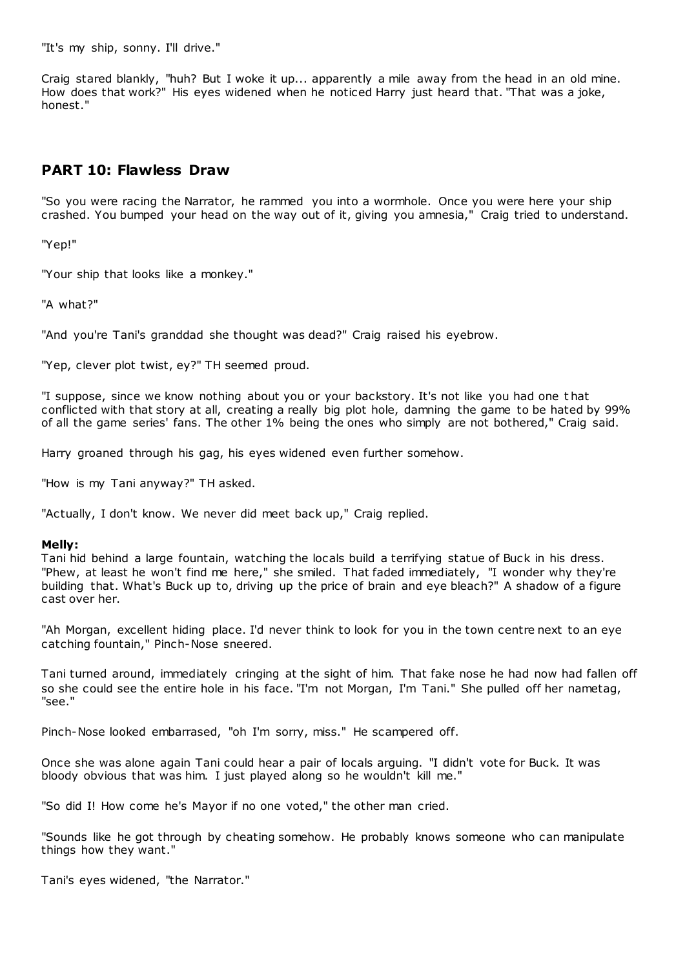"It's my ship, sonny. I'll drive."

Craig stared blankly, "huh? But I woke it up... apparently a mile away from the head in an old mine. How does that work?" His eyes widened when he noticed Harry just heard that. "That was a joke, honest."

# **PART 10: Flawless Draw**

"So you were racing the Narrator, he rammed you into a wormhole. Once you were here your ship crashed. You bumped your head on the way out of it, giving you amnesia," Craig tried to understand.

"Yep!"

"Your ship that looks like a monkey."

"A what?"

"And you're Tani's granddad she thought was dead?" Craig raised his eyebrow.

"Yep, clever plot twist, ey?" TH seemed proud.

"I suppose, since we know nothing about you or your backstory. It's not like you had one t hat conflicted with that story at all, creating a really big plot hole, damning the game to be hated by 99% of all the game series' fans. The other 1% being the ones who simply are not bothered," Craig said.

Harry groaned through his gag, his eyes widened even further somehow.

"How is my Tani anyway?" TH asked.

"Actually, I don't know. We never did meet back up," Craig replied.

### **Melly:**

Tani hid behind a large fountain, watching the locals build a terrifying statue of Buck in his dress. "Phew, at least he won't find me here," she smiled. That faded immediately, "I wonder why they're building that. What's Buck up to, driving up the price of brain and eye bleach?" A shadow of a figure cast over her.

"Ah Morgan, excellent hiding place. I'd never think to look for you in the town centre next to an eye catching fountain," Pinch-Nose sneered.

Tani turned around, immediately cringing at the sight of him. That fake nose he had now had fallen off so she could see the entire hole in his face. "I'm not Morgan, I'm Tani." She pulled off her nametag, "see."

Pinch-Nose looked embarrased, "oh I'm sorry, miss." He scampered off.

Once she was alone again Tani could hear a pair of locals arguing. "I didn't vote for Buck. It was bloody obvious that was him. I just played along so he wouldn't kill me."

"So did I! How come he's Mayor if no one voted," the other man cried.

"Sounds like he got through by cheating somehow. He probably knows someone who can manipulate things how they want."

Tani's eyes widened, "the Narrator."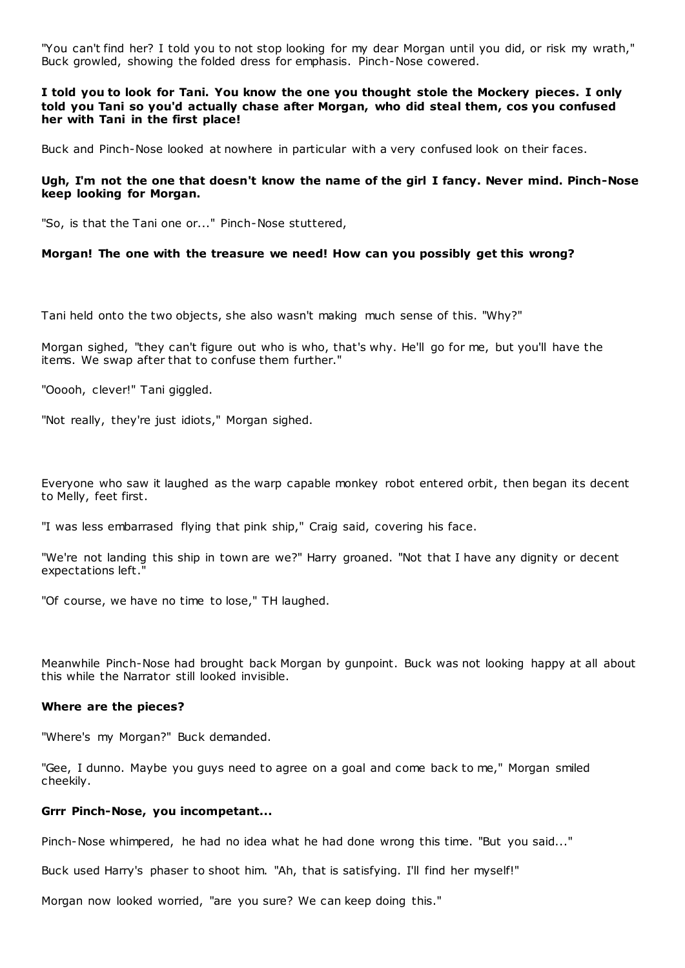"You can't find her? I told you to not stop looking for my dear Morgan until you did, or risk my wrath," Buck growled, showing the folded dress for emphasis. Pinch-Nose cowered.

**I told you to look for Tani. You know the one you thought stole the Mockery pieces. I only told you Tani so you'd actually chase after Morgan, who did steal them, cos you confused her with Tani in the first place!**

Buck and Pinch-Nose looked at nowhere in particular with a very confused look on their faces.

#### **Ugh, I'm not the one that doesn't know the name of the girl I fancy. Never mind. Pinch-Nose keep looking for Morgan.**

"So, is that the Tani one or..." Pinch-Nose stuttered,

#### **Morgan! The one with the treasure we need! How can you possibly get this wrong?**

Tani held onto the two objects, she also wasn't making much sense of this. "Why?"

Morgan sighed, "they can't figure out who is who, that's why. He'll go for me, but you'll have the items. We swap after that to confuse them further."

"Ooooh, clever!" Tani giggled.

"Not really, they're just idiots," Morgan sighed.

Everyone who saw it laughed as the warp capable monkey robot entered orbit, then began its decent to Melly, feet first.

"I was less embarrased flying that pink ship," Craig said, covering his face.

"We're not landing this ship in town are we?" Harry groaned. "Not that I have any dignity or decent expectations left."

"Of course, we have no time to lose," TH laughed.

Meanwhile Pinch-Nose had brought back Morgan by gunpoint. Buck was not looking happy at all about this while the Narrator still looked invisible.

#### **Where are the pieces?**

"Where's my Morgan?" Buck demanded.

"Gee, I dunno. Maybe you guys need to agree on a goal and come back to me," Morgan smiled cheekily.

### **Grrr Pinch-Nose, you incompetant...**

Pinch-Nose whimpered, he had no idea what he had done wrong this time. "But you said..."

Buck used Harry's phaser to shoot him. "Ah, that is satisfying. I'll find her myself!"

Morgan now looked worried, "are you sure? We can keep doing this."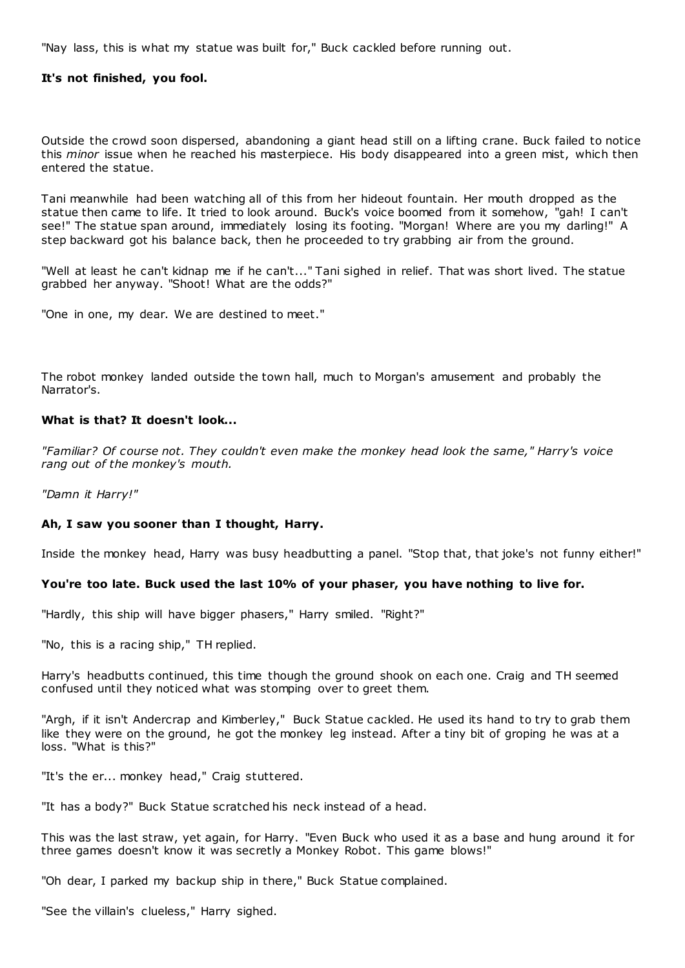"Nay lass, this is what my statue was built for," Buck cackled before running out.

#### **It's not finished, you fool.**

Outside the crowd soon dispersed, abandoning a giant head still on a lifting crane. Buck failed to notice this *minor* issue when he reached his masterpiece. His body disappeared into a green mist, which then entered the statue.

Tani meanwhile had been watching all of this from her hideout fountain. Her mouth dropped as the statue then came to life. It tried to look around. Buck's voice boomed from it somehow, "gah! I can't see!" The statue span around, immediately losing its footing. "Morgan! Where are you my darling!" A step backward got his balance back, then he proceeded to try grabbing air from the ground.

"Well at least he can't kidnap me if he can't..." Tani sighed in relief. That was short lived. The statue grabbed her anyway. "Shoot! What are the odds?"

"One in one, my dear. We are destined to meet."

The robot monkey landed outside the town hall, much to Morgan's amusement and probably the Narrator's.

### **What is that? It doesn't look...**

*"Familiar? Of course not. They couldn't even make the monkey head look the same," Harry's voice rang out of the monkey's mouth.*

*"Damn it Harry!"*

### **Ah, I saw you sooner than I thought, Harry.**

Inside the monkey head, Harry was busy headbutting a panel. "Stop that, that joke's not funny either!"

#### **You're too late. Buck used the last 10% of your phaser, you have nothing to live for.**

"Hardly, this ship will have bigger phasers," Harry smiled. "Right?"

"No, this is a racing ship," TH replied.

Harry's headbutts continued, this time though the ground shook on each one. Craig and TH seemed confused until they noticed what was stomping over to greet them.

"Argh, if it isn't Andercrap and Kimberley," Buck Statue cackled. He used its hand to try to grab them like they were on the ground, he got the monkey leg instead. After a tiny bit of groping he was at a loss. "What is this?"

"It's the er... monkey head," Craig stuttered.

"It has a body?" Buck Statue scratched his neck instead of a head.

This was the last straw, yet again, for Harry. "Even Buck who used it as a base and hung around it for three games doesn't know it was secretly a Monkey Robot. This game blows!"

"Oh dear, I parked my backup ship in there," Buck Statue complained.

"See the villain's clueless," Harry sighed.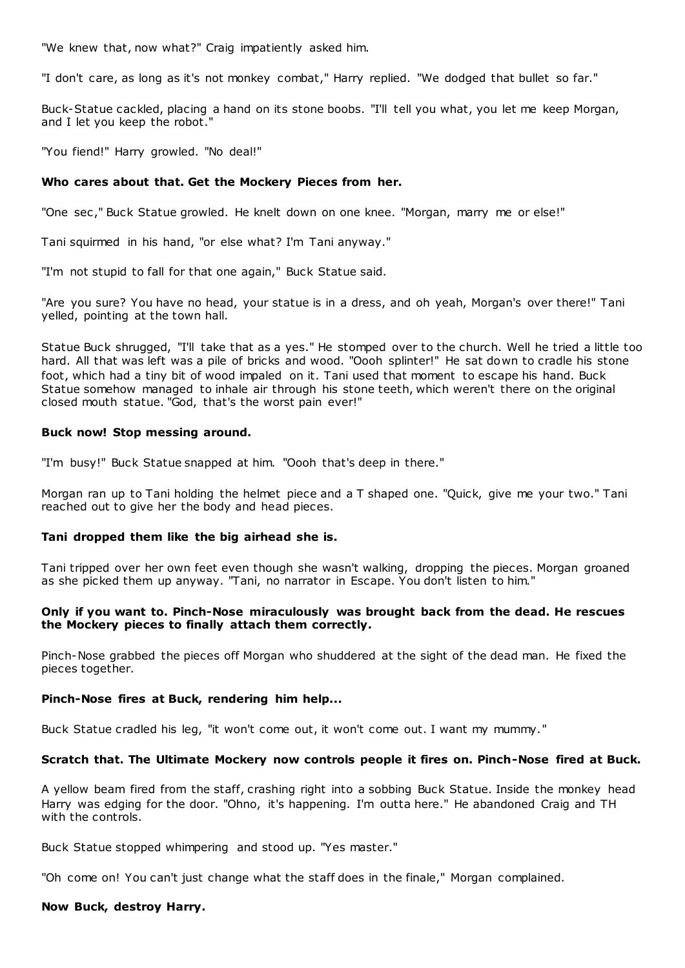"We knew that, now what?" Craig impatiently asked him.

"I don't care, as long as it's not monkey combat," Harry replied. "We dodged that bullet so far."

Buck-Statue cackled, placing a hand on its stone boobs. "I'll tell you what, you let me keep Morgan, and I let you keep the robot."

"You fiend!" Harry growled. "No deal!"

### **Who cares about that. Get the Mockery Pieces from her.**

"One sec ," Buck Statue growled. He knelt down on one knee. "Morgan, marry me or else!"

Tani squirmed in his hand, "or else what? I'm Tani anyway."

"I'm not stupid to fall for that one again," Buck Statue said.

"Are you sure? You have no head, your statue is in a dress, and oh yeah, Morgan's over there!" Tani yelled, pointing at the town hall.

Statue Buck shrugged, "I'll take that as a yes." He stomped over to the church. Well he tried a little too hard. All that was left was a pile of bricks and wood. "Oooh splinter!" He sat down to cradle his stone foot, which had a tiny bit of wood impaled on it. Tani used that moment to escape his hand. Buck Statue somehow managed to inhale air through his stone teeth, which weren't there on the original closed mouth statue. "God, that's the worst pain ever!"

### **Buck now! Stop messing around.**

"I'm busy!" Buck Statue snapped at him. "Oooh that's deep in there."

Morgan ran up to Tani holding the helmet piece and a T shaped one. "Quick, give me your two." Tani reached out to give her the body and head pieces.

### **Tani dropped them like the big airhead she is.**

Tani tripped over her own feet even though she wasn't walking, dropping the pieces. Morgan groaned as she picked them up anyway. "Tani, no narrator in Escape. You don't listen to him."

### **Only if you want to. Pinch-Nose miraculously was brought back from the dead. He rescues the Mockery pieces to finally attach them correctly.**

Pinch-Nose grabbed the pieces off Morgan who shuddered at the sight of the dead man. He fixed the pieces together.

### **Pinch-Nose fires at Buck, rendering him help...**

Buck Statue cradled his leg, "it won't come out, it won't come out. I want my mummy."

### **Scratch that. The Ultimate Mockery now controls people it fires on. Pinch-Nose fired at Buck.**

A yellow beam fired from the staff, crashing right into a sobbing Buck Statue. Inside the monkey head Harry was edging for the door. "Ohno, it's happening. I'm outta here." He abandoned Craig and TH with the controls.

Buck Statue stopped whimpering and stood up. "Yes master."

"Oh come on! You can't just change what the staff does in the finale," Morgan complained.

### **Now Buck, destroy Harry.**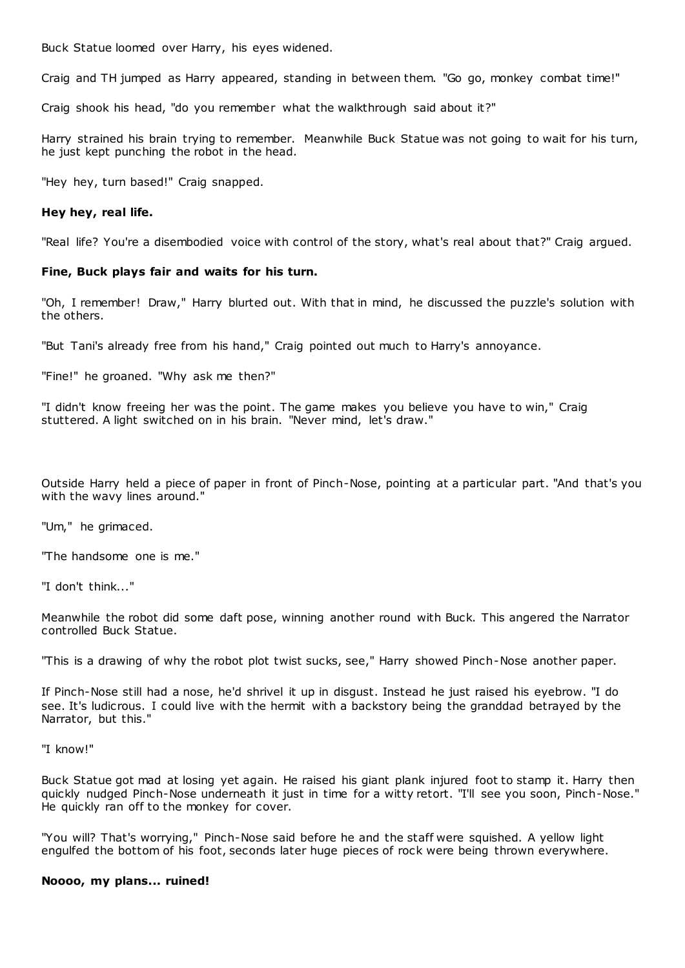Buck Statue loomed over Harry, his eyes widened.

Craig and TH jumped as Harry appeared, standing in between them. "Go go, monkey combat time!"

Craig shook his head, "do you remember what the walkthrough said about it?"

Harry strained his brain trying to remember. Meanwhile Buck Statue was not going to wait for his turn, he just kept punching the robot in the head.

"Hey hey, turn based!" Craig snapped.

### **Hey hey, real life.**

"Real life? You're a disembodied voice with control of the story, what's real about that?" Craig argued.

### **Fine, Buck plays fair and waits for his turn.**

"Oh, I remember! Draw," Harry blurted out. With that in mind, he discussed the puzzle's solution with the others.

"But Tani's already free from his hand," Craig pointed out much to Harry's annoyance.

"Fine!" he groaned. "Why ask me then?"

"I didn't know freeing her was the point. The game makes you believe you have to win," Craig stuttered. A light switched on in his brain. "Never mind, let's draw."

Outside Harry held a piece of paper in front of Pinch-Nose, pointing at a particular part. "And that's you with the wavy lines around."

"Um," he grimaced.

"The handsome one is me."

"I don't think..."

Meanwhile the robot did some daft pose, winning another round with Buck. This angered the Narrator controlled Buck Statue.

"This is a drawing of why the robot plot twist sucks, see," Harry showed Pinch-Nose another paper.

If Pinch-Nose still had a nose, he'd shrivel it up in disgust. Instead he just raised his eyebrow. "I do see. It's ludicrous. I could live with the hermit with a backstory being the granddad betrayed by the Narrator, but this."

"I know!"

Buck Statue got mad at losing yet again. He raised his giant plank injured foot to stamp it. Harry then quickly nudged Pinch-Nose underneath it just in time for a witty retort. "I'll see you soon, Pinch-Nose." He quickly ran off to the monkey for cover.

"You will? That's worrying," Pinch-Nose said before he and the staff were squished. A yellow light engulfed the bottom of his foot, seconds later huge pieces of rock were being thrown everywhere.

#### **Noooo, my plans... ruined!**